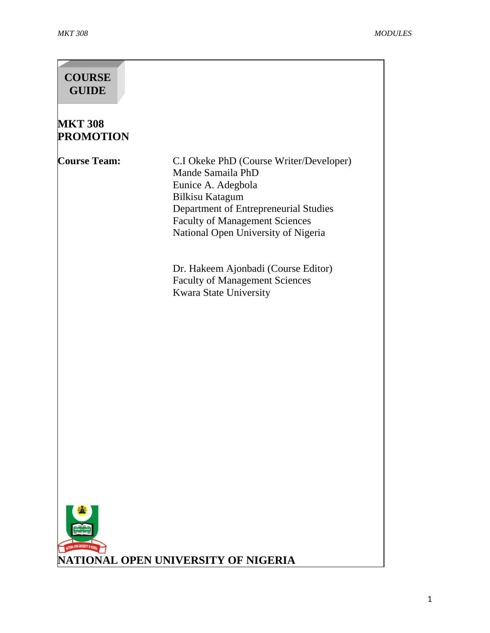# **COURSE GUIDE**

# **MKT 308 PROMOTION**

**Course Team:** C.I Okeke PhD (Course Writer/Developer) Mande Samaila PhD Eunice A. Adegbola Bilkisu Katagum Department of Entrepreneurial Studies Faculty of Management Sciences National Open University of Nigeria

> Dr. Hakeem Ajonbadi (Course Editor) Faculty of Management Sciences Kwara State University

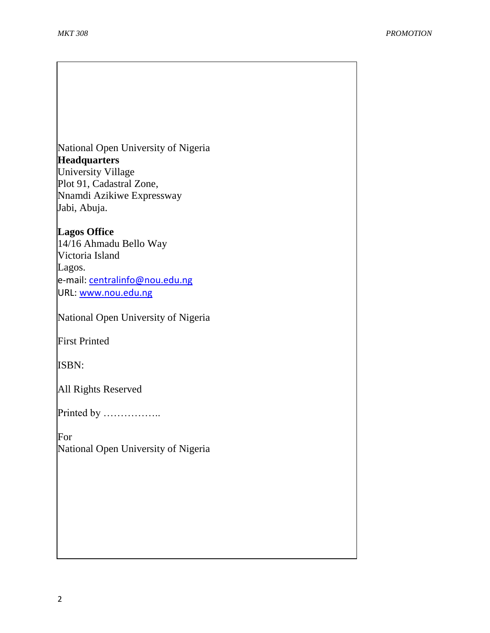National Open University of Nigeria **Headquarters** University Village Plot 91, Cadastral Zone, Nnamdi Azikiwe Expressway Jabi, Abuja.

## **Lagos Office**

14/16 Ahmadu Bello Way Victoria Island Lagos. e-mail: [centralinfo@nou.edu.ng](mailto:centralinfo@nou.edu.ng) URL: [www.nou.edu.ng](http://www.nou.edu.ng/)

National Open University of Nigeria

First Printed

ISBN:

All Rights Reserved

Printed by ……………..

For

National Open University of Nigeria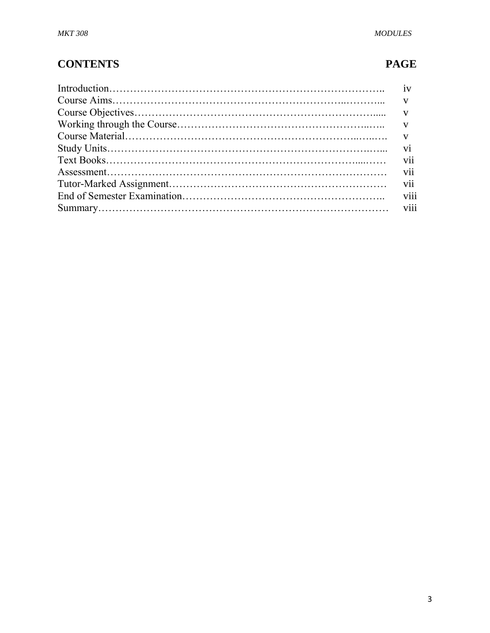# **CONTENTS PAGE**

| 1V                               |
|----------------------------------|
| V                                |
|                                  |
|                                  |
|                                  |
|                                  |
| $\cdot \cdot$<br>V <sub>11</sub> |
| $\cdot \cdot$<br><b>V11</b>      |
| vii                              |
| $\cdots$<br>V <sub>111</sub>     |
| $\cdots$<br><b>V111</b>          |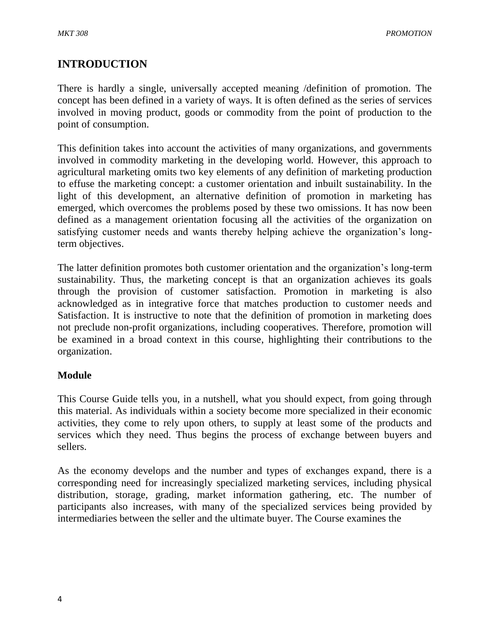# **INTRODUCTION**

There is hardly a single, universally accepted meaning /definition of promotion. The concept has been defined in a variety of ways. It is often defined as the series of services involved in moving product, goods or commodity from the point of production to the point of consumption.

This definition takes into account the activities of many organizations, and governments involved in commodity marketing in the developing world. However, this approach to agricultural marketing omits two key elements of any definition of marketing production to effuse the marketing concept: a customer orientation and inbuilt sustainability. In the light of this development, an alternative definition of promotion in marketing has emerged, which overcomes the problems posed by these two omissions. It has now been defined as a management orientation focusing all the activities of the organization on satisfying customer needs and wants thereby helping achieve the organization's longterm objectives.

The latter definition promotes both customer orientation and the organization's long-term sustainability. Thus, the marketing concept is that an organization achieves its goals through the provision of customer satisfaction. Promotion in marketing is also acknowledged as in integrative force that matches production to customer needs and Satisfaction. It is instructive to note that the definition of promotion in marketing does not preclude non-profit organizations, including cooperatives. Therefore, promotion will be examined in a broad context in this course, highlighting their contributions to the organization.

#### **Module**

This Course Guide tells you, in a nutshell, what you should expect, from going through this material. As individuals within a society become more specialized in their economic activities, they come to rely upon others, to supply at least some of the products and services which they need. Thus begins the process of exchange between buyers and sellers.

As the economy develops and the number and types of exchanges expand, there is a corresponding need for increasingly specialized marketing services, including physical distribution, storage, grading, market information gathering, etc. The number of participants also increases, with many of the specialized services being provided by intermediaries between the seller and the ultimate buyer. The Course examines the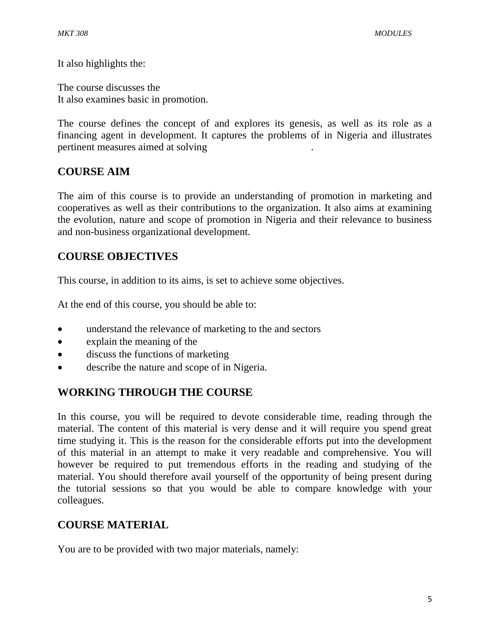It also highlights the:

The course discusses the It also examines basic in promotion.

The course defines the concept of and explores its genesis, as well as its role as a financing agent in development. It captures the problems of in Nigeria and illustrates pertinent measures aimed at solving .

## **COURSE AIM**

The aim of this course is to provide an understanding of promotion in marketing and cooperatives as well as their contributions to the organization. It also aims at examining the evolution, nature and scope of promotion in Nigeria and their relevance to business and non-business organizational development.

# **COURSE OBJECTIVES**

This course, in addition to its aims, is set to achieve some objectives.

At the end of this course, you should be able to:

- understand the relevance of marketing to the and sectors
- explain the meaning of the
- discuss the functions of marketing
- describe the nature and scope of in Nigeria.

# **WORKING THROUGH THE COURSE**

In this course, you will be required to devote considerable time, reading through the material. The content of this material is very dense and it will require you spend great time studying it. This is the reason for the considerable efforts put into the development of this material in an attempt to make it very readable and comprehensive. You will however be required to put tremendous efforts in the reading and studying of the material. You should therefore avail yourself of the opportunity of being present during the tutorial sessions so that you would be able to compare knowledge with your colleagues.

# **COURSE MATERIAL**

You are to be provided with two major materials, namely: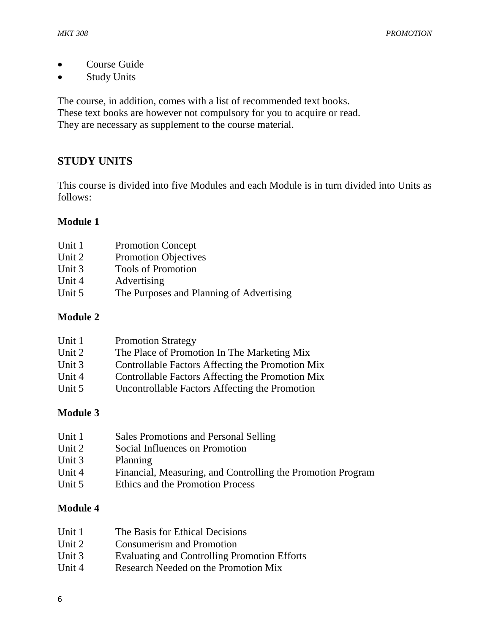- Course Guide
- Study Units

The course, in addition, comes with a list of recommended text books. These text books are however not compulsory for you to acquire or read. They are necessary as supplement to the course material.

# **STUDY UNITS**

This course is divided into five Modules and each Module is in turn divided into Units as follows:

#### **Module 1**

| Unit 1 | <b>Promotion Concept</b>                 |
|--------|------------------------------------------|
| Unit 2 | <b>Promotion Objectives</b>              |
| Unit 3 | <b>Tools of Promotion</b>                |
| Unit 4 | Advertising                              |
| Unit 5 | The Purposes and Planning of Advertising |

#### **Module 2**

| <b>Promotion Strategy</b>                        |
|--------------------------------------------------|
| The Place of Promotion In The Marketing Mix      |
| Controllable Factors Affecting the Promotion Mix |
| Controllable Factors Affecting the Promotion Mix |
| Uncontrollable Factors Affecting the Promotion   |
|                                                  |

#### **Module 3**

| Unit 1 | Sales Promotions and Personal Selling |
|--------|---------------------------------------|
| Unit 2 | Social Influences on Promotion        |

- Unit 3 Planning
- Unit 4 Financial, Measuring, and Controlling the Promotion Program
- Unit 5 Ethics and the Promotion Process

#### **Module 4**

| Unit 1 | The Basis for Ethical Decisions                     |
|--------|-----------------------------------------------------|
| Unit 2 | <b>Consumerism and Promotion</b>                    |
| Unit 3 | <b>Evaluating and Controlling Promotion Efforts</b> |
| Unit 4 | Research Needed on the Promotion Mix                |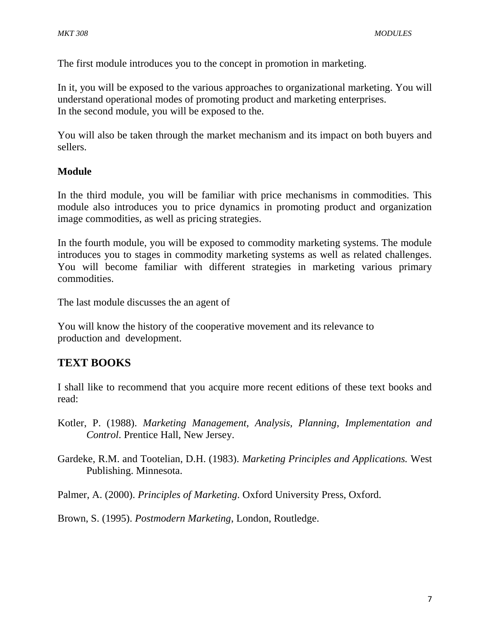The first module introduces you to the concept in promotion in marketing.

In it, you will be exposed to the various approaches to organizational marketing. You will understand operational modes of promoting product and marketing enterprises. In the second module, you will be exposed to the.

You will also be taken through the market mechanism and its impact on both buyers and sellers.

#### **Module**

In the third module, you will be familiar with price mechanisms in commodities. This module also introduces you to price dynamics in promoting product and organization image commodities, as well as pricing strategies.

In the fourth module, you will be exposed to commodity marketing systems. The module introduces you to stages in commodity marketing systems as well as related challenges. You will become familiar with different strategies in marketing various primary commodities.

The last module discusses the an agent of

You will know the history of the cooperative movement and its relevance to production and development.

## **TEXT BOOKS**

I shall like to recommend that you acquire more recent editions of these text books and read:

- Kotler, P. (1988). *Marketing Management, Analysis, Planning, Implementation and Control*. Prentice Hall, New Jersey.
- Gardeke, R.M. and Tootelian, D.H. (1983). *Marketing Principles and Applications.* West Publishing. Minnesota.

Palmer, A. (2000). *Principles of Marketing*. Oxford University Press, Oxford.

Brown, S. (1995). *Postmodern Marketing*, London, Routledge.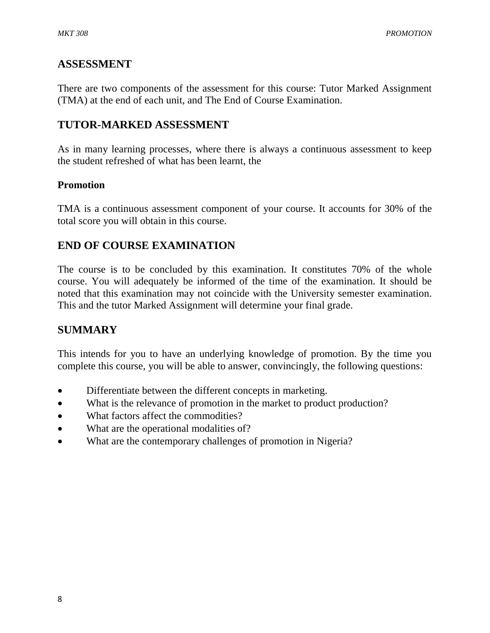## **ASSESSMENT**

There are two components of the assessment for this course: Tutor Marked Assignment (TMA) at the end of each unit, and The End of Course Examination.

## **TUTOR-MARKED ASSESSMENT**

As in many learning processes, where there is always a continuous assessment to keep the student refreshed of what has been learnt, the

#### **Promotion**

TMA is a continuous assessment component of your course. It accounts for 30% of the total score you will obtain in this course.

## **END OF COURSE EXAMINATION**

The course is to be concluded by this examination. It constitutes 70% of the whole course. You will adequately be informed of the time of the examination. It should be noted that this examination may not coincide with the University semester examination. This and the tutor Marked Assignment will determine your final grade.

#### **SUMMARY**

This intends for you to have an underlying knowledge of promotion. By the time you complete this course, you will be able to answer, convincingly, the following questions:

- Differentiate between the different concepts in marketing.
- What is the relevance of promotion in the market to product production?
- What factors affect the commodities?
- What are the operational modalities of?
- What are the contemporary challenges of promotion in Nigeria?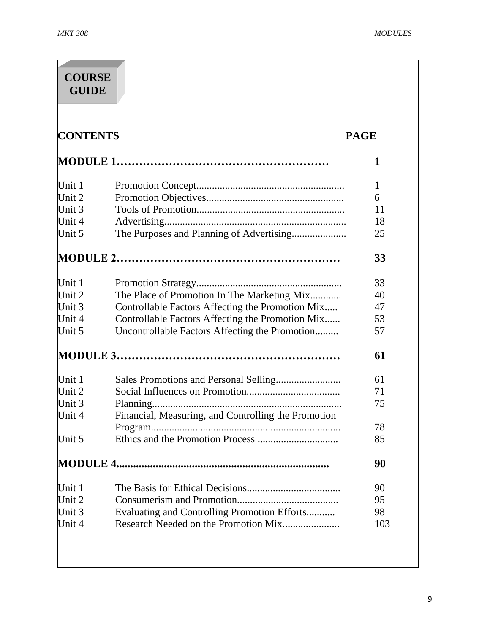| <b>COURSE</b><br><b>GUIDE</b> |                                                     |              |
|-------------------------------|-----------------------------------------------------|--------------|
| <b>CONTENTS</b>               |                                                     | <b>PAGE</b>  |
|                               |                                                     | 1            |
| Unit $1$                      |                                                     | $\mathbf{1}$ |
| Unit $2$                      |                                                     | 6            |
| Unit 3                        |                                                     | 11           |
| Unit $4$                      |                                                     | 18           |
| Unit $5$                      |                                                     | 25           |
|                               |                                                     | 33           |
| Unit $1$                      |                                                     | 33           |
| Unit $2$                      | The Place of Promotion In The Marketing Mix         | 40           |
| Unit $3$                      | Controllable Factors Affecting the Promotion Mix    | 47           |
| Unit $4$                      | Controllable Factors Affecting the Promotion Mix    | 53           |
| Unit $5$                      | Uncontrollable Factors Affecting the Promotion      | 57           |
|                               |                                                     | 61           |
| Unit $1$                      |                                                     | 61           |
| Unit $2$                      |                                                     | 71           |
| Unit $3$                      |                                                     | 75           |
| Unit $4$                      | Financial, Measuring, and Controlling the Promotion |              |
|                               |                                                     | 78           |
| Unit $5$                      |                                                     | 85           |
|                               |                                                     | 90           |
| Unit $1$                      |                                                     | 90           |
| Unit $2$                      |                                                     | 95           |
| Unit 3                        | Evaluating and Controlling Promotion Efforts        | 98           |
| Unit 4                        |                                                     | 103          |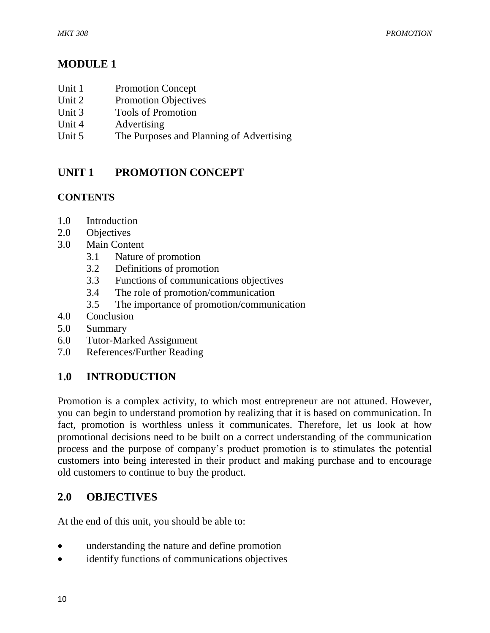# **MODULE 1**

- Unit 1 Promotion Concept
- Unit 2 Promotion Objectives
- Unit 3 Tools of Promotion
- Unit 4 Advertising
- Unit 5 The Purposes and Planning of Advertising

# **UNIT 1 PROMOTION CONCEPT**

## **CONTENTS**

- 1.0 Introduction
- 2.0 Objectives
- 3.0 Main Content
	- 3.1 Nature of promotion
	- 3.2 Definitions of promotion
	- 3.3 Functions of communications objectives
	- 3.4 The role of promotion/communication
	- 3.5 The importance of promotion/communication
- 4.0 Conclusion
- 5.0 Summary
- 6.0 Tutor-Marked Assignment
- 7.0 References/Further Reading

# **1.0 INTRODUCTION**

Promotion is a complex activity, to which most entrepreneur are not attuned. However, you can begin to understand promotion by realizing that it is based on communication. In fact, promotion is worthless unless it communicates. Therefore, let us look at how promotional decisions need to be built on a correct understanding of the communication process and the purpose of company's product promotion is to stimulates the potential customers into being interested in their product and making purchase and to encourage old customers to continue to buy the product.

## **2.0 OBJECTIVES**

At the end of this unit, you should be able to:

- understanding the nature and define promotion
- identify functions of communications objectives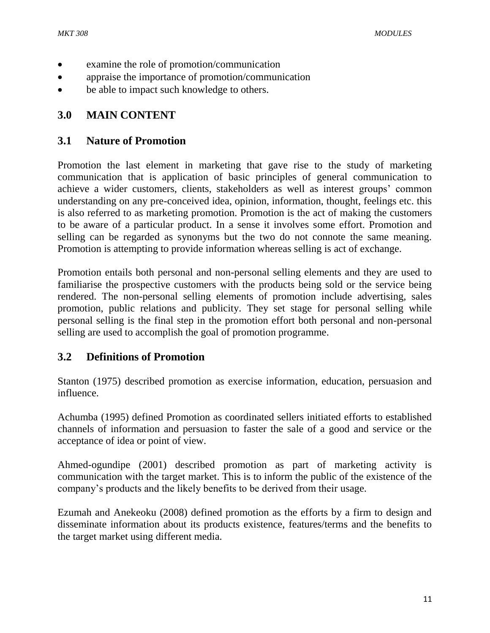- examine the role of promotion/communication
- appraise the importance of promotion/communication
- be able to impact such knowledge to others.

# **3.0 MAIN CONTENT**

## **3.1 Nature of Promotion**

Promotion the last element in marketing that gave rise to the study of marketing communication that is application of basic principles of general communication to achieve a wider customers, clients, stakeholders as well as interest groups' common understanding on any pre-conceived idea, opinion, information, thought, feelings etc. this is also referred to as marketing promotion. Promotion is the act of making the customers to be aware of a particular product. In a sense it involves some effort. Promotion and selling can be regarded as synonyms but the two do not connote the same meaning. Promotion is attempting to provide information whereas selling is act of exchange.

Promotion entails both personal and non-personal selling elements and they are used to familiarise the prospective customers with the products being sold or the service being rendered. The non-personal selling elements of promotion include advertising, sales promotion, public relations and publicity. They set stage for personal selling while personal selling is the final step in the promotion effort both personal and non-personal selling are used to accomplish the goal of promotion programme.

## **3.2 Definitions of Promotion**

Stanton (1975) described promotion as exercise information, education, persuasion and influence.

Achumba (1995) defined Promotion as coordinated sellers initiated efforts to established channels of information and persuasion to faster the sale of a good and service or the acceptance of idea or point of view.

Ahmed-ogundipe (2001) described promotion as part of marketing activity is communication with the target market. This is to inform the public of the existence of the company's products and the likely benefits to be derived from their usage.

Ezumah and Anekeoku (2008) defined promotion as the efforts by a firm to design and disseminate information about its products existence, features/terms and the benefits to the target market using different media.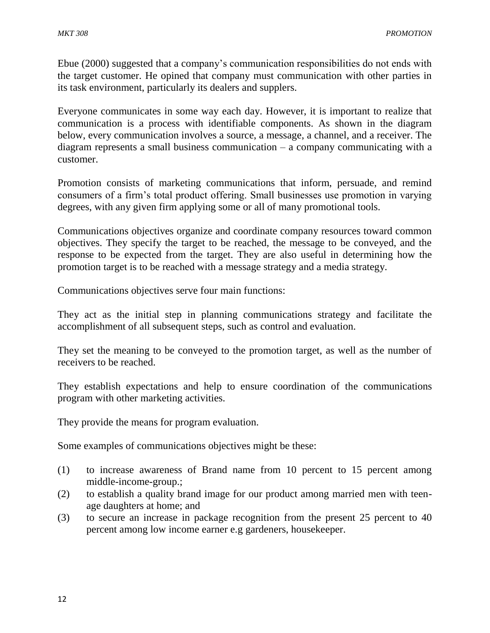Ebue (2000) suggested that a company's communication responsibilities do not ends with the target customer. He opined that company must communication with other parties in its task environment, particularly its dealers and supplers.

Everyone communicates in some way each day. However, it is important to realize that communication is a process with identifiable components. As shown in the diagram below, every communication involves a source, a message, a channel, and a receiver. The diagram represents a small business communication – a company communicating with a customer.

Promotion consists of marketing communications that inform, persuade, and remind consumers of a firm's total product offering. Small businesses use promotion in varying degrees, with any given firm applying some or all of many promotional tools.

Communications objectives organize and coordinate company resources toward common objectives. They specify the target to be reached, the message to be conveyed, and the response to be expected from the target. They are also useful in determining how the promotion target is to be reached with a message strategy and a media strategy.

Communications objectives serve four main functions:

They act as the initial step in planning communications strategy and facilitate the accomplishment of all subsequent steps, such as control and evaluation.

They set the meaning to be conveyed to the promotion target, as well as the number of receivers to be reached.

They establish expectations and help to ensure coordination of the communications program with other marketing activities.

They provide the means for program evaluation.

Some examples of communications objectives might be these:

- (1) to increase awareness of Brand name from 10 percent to 15 percent among middle-income-group.;
- (2) to establish a quality brand image for our product among married men with teenage daughters at home; and
- (3) to secure an increase in package recognition from the present 25 percent to 40 percent among low income earner e.g gardeners, housekeeper.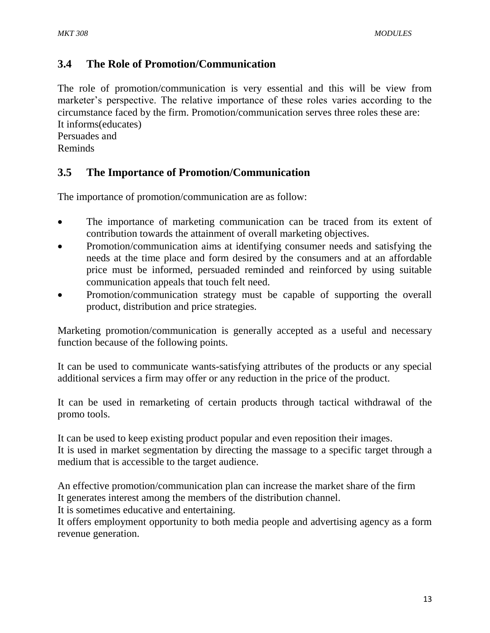## **3.4 The Role of Promotion/Communication**

The role of promotion/communication is very essential and this will be view from marketer's perspective. The relative importance of these roles varies according to the circumstance faced by the firm. Promotion/communication serves three roles these are: It informs(educates)

Persuades and Reminds

# **3.5 The Importance of Promotion/Communication**

The importance of promotion/communication are as follow:

- The importance of marketing communication can be traced from its extent of contribution towards the attainment of overall marketing objectives.
- Promotion/communication aims at identifying consumer needs and satisfying the needs at the time place and form desired by the consumers and at an affordable price must be informed, persuaded reminded and reinforced by using suitable communication appeals that touch felt need.
- Promotion/communication strategy must be capable of supporting the overall product, distribution and price strategies.

Marketing promotion/communication is generally accepted as a useful and necessary function because of the following points.

It can be used to communicate wants-satisfying attributes of the products or any special additional services a firm may offer or any reduction in the price of the product.

It can be used in remarketing of certain products through tactical withdrawal of the promo tools.

It can be used to keep existing product popular and even reposition their images. It is used in market segmentation by directing the massage to a specific target through a medium that is accessible to the target audience.

An effective promotion/communication plan can increase the market share of the firm It generates interest among the members of the distribution channel.

It is sometimes educative and entertaining.

It offers employment opportunity to both media people and advertising agency as a form revenue generation.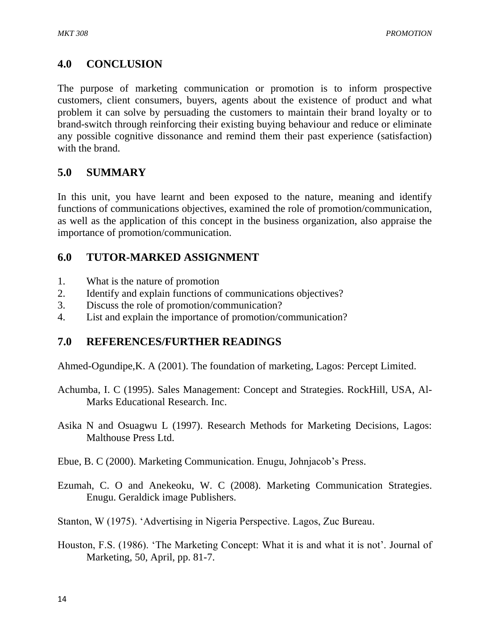# **4.0 CONCLUSION**

The purpose of marketing communication or promotion is to inform prospective customers, client consumers, buyers, agents about the existence of product and what problem it can solve by persuading the customers to maintain their brand loyalty or to brand-switch through reinforcing their existing buying behaviour and reduce or eliminate any possible cognitive dissonance and remind them their past experience (satisfaction) with the brand.

# **5.0 SUMMARY**

In this unit, you have learnt and been exposed to the nature, meaning and identify functions of communications objectives, examined the role of promotion/communication, as well as the application of this concept in the business organization, also appraise the importance of promotion/communication.

## **6.0 TUTOR-MARKED ASSIGNMENT**

- 1. What is the nature of promotion
- 2. Identify and explain functions of communications objectives?
- 3. Discuss the role of promotion/communication?
- 4. List and explain the importance of promotion/communication?

## **7.0 REFERENCES/FURTHER READINGS**

Ahmed-Ogundipe,K. A (2001). The foundation of marketing, Lagos: Percept Limited.

- Achumba, I. C (1995). Sales Management: Concept and Strategies. RockHill, USA, Al-Marks Educational Research. Inc.
- Asika N and Osuagwu L (1997). Research Methods for Marketing Decisions, Lagos: Malthouse Press Ltd.
- Ebue, B. C (2000). Marketing Communication. Enugu, Johnjacob's Press.
- Ezumah, C. O and Anekeoku, W. C (2008). Marketing Communication Strategies. Enugu. Geraldick image Publishers.
- Stanton, W (1975). 'Advertising in Nigeria Perspective. Lagos, Zuc Bureau.
- Houston, F.S. (1986). 'The Marketing Concept: What it is and what it is not'. Journal of Marketing, 50, April, pp. 81-7.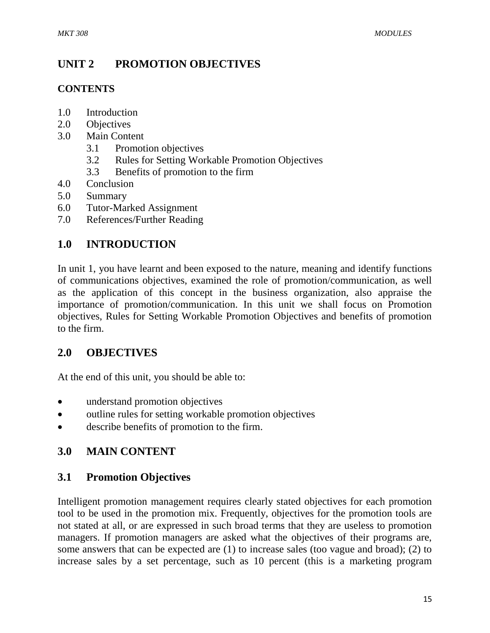# **UNIT 2 PROMOTION OBJECTIVES**

## **CONTENTS**

- 1.0 Introduction
- 2.0 Objectives
- 3.0 Main Content
	- 3.1 Promotion objectives
	- 3.2 Rules for Setting Workable Promotion Objectives
	- 3.3 Benefits of promotion to the firm
- 4.0 Conclusion
- 5.0 Summary
- 6.0 Tutor-Marked Assignment
- 7.0 References/Further Reading

# **1.0 INTRODUCTION**

In unit 1, you have learnt and been exposed to the nature, meaning and identify functions of communications objectives, examined the role of promotion/communication, as well as the application of this concept in the business organization, also appraise the importance of promotion/communication. In this unit we shall focus on Promotion objectives, Rules for Setting Workable Promotion Objectives and benefits of promotion to the firm.

# **2.0 OBJECTIVES**

At the end of this unit, you should be able to:

- understand promotion objectives
- outline rules for setting workable promotion objectives
- describe benefits of promotion to the firm.

# **3.0 MAIN CONTENT**

# **3.1 Promotion Objectives**

Intelligent promotion management requires clearly stated objectives for each promotion tool to be used in the promotion mix. Frequently, objectives for the promotion tools are not stated at all, or are expressed in such broad terms that they are useless to promotion managers. If promotion managers are asked what the objectives of their programs are, some answers that can be expected are (1) to increase sales (too vague and broad); (2) to increase sales by a set percentage, such as 10 percent (this is a marketing program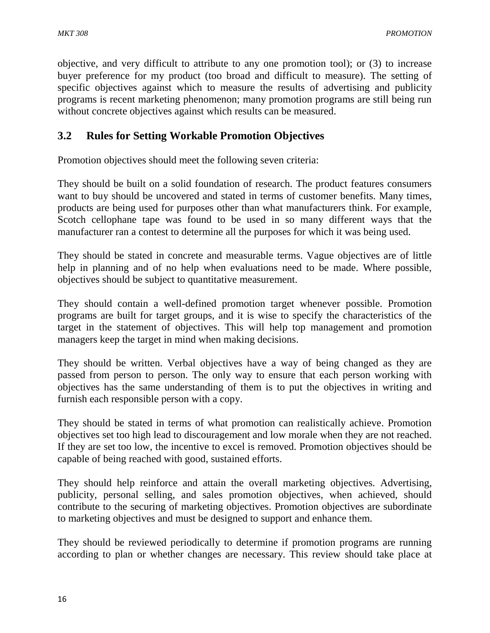objective, and very difficult to attribute to any one promotion tool); or (3) to increase buyer preference for my product (too broad and difficult to measure). The setting of specific objectives against which to measure the results of advertising and publicity programs is recent marketing phenomenon; many promotion programs are still being run without concrete objectives against which results can be measured.

## **3.2 Rules for Setting Workable Promotion Objectives**

Promotion objectives should meet the following seven criteria:

They should be built on a solid foundation of research. The product features consumers want to buy should be uncovered and stated in terms of customer benefits. Many times, products are being used for purposes other than what manufacturers think. For example, Scotch cellophane tape was found to be used in so many different ways that the manufacturer ran a contest to determine all the purposes for which it was being used.

They should be stated in concrete and measurable terms. Vague objectives are of little help in planning and of no help when evaluations need to be made. Where possible, objectives should be subject to quantitative measurement.

They should contain a well-defined promotion target whenever possible. Promotion programs are built for target groups, and it is wise to specify the characteristics of the target in the statement of objectives. This will help top management and promotion managers keep the target in mind when making decisions.

They should be written. Verbal objectives have a way of being changed as they are passed from person to person. The only way to ensure that each person working with objectives has the same understanding of them is to put the objectives in writing and furnish each responsible person with a copy.

They should be stated in terms of what promotion can realistically achieve. Promotion objectives set too high lead to discouragement and low morale when they are not reached. If they are set too low, the incentive to excel is removed. Promotion objectives should be capable of being reached with good, sustained efforts.

They should help reinforce and attain the overall marketing objectives. Advertising, publicity, personal selling, and sales promotion objectives, when achieved, should contribute to the securing of marketing objectives. Promotion objectives are subordinate to marketing objectives and must be designed to support and enhance them.

They should be reviewed periodically to determine if promotion programs are running according to plan or whether changes are necessary. This review should take place at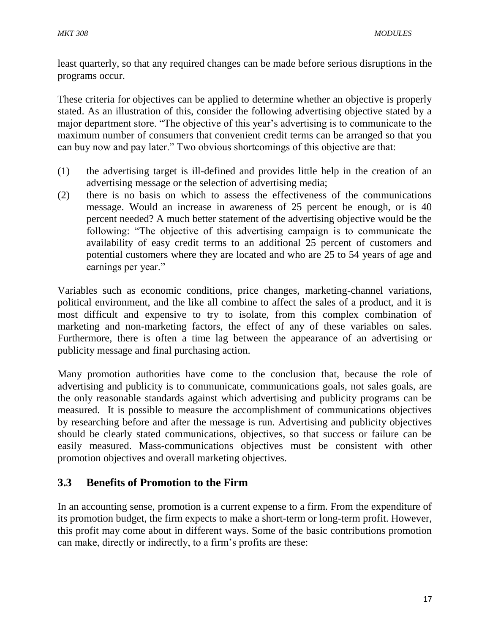least quarterly, so that any required changes can be made before serious disruptions in the programs occur.

These criteria for objectives can be applied to determine whether an objective is properly stated. As an illustration of this, consider the following advertising objective stated by a major department store. "The objective of this year's advertising is to communicate to the maximum number of consumers that convenient credit terms can be arranged so that you can buy now and pay later." Two obvious shortcomings of this objective are that:

- (1) the advertising target is ill-defined and provides little help in the creation of an advertising message or the selection of advertising media;
- (2) there is no basis on which to assess the effectiveness of the communications message. Would an increase in awareness of 25 percent be enough, or is 40 percent needed? A much better statement of the advertising objective would be the following: "The objective of this advertising campaign is to communicate the availability of easy credit terms to an additional 25 percent of customers and potential customers where they are located and who are 25 to 54 years of age and earnings per year."

Variables such as economic conditions, price changes, marketing-channel variations, political environment, and the like all combine to affect the sales of a product, and it is most difficult and expensive to try to isolate, from this complex combination of marketing and non-marketing factors, the effect of any of these variables on sales. Furthermore, there is often a time lag between the appearance of an advertising or publicity message and final purchasing action.

Many promotion authorities have come to the conclusion that, because the role of advertising and publicity is to communicate, communications goals, not sales goals, are the only reasonable standards against which advertising and publicity programs can be measured. It is possible to measure the accomplishment of communications objectives by researching before and after the message is run. Advertising and publicity objectives should be clearly stated communications, objectives, so that success or failure can be easily measured. Mass-communications objectives must be consistent with other promotion objectives and overall marketing objectives.

# **3.3 Benefits of Promotion to the Firm**

In an accounting sense, promotion is a current expense to a firm. From the expenditure of its promotion budget, the firm expects to make a short-term or long-term profit. However, this profit may come about in different ways. Some of the basic contributions promotion can make, directly or indirectly, to a firm's profits are these: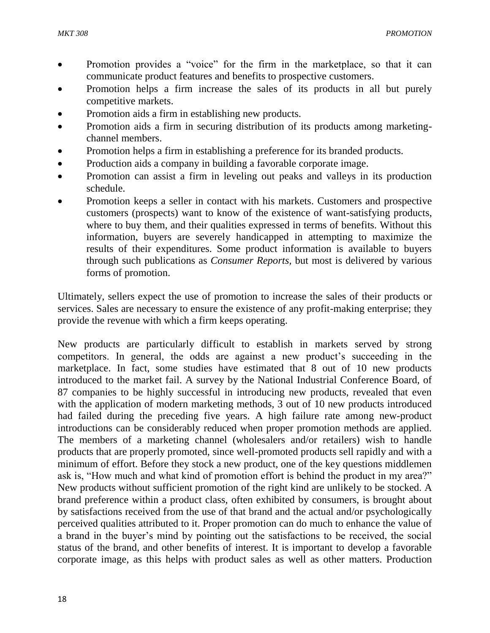- Promotion provides a "voice" for the firm in the marketplace, so that it can communicate product features and benefits to prospective customers.
- Promotion helps a firm increase the sales of its products in all but purely competitive markets.
- Promotion aids a firm in establishing new products.
- Promotion aids a firm in securing distribution of its products among marketingchannel members.
- Promotion helps a firm in establishing a preference for its branded products.
- Production aids a company in building a favorable corporate image.
- Promotion can assist a firm in leveling out peaks and valleys in its production schedule.
- Promotion keeps a seller in contact with his markets. Customers and prospective customers (prospects) want to know of the existence of want-satisfying products, where to buy them, and their qualities expressed in terms of benefits. Without this information, buyers are severely handicapped in attempting to maximize the results of their expenditures. Some product information is available to buyers through such publications as *Consumer Reports,* but most is delivered by various forms of promotion.

Ultimately, sellers expect the use of promotion to increase the sales of their products or services. Sales are necessary to ensure the existence of any profit-making enterprise; they provide the revenue with which a firm keeps operating.

New products are particularly difficult to establish in markets served by strong competitors. In general, the odds are against a new product's succeeding in the marketplace. In fact, some studies have estimated that 8 out of 10 new products introduced to the market fail. A survey by the National Industrial Conference Board, of 87 companies to be highly successful in introducing new products, revealed that even with the application of modern marketing methods, 3 out of 10 new products introduced had failed during the preceding five years. A high failure rate among new-product introductions can be considerably reduced when proper promotion methods are applied. The members of a marketing channel (wholesalers and/or retailers) wish to handle products that are properly promoted, since well-promoted products sell rapidly and with a minimum of effort. Before they stock a new product, one of the key questions middlemen ask is, "How much and what kind of promotion effort is behind the product in my area?" New products without sufficient promotion of the right kind are unlikely to be stocked. A brand preference within a product class, often exhibited by consumers, is brought about by satisfactions received from the use of that brand and the actual and/or psychologically perceived qualities attributed to it. Proper promotion can do much to enhance the value of a brand in the buyer's mind by pointing out the satisfactions to be received, the social status of the brand, and other benefits of interest. It is important to develop a favorable corporate image, as this helps with product sales as well as other matters. Production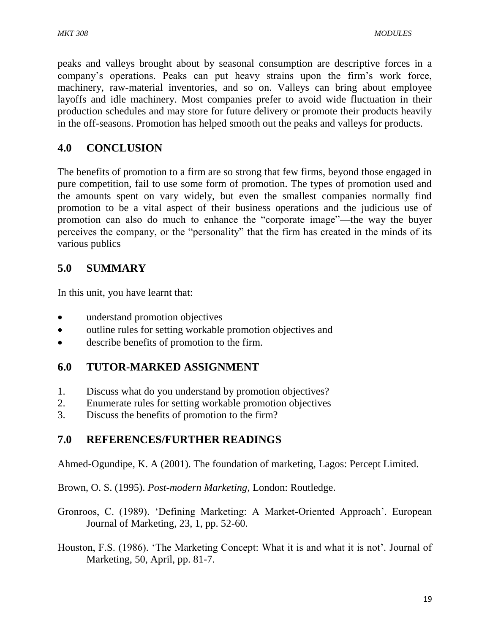peaks and valleys brought about by seasonal consumption are descriptive forces in a company's operations. Peaks can put heavy strains upon the firm's work force, machinery, raw-material inventories, and so on. Valleys can bring about employee layoffs and idle machinery. Most companies prefer to avoid wide fluctuation in their production schedules and may store for future delivery or promote their products heavily in the off-seasons. Promotion has helped smooth out the peaks and valleys for products.

## **4.0 CONCLUSION**

The benefits of promotion to a firm are so strong that few firms, beyond those engaged in pure competition, fail to use some form of promotion. The types of promotion used and the amounts spent on vary widely, but even the smallest companies normally find promotion to be a vital aspect of their business operations and the judicious use of promotion can also do much to enhance the "corporate image"—the way the buyer perceives the company, or the "personality" that the firm has created in the minds of its various publics

# **5.0 SUMMARY**

In this unit, you have learnt that:

- understand promotion objectives
- outline rules for setting workable promotion objectives and
- describe benefits of promotion to the firm.

## **6.0 TUTOR-MARKED ASSIGNMENT**

- 1. Discuss what do you understand by promotion objectives?
- 2. Enumerate rules for setting workable promotion objectives
- 3. Discuss the benefits of promotion to the firm?

## **7.0 REFERENCES/FURTHER READINGS**

Ahmed-Ogundipe, K. A (2001). The foundation of marketing, Lagos: Percept Limited.

Brown, O. S. (1995). *Post-modern Marketing*, London: Routledge.

- Gronroos, C. (1989). 'Defining Marketing: A Market-Oriented Approach'. European Journal of Marketing, 23, 1, pp. 52-60.
- Houston, F.S. (1986). 'The Marketing Concept: What it is and what it is not'. Journal of Marketing, 50, April, pp. 81-7.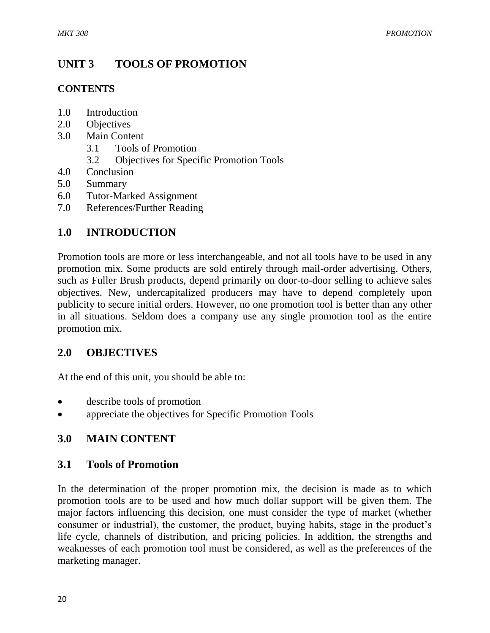# **UNIT 3 TOOLS OF PROMOTION**

## **CONTENTS**

- 1.0 Introduction
- 2.0 Objectives
- 3.0 Main Content
	- 3.1 Tools of Promotion
	- 3.2 Objectives for Specific Promotion Tools
- 4.0 Conclusion
- 5.0 Summary
- 6.0 Tutor-Marked Assignment
- 7.0 References/Further Reading

# **1.0 INTRODUCTION**

Promotion tools are more or less interchangeable, and not all tools have to be used in any promotion mix. Some products are sold entirely through mail-order advertising. Others, such as Fuller Brush products, depend primarily on door-to-door selling to achieve sales objectives. New, undercapitalized producers may have to depend completely upon publicity to secure initial orders. However, no one promotion tool is better than any other in all situations. Seldom does a company use any single promotion tool as the entire promotion mix.

# **2.0 OBJECTIVES**

At the end of this unit, you should be able to:

- describe tools of promotion
- appreciate the objectives for Specific Promotion Tools

# **3.0 MAIN CONTENT**

## **3.1 Tools of Promotion**

In the determination of the proper promotion mix, the decision is made as to which promotion tools are to be used and how much dollar support will be given them. The major factors influencing this decision, one must consider the type of market (whether consumer or industrial), the customer, the product, buying habits, stage in the product's life cycle, channels of distribution, and pricing policies. In addition, the strengths and weaknesses of each promotion tool must be considered, as well as the preferences of the marketing manager.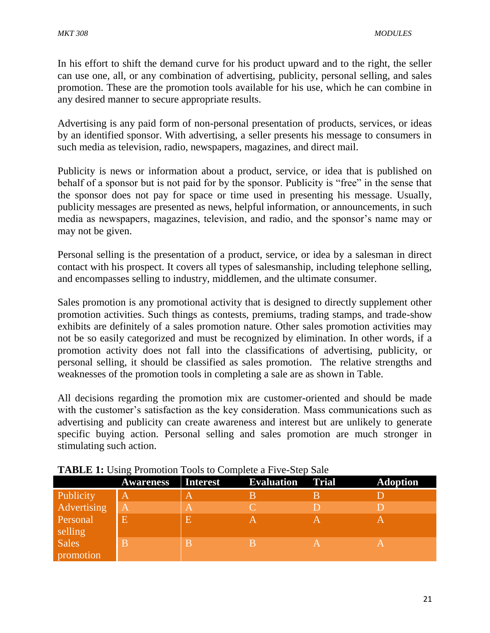In his effort to shift the demand curve for his product upward and to the right, the seller can use one, all, or any combination of advertising, publicity, personal selling, and sales promotion. These are the promotion tools available for his use, which he can combine in any desired manner to secure appropriate results.

Advertising is any paid form of non-personal presentation of products, services, or ideas by an identified sponsor. With advertising, a seller presents his message to consumers in such media as television, radio, newspapers, magazines, and direct mail.

Publicity is news or information about a product, service, or idea that is published on behalf of a sponsor but is not paid for by the sponsor. Publicity is "free" in the sense that the sponsor does not pay for space or time used in presenting his message. Usually, publicity messages are presented as news, helpful information, or announcements, in such media as newspapers, magazines, television, and radio, and the sponsor's name may or may not be given.

Personal selling is the presentation of a product, service, or idea by a salesman in direct contact with his prospect. It covers all types of salesmanship, including telephone selling, and encompasses selling to industry, middlemen, and the ultimate consumer.

Sales promotion is any promotional activity that is designed to directly supplement other promotion activities. Such things as contests, premiums, trading stamps, and trade-show exhibits are definitely of a sales promotion nature. Other sales promotion activities may not be so easily categorized and must be recognized by elimination. In other words, if a promotion activity does not fall into the classifications of advertising, publicity, or personal selling, it should be classified as sales promotion. The relative strengths and weaknesses of the promotion tools in completing a sale are as shown in Table.

All decisions regarding the promotion mix are customer-oriented and should be made with the customer's satisfaction as the key consideration. Mass communications such as advertising and publicity can create awareness and interest but are unlikely to generate specific buying action. Personal selling and sales promotion are much stronger in stimulating such action.

| $\frac{1}{2}$ = $\frac{1}{2}$ = $\frac{1}{2}$ = $\frac{1}{2}$ = $\frac{1}{2}$ = $\frac{1}{2}$ = $\frac{1}{2}$ = $\frac{1}{2}$ = $\frac{1}{2}$ = $\frac{1}{2}$ = $\frac{1}{2}$ = $\frac{1}{2}$ = $\frac{1}{2}$ = $\frac{1}{2}$ = $\frac{1}{2}$ = $\frac{1}{2}$ = $\frac{1}{2}$ = $\frac{1}{2}$ = $\frac{1$ |                  |                 |                   |              |                 |
|-----------------------------------------------------------------------------------------------------------------------------------------------------------------------------------------------------------------------------------------------------------------------------------------------------------|------------------|-----------------|-------------------|--------------|-----------------|
|                                                                                                                                                                                                                                                                                                           | <b>Awareness</b> | <b>Interest</b> | <b>Evaluation</b> | <b>Trial</b> | <b>Adoption</b> |
| Publicity                                                                                                                                                                                                                                                                                                 |                  |                 |                   |              |                 |
| Advertising<br>Personal                                                                                                                                                                                                                                                                                   | A                |                 |                   |              |                 |
| selling<br>Sales                                                                                                                                                                                                                                                                                          | E                | Е               |                   |              | ่               |
|                                                                                                                                                                                                                                                                                                           |                  |                 |                   |              |                 |
| promotion                                                                                                                                                                                                                                                                                                 |                  |                 |                   |              |                 |

#### **TABLE 1:** Using Promotion Tools to Complete a Five-Step Sale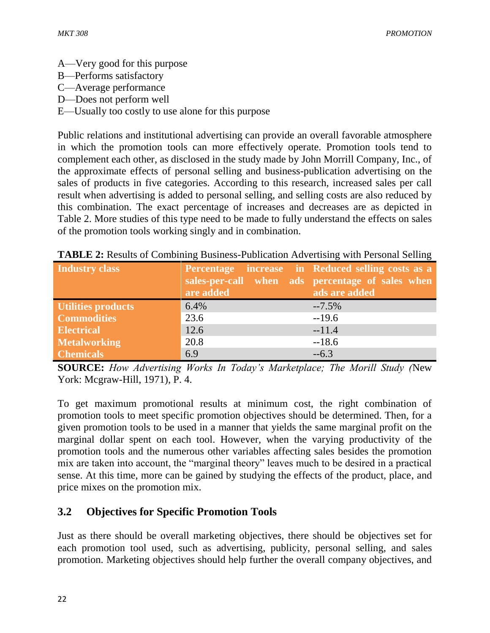- A—Very good for this purpose
- B—Performs satisfactory
- C—Average performance
- D—Does not perform well
- E—Usually too costly to use alone for this purpose

Public relations and institutional advertising can provide an overall favorable atmosphere in which the promotion tools can more effectively operate. Promotion tools tend to complement each other, as disclosed in the study made by John Morrill Company, Inc., of the approximate effects of personal selling and business-publication advertising on the sales of products in five categories. According to this research, increased sales per call result when advertising is added to personal selling, and selling costs are also reduced by this combination. The exact percentage of increases and decreases are as depicted in Table 2. More studies of this type need to be made to fully understand the effects on sales of the promotion tools working singly and in combination.

| <b>Industry class</b>     | Percentage increase in Reduced selling costs as a<br>sales-per-call when ads percentage of sales when<br>are added | ads are added |
|---------------------------|--------------------------------------------------------------------------------------------------------------------|---------------|
| <b>Utilities products</b> | 6.4%                                                                                                               | $-7.5\%$      |
| <b>Commodities</b>        | 23.6                                                                                                               | $-19.6$       |
| <b>Electrical</b>         | 12.6                                                                                                               | $-11.4$       |
| <b>Metalworking</b>       | 20.8                                                                                                               | $-18.6$       |
| <b>Chemicals</b>          | 6.9                                                                                                                | $-6.3$        |

**TABLE 2:** Results of Combining Business-Publication Advertising with Personal Selling

**SOURCE:** *How Advertising Works In Today's Marketplace; The Morill Study (*New York: Mcgraw-Hill, 1971), P. 4.

To get maximum promotional results at minimum cost, the right combination of promotion tools to meet specific promotion objectives should be determined. Then, for a given promotion tools to be used in a manner that yields the same marginal profit on the marginal dollar spent on each tool. However, when the varying productivity of the promotion tools and the numerous other variables affecting sales besides the promotion mix are taken into account, the "marginal theory" leaves much to be desired in a practical sense. At this time, more can be gained by studying the effects of the product, place, and price mixes on the promotion mix.

# **3.2 Objectives for Specific Promotion Tools**

Just as there should be overall marketing objectives, there should be objectives set for each promotion tool used, such as advertising, publicity, personal selling, and sales promotion. Marketing objectives should help further the overall company objectives, and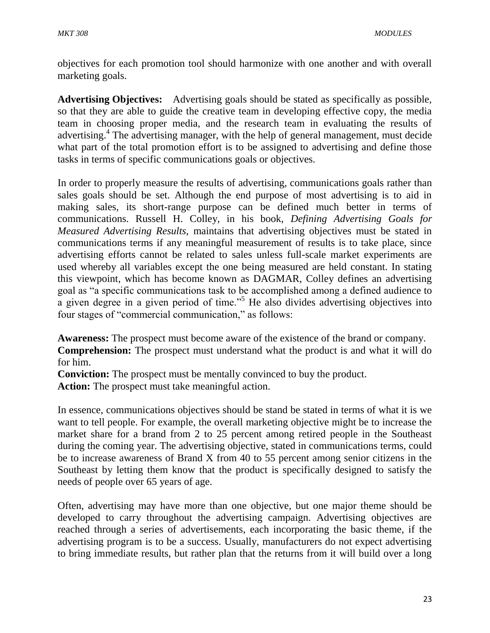objectives for each promotion tool should harmonize with one another and with overall marketing goals.

**Advertising Objectives:** Advertising goals should be stated as specifically as possible, so that they are able to guide the creative team in developing effective copy, the media team in choosing proper media, and the research team in evaluating the results of advertising.<sup>4</sup> The advertising manager, with the help of general management, must decide what part of the total promotion effort is to be assigned to advertising and define those tasks in terms of specific communications goals or objectives.

In order to properly measure the results of advertising, communications goals rather than sales goals should be set. Although the end purpose of most advertising is to aid in making sales, its short-range purpose can be defined much better in terms of communications. Russell H. Colley, in his book, *Defining Advertising Goals for Measured Advertising Results,* maintains that advertising objectives must be stated in communications terms if any meaningful measurement of results is to take place, since advertising efforts cannot be related to sales unless full-scale market experiments are used whereby all variables except the one being measured are held constant. In stating this viewpoint, which has become known as DAGMAR, Colley defines an advertising goal as "a specific communications task to be accomplished among a defined audience to a given degree in a given period of time."<sup>5</sup> He also divides advertising objectives into four stages of "commercial communication," as follows:

**Awareness:** The prospect must become aware of the existence of the brand or company. **Comprehension:** The prospect must understand what the product is and what it will do for him.

**Conviction:** The prospect must be mentally convinced to buy the product.

**Action:** The prospect must take meaningful action.

In essence, communications objectives should be stand be stated in terms of what it is we want to tell people. For example, the overall marketing objective might be to increase the market share for a brand from 2 to 25 percent among retired people in the Southeast during the coming year. The advertising objective, stated in communications terms, could be to increase awareness of Brand X from 40 to 55 percent among senior citizens in the Southeast by letting them know that the product is specifically designed to satisfy the needs of people over 65 years of age.

Often, advertising may have more than one objective, but one major theme should be developed to carry throughout the advertising campaign. Advertising objectives are reached through a series of advertisements, each incorporating the basic theme, if the advertising program is to be a success. Usually, manufacturers do not expect advertising to bring immediate results, but rather plan that the returns from it will build over a long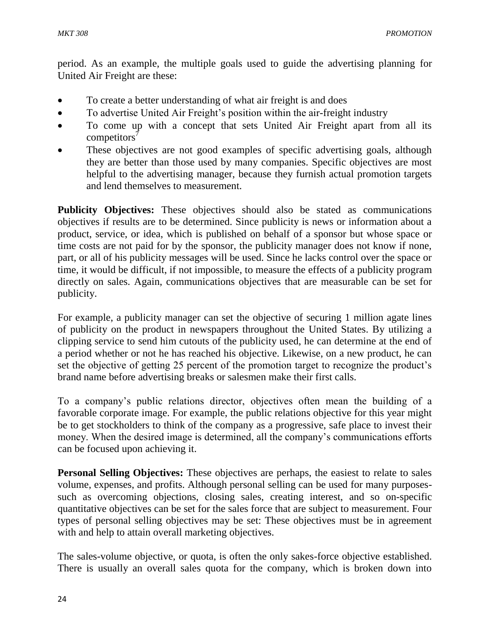period. As an example, the multiple goals used to guide the advertising planning for United Air Freight are these:

- To create a better understanding of what air freight is and does
- To advertise United Air Freight's position within the air-freight industry
- To come up with a concept that sets United Air Freight apart from all its competitors<sup>7</sup>
- These objectives are not good examples of specific advertising goals, although they are better than those used by many companies. Specific objectives are most helpful to the advertising manager, because they furnish actual promotion targets and lend themselves to measurement.

**Publicity Objectives:** These objectives should also be stated as communications objectives if results are to be determined. Since publicity is news or information about a product, service, or idea, which is published on behalf of a sponsor but whose space or time costs are not paid for by the sponsor, the publicity manager does not know if none, part, or all of his publicity messages will be used. Since he lacks control over the space or time, it would be difficult, if not impossible, to measure the effects of a publicity program directly on sales. Again, communications objectives that are measurable can be set for publicity.

For example, a publicity manager can set the objective of securing 1 million agate lines of publicity on the product in newspapers throughout the United States. By utilizing a clipping service to send him cutouts of the publicity used, he can determine at the end of a period whether or not he has reached his objective. Likewise, on a new product, he can set the objective of getting 25 percent of the promotion target to recognize the product's brand name before advertising breaks or salesmen make their first calls.

To a company's public relations director, objectives often mean the building of a favorable corporate image. For example, the public relations objective for this year might be to get stockholders to think of the company as a progressive, safe place to invest their money. When the desired image is determined, all the company's communications efforts can be focused upon achieving it.

**Personal Selling Objectives:** These objectives are perhaps, the easiest to relate to sales volume, expenses, and profits. Although personal selling can be used for many purposessuch as overcoming objections, closing sales, creating interest, and so on-specific quantitative objectives can be set for the sales force that are subject to measurement. Four types of personal selling objectives may be set: These objectives must be in agreement with and help to attain overall marketing objectives.

The sales-volume objective, or quota, is often the only sakes-force objective established. There is usually an overall sales quota for the company, which is broken down into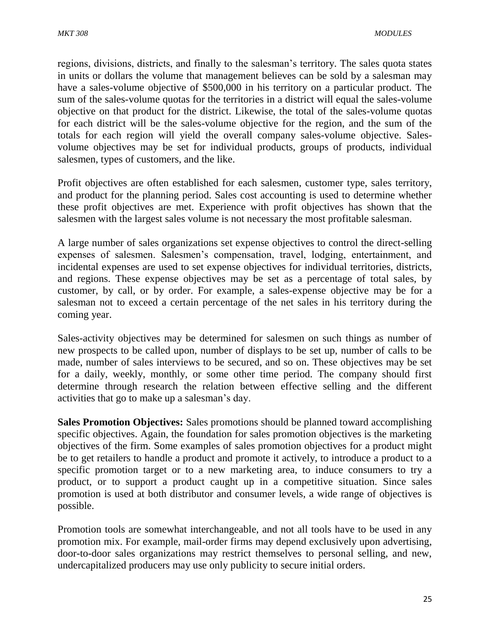regions, divisions, districts, and finally to the salesman's territory. The sales quota states in units or dollars the volume that management believes can be sold by a salesman may have a sales-volume objective of \$500,000 in his territory on a particular product. The sum of the sales-volume quotas for the territories in a district will equal the sales-volume objective on that product for the district. Likewise, the total of the sales-volume quotas for each district will be the sales-volume objective for the region, and the sum of the totals for each region will yield the overall company sales-volume objective. Salesvolume objectives may be set for individual products, groups of products, individual salesmen, types of customers, and the like.

Profit objectives are often established for each salesmen, customer type, sales territory, and product for the planning period. Sales cost accounting is used to determine whether these profit objectives are met. Experience with profit objectives has shown that the salesmen with the largest sales volume is not necessary the most profitable salesman.

A large number of sales organizations set expense objectives to control the direct-selling expenses of salesmen. Salesmen's compensation, travel, lodging, entertainment, and incidental expenses are used to set expense objectives for individual territories, districts, and regions. These expense objectives may be set as a percentage of total sales, by customer, by call, or by order. For example, a sales-expense objective may be for a salesman not to exceed a certain percentage of the net sales in his territory during the coming year.

Sales-activity objectives may be determined for salesmen on such things as number of new prospects to be called upon, number of displays to be set up, number of calls to be made, number of sales interviews to be secured, and so on. These objectives may be set for a daily, weekly, monthly, or some other time period. The company should first determine through research the relation between effective selling and the different activities that go to make up a salesman's day.

**Sales Promotion Objectives:** Sales promotions should be planned toward accomplishing specific objectives. Again, the foundation for sales promotion objectives is the marketing objectives of the firm. Some examples of sales promotion objectives for a product might be to get retailers to handle a product and promote it actively, to introduce a product to a specific promotion target or to a new marketing area, to induce consumers to try a product, or to support a product caught up in a competitive situation. Since sales promotion is used at both distributor and consumer levels, a wide range of objectives is possible.

Promotion tools are somewhat interchangeable, and not all tools have to be used in any promotion mix. For example, mail-order firms may depend exclusively upon advertising, door-to-door sales organizations may restrict themselves to personal selling, and new, undercapitalized producers may use only publicity to secure initial orders.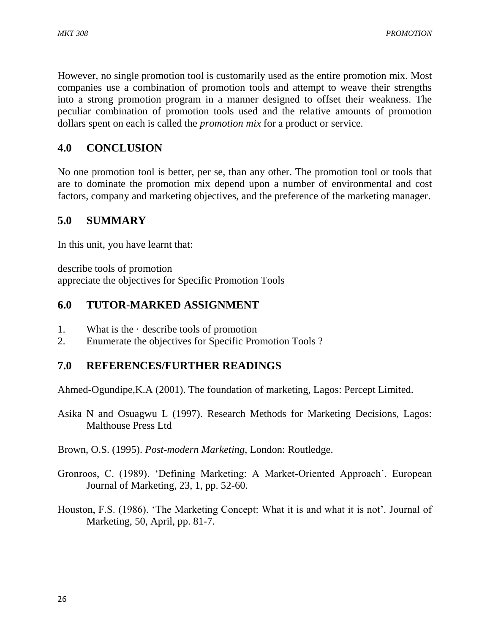However, no single promotion tool is customarily used as the entire promotion mix. Most companies use a combination of promotion tools and attempt to weave their strengths into a strong promotion program in a manner designed to offset their weakness. The peculiar combination of promotion tools used and the relative amounts of promotion dollars spent on each is called the *promotion mix* for a product or service.

## **4.0 CONCLUSION**

No one promotion tool is better, per se, than any other. The promotion tool or tools that are to dominate the promotion mix depend upon a number of environmental and cost factors, company and marketing objectives, and the preference of the marketing manager.

## **5.0 SUMMARY**

In this unit, you have learnt that:

describe tools of promotion appreciate the objectives for Specific Promotion Tools

## **6.0 TUTOR-MARKED ASSIGNMENT**

- 1. What is the  $\cdot$  describe tools of promotion
- 2. Enumerate the objectives for Specific Promotion Tools ?

## **7.0 REFERENCES/FURTHER READINGS**

Ahmed-Ogundipe,K.A (2001). The foundation of marketing, Lagos: Percept Limited.

Asika N and Osuagwu L (1997). Research Methods for Marketing Decisions, Lagos: Malthouse Press Ltd

Brown, O.S. (1995). *Post-modern Marketing*, London: Routledge.

- Gronroos, C. (1989). 'Defining Marketing: A Market-Oriented Approach'. European Journal of Marketing, 23, 1, pp. 52-60.
- Houston, F.S. (1986). 'The Marketing Concept: What it is and what it is not'. Journal of Marketing, 50, April, pp. 81-7.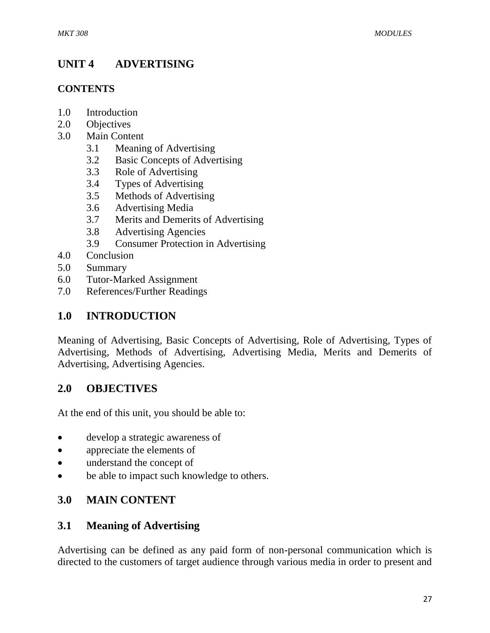# **UNIT 4 ADVERTISING**

## **CONTENTS**

- 1.0 Introduction
- 2.0 Objectives
- 3.0 Main Content
	- 3.1 Meaning of Advertising
	- 3.2 Basic Concepts of Advertising
	- 3.3 Role of Advertising
	- 3.4 Types of Advertising
	- 3.5 Methods of Advertising
	- 3.6 Advertising Media
	- 3.7 Merits and Demerits of Advertising
	- 3.8 Advertising Agencies
	- 3.9 Consumer Protection in Advertising
- 4.0 Conclusion
- 5.0 Summary
- 6.0 Tutor-Marked Assignment
- 7.0 References/Further Readings

# **1.0 INTRODUCTION**

Meaning of Advertising, Basic Concepts of Advertising, Role of Advertising, Types of Advertising, Methods of Advertising, Advertising Media, Merits and Demerits of Advertising, Advertising Agencies.

# **2.0 OBJECTIVES**

At the end of this unit, you should be able to:

- develop a strategic awareness of
- appreciate the elements of
- understand the concept of
- be able to impact such knowledge to others.

# **3.0 MAIN CONTENT**

# **3.1 Meaning of Advertising**

Advertising can be defined as any paid form of non-personal communication which is directed to the customers of target audience through various media in order to present and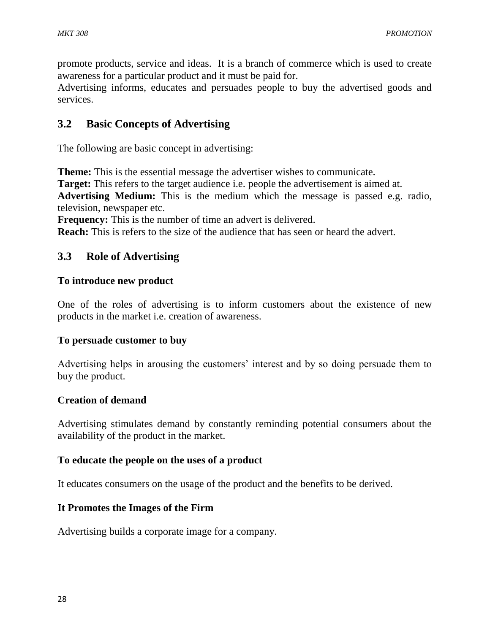promote products, service and ideas. It is a branch of commerce which is used to create awareness for a particular product and it must be paid for.

Advertising informs, educates and persuades people to buy the advertised goods and services.

## **3.2 Basic Concepts of Advertising**

The following are basic concept in advertising:

**Theme:** This is the essential message the advertiser wishes to communicate.

**Target:** This refers to the target audience i.e. people the advertisement is aimed at.

**Advertising Medium:** This is the medium which the message is passed e.g. radio, television, newspaper etc.

**Frequency:** This is the number of time an advert is delivered.

**Reach:** This is refers to the size of the audience that has seen or heard the advert.

# **3.3 Role of Advertising**

#### **To introduce new product**

One of the roles of advertising is to inform customers about the existence of new products in the market i.e. creation of awareness.

#### **To persuade customer to buy**

Advertising helps in arousing the customers' interest and by so doing persuade them to buy the product.

#### **Creation of demand**

Advertising stimulates demand by constantly reminding potential consumers about the availability of the product in the market.

#### **To educate the people on the uses of a product**

It educates consumers on the usage of the product and the benefits to be derived.

#### **It Promotes the Images of the Firm**

Advertising builds a corporate image for a company.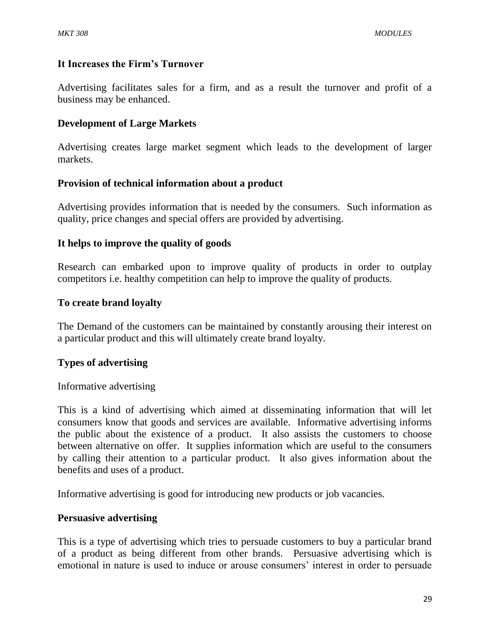#### **It Increases the Firm's Turnover**

Advertising facilitates sales for a firm, and as a result the turnover and profit of a business may be enhanced.

#### **Development of Large Markets**

Advertising creates large market segment which leads to the development of larger markets.

#### **Provision of technical information about a product**

Advertising provides information that is needed by the consumers. Such information as quality, price changes and special offers are provided by advertising.

#### **It helps to improve the quality of goods**

Research can embarked upon to improve quality of products in order to outplay competitors i.e. healthy competition can help to improve the quality of products.

#### **To create brand loyalty**

The Demand of the customers can be maintained by constantly arousing their interest on a particular product and this will ultimately create brand loyalty.

#### **Types of advertising**

Informative advertising

This is a kind of advertising which aimed at disseminating information that will let consumers know that goods and services are available. Informative advertising informs the public about the existence of a product. It also assists the customers to choose between alternative on offer. It supplies information which are useful to the consumers by calling their attention to a particular product. It also gives information about the benefits and uses of a product.

Informative advertising is good for introducing new products or job vacancies.

#### **Persuasive advertising**

This is a type of advertising which tries to persuade customers to buy a particular brand of a product as being different from other brands. Persuasive advertising which is emotional in nature is used to induce or arouse consumers' interest in order to persuade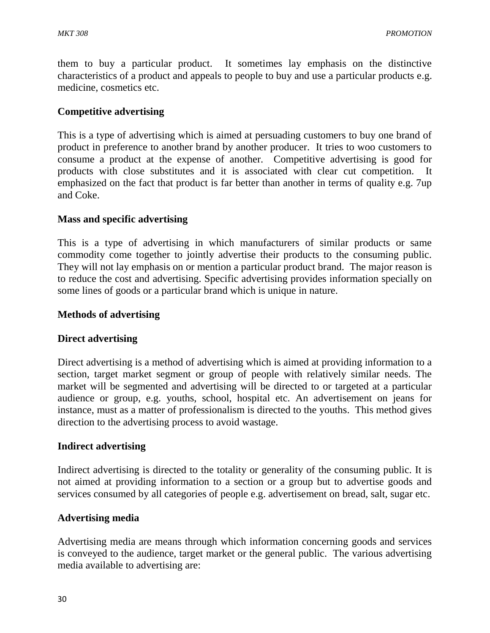them to buy a particular product. It sometimes lay emphasis on the distinctive characteristics of a product and appeals to people to buy and use a particular products e.g. medicine, cosmetics etc.

#### **Competitive advertising**

This is a type of advertising which is aimed at persuading customers to buy one brand of product in preference to another brand by another producer. It tries to woo customers to consume a product at the expense of another. Competitive advertising is good for products with close substitutes and it is associated with clear cut competition. It emphasized on the fact that product is far better than another in terms of quality e.g. 7up and Coke.

#### **Mass and specific advertising**

This is a type of advertising in which manufacturers of similar products or same commodity come together to jointly advertise their products to the consuming public. They will not lay emphasis on or mention a particular product brand. The major reason is to reduce the cost and advertising. Specific advertising provides information specially on some lines of goods or a particular brand which is unique in nature.

#### **Methods of advertising**

#### **Direct advertising**

Direct advertising is a method of advertising which is aimed at providing information to a section, target market segment or group of people with relatively similar needs. The market will be segmented and advertising will be directed to or targeted at a particular audience or group, e.g. youths, school, hospital etc. An advertisement on jeans for instance, must as a matter of professionalism is directed to the youths. This method gives direction to the advertising process to avoid wastage.

#### **Indirect advertising**

Indirect advertising is directed to the totality or generality of the consuming public. It is not aimed at providing information to a section or a group but to advertise goods and services consumed by all categories of people e.g. advertisement on bread, salt, sugar etc.

#### **Advertising media**

Advertising media are means through which information concerning goods and services is conveyed to the audience, target market or the general public. The various advertising media available to advertising are: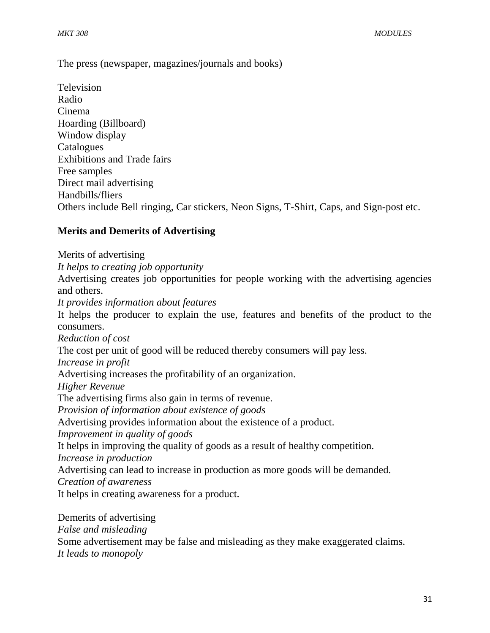## The press (newspaper, magazines/journals and books)

Television Radio Cinema Hoarding (Billboard) Window display **Catalogues** Exhibitions and Trade fairs Free samples Direct mail advertising Handbills/fliers Others include Bell ringing, Car stickers, Neon Signs, T-Shirt, Caps, and Sign-post etc.

## **Merits and Demerits of Advertising**

Merits of advertising *It helps to creating job opportunity*  Advertising creates job opportunities for people working with the advertising agencies and others. *It provides information about features* It helps the producer to explain the use, features and benefits of the product to the consumers. *Reduction of cost* The cost per unit of good will be reduced thereby consumers will pay less. *Increase in profit* Advertising increases the profitability of an organization. *Higher Revenue* The advertising firms also gain in terms of revenue. *Provision of information about existence of goods* Advertising provides information about the existence of a product. *Improvement in quality of goods* It helps in improving the quality of goods as a result of healthy competition. *Increase in production*  Advertising can lead to increase in production as more goods will be demanded. *Creation of awareness* It helps in creating awareness for a product.

Demerits of advertising *False and misleading* Some advertisement may be false and misleading as they make exaggerated claims. *It leads to monopoly*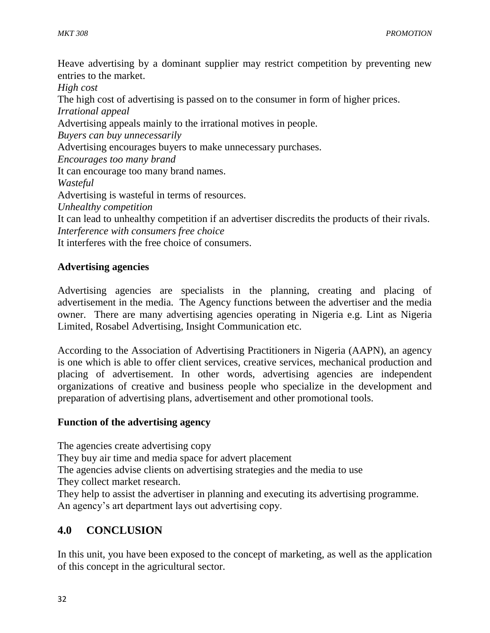Heave advertising by a dominant supplier may restrict competition by preventing new entries to the market.

*High cost*

The high cost of advertising is passed on to the consumer in form of higher prices.

*Irrational appeal*

Advertising appeals mainly to the irrational motives in people.

*Buyers can buy unnecessarily* 

Advertising encourages buyers to make unnecessary purchases.

*Encourages too many brand*

It can encourage too many brand names.

*Wasteful*

Advertising is wasteful in terms of resources.

*Unhealthy competition* 

It can lead to unhealthy competition if an advertiser discredits the products of their rivals. *Interference with consumers free choice* 

It interferes with the free choice of consumers.

# **Advertising agencies**

Advertising agencies are specialists in the planning, creating and placing of advertisement in the media. The Agency functions between the advertiser and the media owner. There are many advertising agencies operating in Nigeria e.g. Lint as Nigeria Limited, Rosabel Advertising, Insight Communication etc.

According to the Association of Advertising Practitioners in Nigeria (AAPN), an agency is one which is able to offer client services, creative services, mechanical production and placing of advertisement. In other words, advertising agencies are independent organizations of creative and business people who specialize in the development and preparation of advertising plans, advertisement and other promotional tools.

## **Function of the advertising agency**

The agencies create advertising copy

They buy air time and media space for advert placement

The agencies advise clients on advertising strategies and the media to use

They collect market research.

They help to assist the advertiser in planning and executing its advertising programme. An agency's art department lays out advertising copy.

# **4.0 CONCLUSION**

In this unit, you have been exposed to the concept of marketing, as well as the application of this concept in the agricultural sector.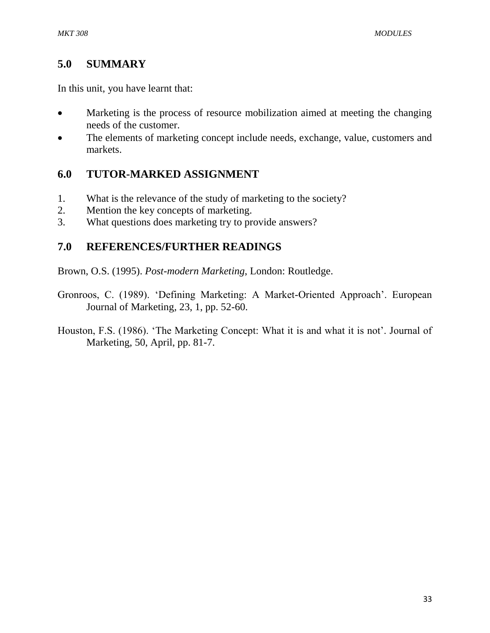# **5.0 SUMMARY**

In this unit, you have learnt that:

- Marketing is the process of resource mobilization aimed at meeting the changing needs of the customer.
- The elements of marketing concept include needs, exchange, value, customers and markets.

# **6.0 TUTOR-MARKED ASSIGNMENT**

- 1. What is the relevance of the study of marketing to the society?
- 2. Mention the key concepts of marketing.
- 3. What questions does marketing try to provide answers?

# **7.0 REFERENCES/FURTHER READINGS**

Brown, O.S. (1995). *Post-modern Marketing*, London: Routledge.

- Gronroos, C. (1989). 'Defining Marketing: A Market-Oriented Approach'. European Journal of Marketing, 23, 1, pp. 52-60.
- Houston, F.S. (1986). 'The Marketing Concept: What it is and what it is not'. Journal of Marketing, 50, April, pp. 81-7.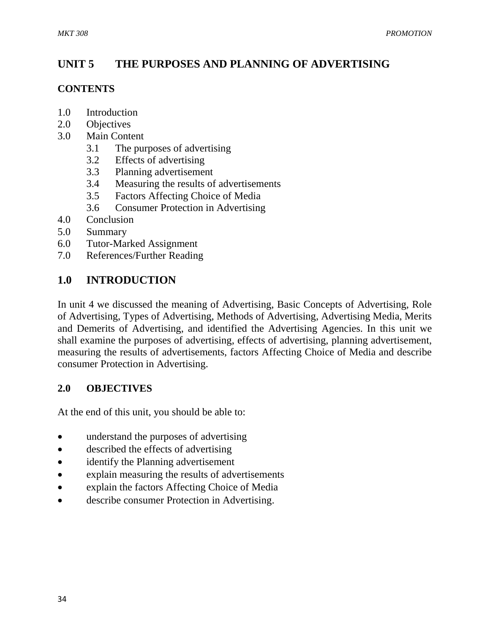# **UNIT 5 THE PURPOSES AND PLANNING OF ADVERTISING**

#### **CONTENTS**

- 1.0 Introduction
- 2.0 Objectives
- 3.0 Main Content
	- 3.1 The purposes of advertising
	- 3.2 Effects of advertising
	- 3.3 Planning advertisement
	- 3.4 Measuring the results of advertisements
	- 3.5 Factors Affecting Choice of Media
	- 3.6 Consumer Protection in Advertising
- 4.0 Conclusion
- 5.0 Summary
- 6.0 Tutor-Marked Assignment
- 7.0 References/Further Reading

# **1.0 INTRODUCTION**

In unit 4 we discussed the meaning of Advertising, Basic Concepts of Advertising, Role of Advertising, Types of Advertising, Methods of Advertising, Advertising Media, Merits and Demerits of Advertising, and identified the Advertising Agencies. In this unit we shall examine the purposes of advertising, effects of advertising, planning advertisement, measuring the results of advertisements, factors Affecting Choice of Media and describe consumer Protection in Advertising.

## **2.0 OBJECTIVES**

At the end of this unit, you should be able to:

- understand the purposes of advertising
- described the effects of advertising
- identify the Planning advertisement
- explain measuring the results of advertisements
- explain the factors Affecting Choice of Media
- describe consumer Protection in Advertising.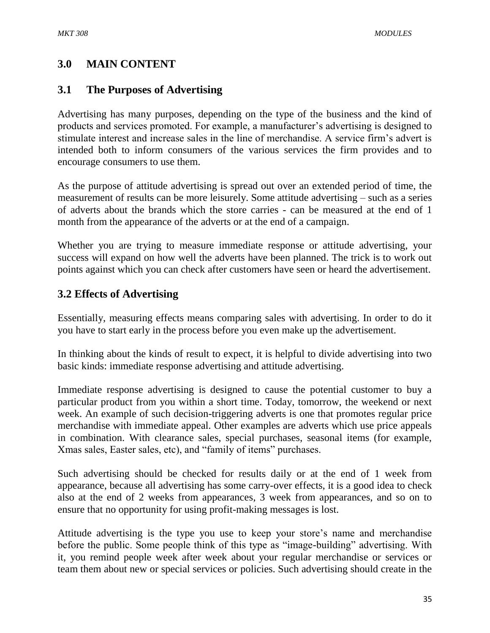# **3.0 MAIN CONTENT**

## **3.1 The Purposes of Advertising**

Advertising has many purposes, depending on the type of the business and the kind of products and services promoted. For example, a manufacturer's advertising is designed to stimulate interest and increase sales in the line of merchandise. A service firm's advert is intended both to inform consumers of the various services the firm provides and to encourage consumers to use them.

As the purpose of attitude advertising is spread out over an extended period of time, the measurement of results can be more leisurely. Some attitude advertising – such as a series of adverts about the brands which the store carries - can be measured at the end of 1 month from the appearance of the adverts or at the end of a campaign.

Whether you are trying to measure immediate response or attitude advertising, your success will expand on how well the adverts have been planned. The trick is to work out points against which you can check after customers have seen or heard the advertisement.

# **3.2 Effects of Advertising**

Essentially, measuring effects means comparing sales with advertising. In order to do it you have to start early in the process before you even make up the advertisement.

In thinking about the kinds of result to expect, it is helpful to divide advertising into two basic kinds: immediate response advertising and attitude advertising.

Immediate response advertising is designed to cause the potential customer to buy a particular product from you within a short time. Today, tomorrow, the weekend or next week. An example of such decision-triggering adverts is one that promotes regular price merchandise with immediate appeal. Other examples are adverts which use price appeals in combination. With clearance sales, special purchases, seasonal items (for example, Xmas sales, Easter sales, etc), and "family of items" purchases.

Such advertising should be checked for results daily or at the end of 1 week from appearance, because all advertising has some carry-over effects, it is a good idea to check also at the end of 2 weeks from appearances, 3 week from appearances, and so on to ensure that no opportunity for using profit-making messages is lost.

Attitude advertising is the type you use to keep your store's name and merchandise before the public. Some people think of this type as "image-building" advertising. With it, you remind people week after week about your regular merchandise or services or team them about new or special services or policies. Such advertising should create in the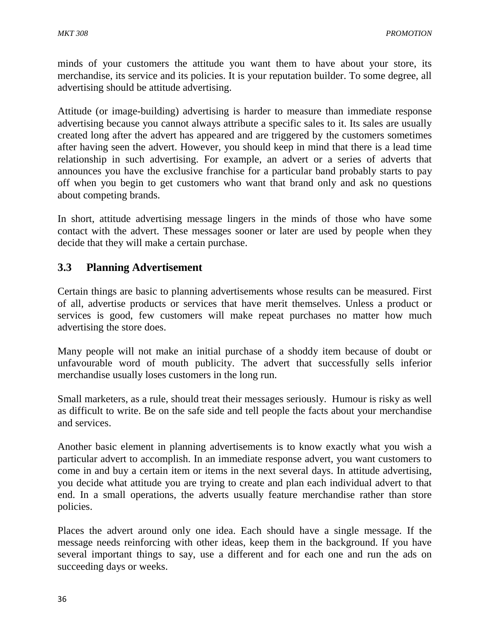minds of your customers the attitude you want them to have about your store, its merchandise, its service and its policies. It is your reputation builder. To some degree, all advertising should be attitude advertising.

Attitude (or image-building) advertising is harder to measure than immediate response advertising because you cannot always attribute a specific sales to it. Its sales are usually created long after the advert has appeared and are triggered by the customers sometimes after having seen the advert. However, you should keep in mind that there is a lead time relationship in such advertising. For example, an advert or a series of adverts that announces you have the exclusive franchise for a particular band probably starts to pay off when you begin to get customers who want that brand only and ask no questions about competing brands.

In short, attitude advertising message lingers in the minds of those who have some contact with the advert. These messages sooner or later are used by people when they decide that they will make a certain purchase.

## **3.3 Planning Advertisement**

Certain things are basic to planning advertisements whose results can be measured. First of all, advertise products or services that have merit themselves. Unless a product or services is good, few customers will make repeat purchases no matter how much advertising the store does.

Many people will not make an initial purchase of a shoddy item because of doubt or unfavourable word of mouth publicity. The advert that successfully sells inferior merchandise usually loses customers in the long run.

Small marketers, as a rule, should treat their messages seriously. Humour is risky as well as difficult to write. Be on the safe side and tell people the facts about your merchandise and services.

Another basic element in planning advertisements is to know exactly what you wish a particular advert to accomplish. In an immediate response advert, you want customers to come in and buy a certain item or items in the next several days. In attitude advertising, you decide what attitude you are trying to create and plan each individual advert to that end. In a small operations, the adverts usually feature merchandise rather than store policies.

Places the advert around only one idea. Each should have a single message. If the message needs reinforcing with other ideas, keep them in the background. If you have several important things to say, use a different and for each one and run the ads on succeeding days or weeks.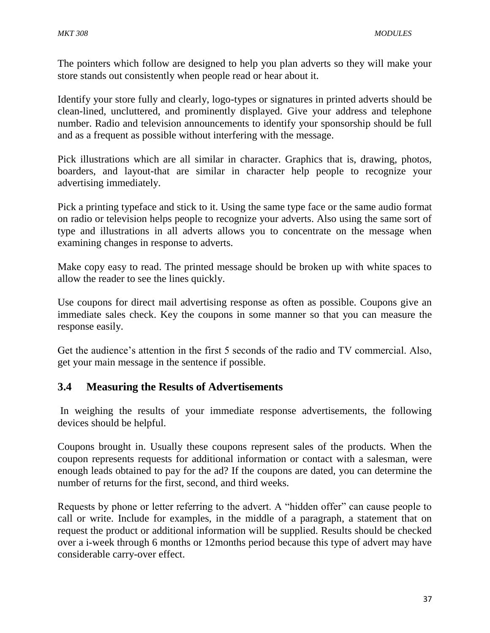The pointers which follow are designed to help you plan adverts so they will make your store stands out consistently when people read or hear about it.

Identify your store fully and clearly, logo-types or signatures in printed adverts should be clean-lined, uncluttered, and prominently displayed. Give your address and telephone number. Radio and television announcements to identify your sponsorship should be full and as a frequent as possible without interfering with the message.

Pick illustrations which are all similar in character. Graphics that is, drawing, photos, boarders, and layout-that are similar in character help people to recognize your advertising immediately.

Pick a printing typeface and stick to it. Using the same type face or the same audio format on radio or television helps people to recognize your adverts. Also using the same sort of type and illustrations in all adverts allows you to concentrate on the message when examining changes in response to adverts.

Make copy easy to read. The printed message should be broken up with white spaces to allow the reader to see the lines quickly.

Use coupons for direct mail advertising response as often as possible. Coupons give an immediate sales check. Key the coupons in some manner so that you can measure the response easily.

Get the audience's attention in the first 5 seconds of the radio and TV commercial. Also, get your main message in the sentence if possible.

## **3.4 Measuring the Results of Advertisements**

In weighing the results of your immediate response advertisements, the following devices should be helpful.

Coupons brought in. Usually these coupons represent sales of the products. When the coupon represents requests for additional information or contact with a salesman, were enough leads obtained to pay for the ad? If the coupons are dated, you can determine the number of returns for the first, second, and third weeks.

Requests by phone or letter referring to the advert. A "hidden offer" can cause people to call or write. Include for examples, in the middle of a paragraph, a statement that on request the product or additional information will be supplied. Results should be checked over a i-week through 6 months or 12months period because this type of advert may have considerable carry-over effect.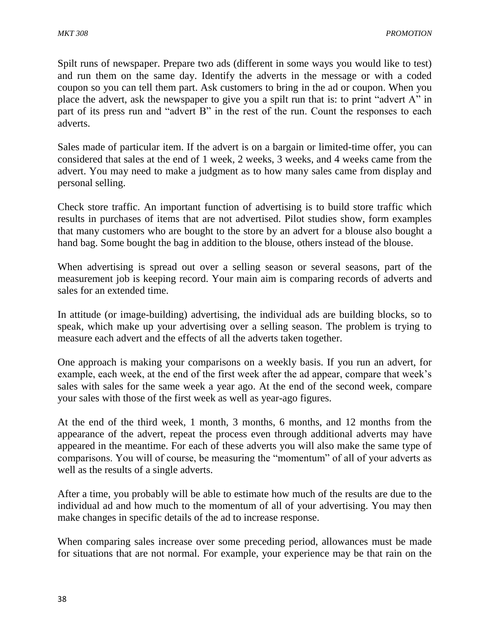Spilt runs of newspaper. Prepare two ads (different in some ways you would like to test) and run them on the same day. Identify the adverts in the message or with a coded coupon so you can tell them part. Ask customers to bring in the ad or coupon. When you place the advert, ask the newspaper to give you a spilt run that is: to print "advert A" in part of its press run and "advert B" in the rest of the run. Count the responses to each adverts.

Sales made of particular item. If the advert is on a bargain or limited-time offer, you can considered that sales at the end of 1 week, 2 weeks, 3 weeks, and 4 weeks came from the advert. You may need to make a judgment as to how many sales came from display and personal selling.

Check store traffic. An important function of advertising is to build store traffic which results in purchases of items that are not advertised. Pilot studies show, form examples that many customers who are bought to the store by an advert for a blouse also bought a hand bag. Some bought the bag in addition to the blouse, others instead of the blouse.

When advertising is spread out over a selling season or several seasons, part of the measurement job is keeping record. Your main aim is comparing records of adverts and sales for an extended time.

In attitude (or image-building) advertising, the individual ads are building blocks, so to speak, which make up your advertising over a selling season. The problem is trying to measure each advert and the effects of all the adverts taken together.

One approach is making your comparisons on a weekly basis. If you run an advert, for example, each week, at the end of the first week after the ad appear, compare that week's sales with sales for the same week a year ago. At the end of the second week, compare your sales with those of the first week as well as year-ago figures.

At the end of the third week, 1 month, 3 months, 6 months, and 12 months from the appearance of the advert, repeat the process even through additional adverts may have appeared in the meantime. For each of these adverts you will also make the same type of comparisons. You will of course, be measuring the "momentum" of all of your adverts as well as the results of a single adverts.

After a time, you probably will be able to estimate how much of the results are due to the individual ad and how much to the momentum of all of your advertising. You may then make changes in specific details of the ad to increase response.

When comparing sales increase over some preceding period, allowances must be made for situations that are not normal. For example, your experience may be that rain on the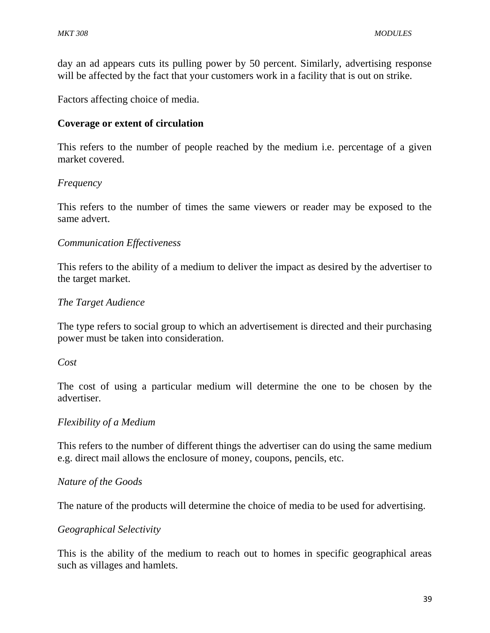day an ad appears cuts its pulling power by 50 percent. Similarly, advertising response will be affected by the fact that your customers work in a facility that is out on strike.

Factors affecting choice of media.

### **Coverage or extent of circulation**

This refers to the number of people reached by the medium i.e. percentage of a given market covered.

### *Frequency*

This refers to the number of times the same viewers or reader may be exposed to the same advert.

### *Communication Effectiveness*

This refers to the ability of a medium to deliver the impact as desired by the advertiser to the target market.

### *The Target Audience*

The type refers to social group to which an advertisement is directed and their purchasing power must be taken into consideration.

#### *Cost*

The cost of using a particular medium will determine the one to be chosen by the advertiser.

#### *Flexibility of a Medium*

This refers to the number of different things the advertiser can do using the same medium e.g. direct mail allows the enclosure of money, coupons, pencils, etc.

### *Nature of the Goods*

The nature of the products will determine the choice of media to be used for advertising.

#### *Geographical Selectivity*

This is the ability of the medium to reach out to homes in specific geographical areas such as villages and hamlets.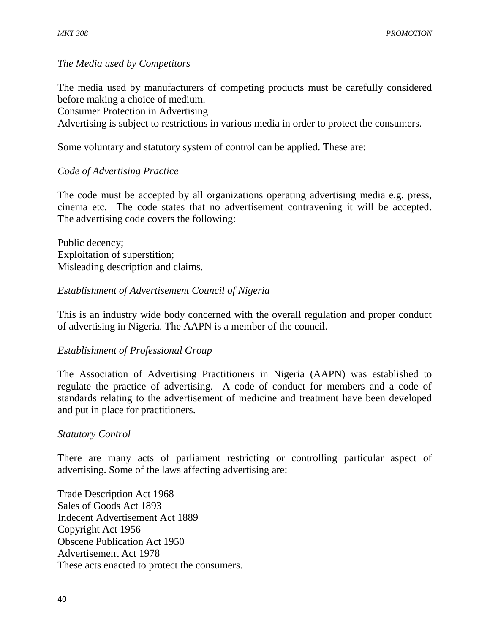### *The Media used by Competitors*

The media used by manufacturers of competing products must be carefully considered before making a choice of medium.

Consumer Protection in Advertising

Advertising is subject to restrictions in various media in order to protect the consumers.

Some voluntary and statutory system of control can be applied. These are:

### *Code of Advertising Practice*

The code must be accepted by all organizations operating advertising media e.g. press, cinema etc. The code states that no advertisement contravening it will be accepted. The advertising code covers the following:

Public decency; Exploitation of superstition; Misleading description and claims.

### *Establishment of Advertisement Council of Nigeria*

This is an industry wide body concerned with the overall regulation and proper conduct of advertising in Nigeria. The AAPN is a member of the council.

#### *Establishment of Professional Group*

The Association of Advertising Practitioners in Nigeria (AAPN) was established to regulate the practice of advertising. A code of conduct for members and a code of standards relating to the advertisement of medicine and treatment have been developed and put in place for practitioners.

#### *Statutory Control*

There are many acts of parliament restricting or controlling particular aspect of advertising. Some of the laws affecting advertising are:

Trade Description Act 1968 Sales of Goods Act 1893 Indecent Advertisement Act 1889 Copyright Act 1956 Obscene Publication Act 1950 Advertisement Act 1978 These acts enacted to protect the consumers.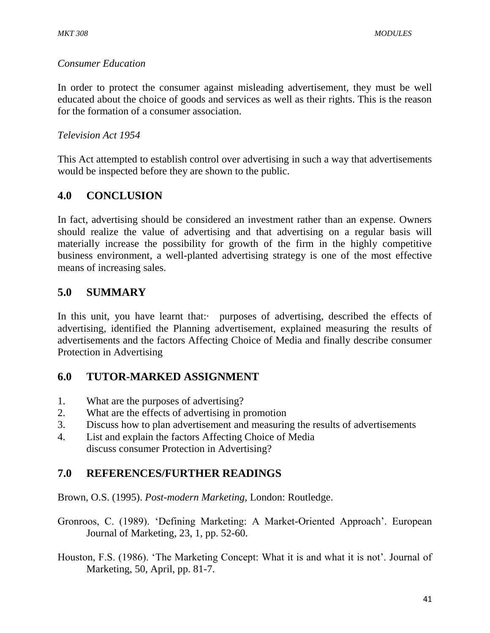### *Consumer Education*

In order to protect the consumer against misleading advertisement, they must be well educated about the choice of goods and services as well as their rights. This is the reason for the formation of a consumer association.

### *Television Act 1954*

This Act attempted to establish control over advertising in such a way that advertisements would be inspected before they are shown to the public.

## **4.0 CONCLUSION**

In fact, advertising should be considered an investment rather than an expense. Owners should realize the value of advertising and that advertising on a regular basis will materially increase the possibility for growth of the firm in the highly competitive business environment, a well-planted advertising strategy is one of the most effective means of increasing sales.

## **5.0 SUMMARY**

In this unit, you have learnt that: purposes of advertising, described the effects of advertising, identified the Planning advertisement, explained measuring the results of advertisements and the factors Affecting Choice of Media and finally describe consumer Protection in Advertising

## **6.0 TUTOR-MARKED ASSIGNMENT**

- 1. What are the purposes of advertising?
- 2. What are the effects of advertising in promotion
- 3. Discuss how to plan advertisement and measuring the results of advertisements
- 4. List and explain the factors Affecting Choice of Media discuss consumer Protection in Advertising?

## **7.0 REFERENCES/FURTHER READINGS**

Brown, O.S. (1995). *Post-modern Marketing*, London: Routledge.

Gronroos, C. (1989). 'Defining Marketing: A Market-Oriented Approach'. European Journal of Marketing, 23, 1, pp. 52-60.

Houston, F.S. (1986). 'The Marketing Concept: What it is and what it is not'. Journal of Marketing, 50, April, pp. 81-7.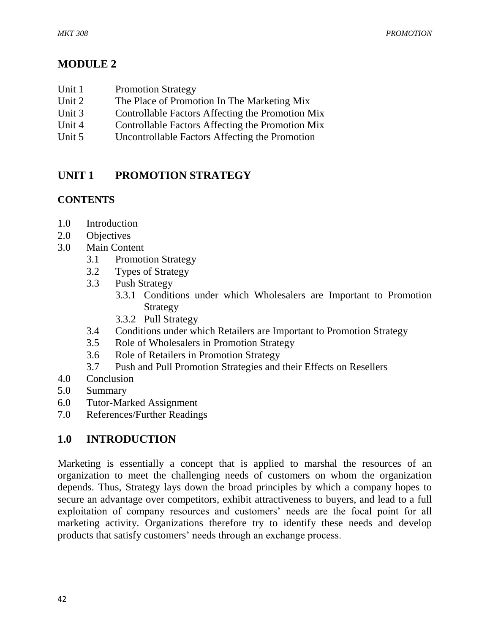# **MODULE 2**

| Unit 1 | <b>Promotion Strategy</b> |
|--------|---------------------------|
|--------|---------------------------|

- Unit 2 The Place of Promotion In The Marketing Mix
- Unit 3 Controllable Factors Affecting the Promotion Mix
- Unit 4 Controllable Factors Affecting the Promotion Mix
- Unit 5 Uncontrollable Factors Affecting the Promotion

# **UNIT 1 PROMOTION STRATEGY**

## **CONTENTS**

- 1.0 Introduction
- 2.0 Objectives
- 3.0 Main Content
	- 3.1 Promotion Strategy
	- 3.2 Types of Strategy
	- 3.3 Push Strategy
		- 3.3.1 Conditions under which Wholesalers are Important to Promotion Strategy
		- 3.3.2 Pull Strategy
	- 3.4 Conditions under which Retailers are Important to Promotion Strategy
	- 3.5 Role of Wholesalers in Promotion Strategy
	- 3.6 Role of Retailers in Promotion Strategy
	- 3.7 Push and Pull Promotion Strategies and their Effects on Resellers
- 4.0 Conclusion
- 5.0 Summary
- 6.0 Tutor-Marked Assignment
- 7.0 References/Further Readings

# **1.0 INTRODUCTION**

Marketing is essentially a concept that is applied to marshal the resources of an organization to meet the challenging needs of customers on whom the organization depends. Thus, Strategy lays down the broad principles by which a company hopes to secure an advantage over competitors, exhibit attractiveness to buyers, and lead to a full exploitation of company resources and customers' needs are the focal point for all marketing activity. Organizations therefore try to identify these needs and develop products that satisfy customers' needs through an exchange process.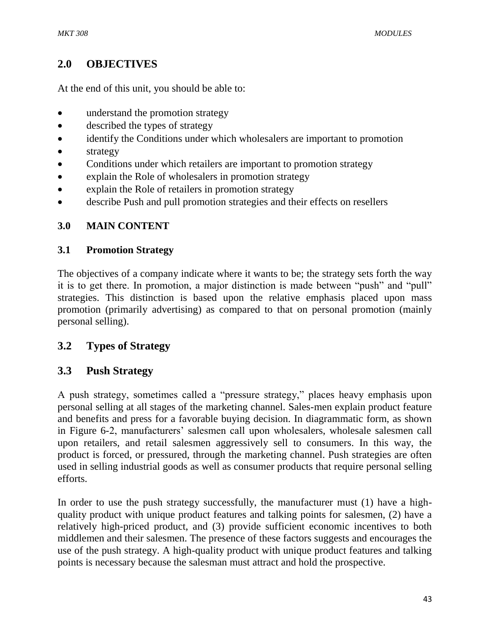# **2.0 OBJECTIVES**

At the end of this unit, you should be able to:

- understand the promotion strategy
- described the types of strategy
- identify the Conditions under which wholesalers are important to promotion
- strategy
- Conditions under which retailers are important to promotion strategy
- explain the Role of wholesalers in promotion strategy
- explain the Role of retailers in promotion strategy
- describe Push and pull promotion strategies and their effects on resellers

### **3.0 MAIN CONTENT**

### **3.1 Promotion Strategy**

The objectives of a company indicate where it wants to be; the strategy sets forth the way it is to get there. In promotion, a major distinction is made between "push" and "pull" strategies. This distinction is based upon the relative emphasis placed upon mass promotion (primarily advertising) as compared to that on personal promotion (mainly personal selling).

# **3.2 Types of Strategy**

# **3.3 Push Strategy**

A push strategy, sometimes called a "pressure strategy," places heavy emphasis upon personal selling at all stages of the marketing channel. Sales-men explain product feature and benefits and press for a favorable buying decision. In diagrammatic form, as shown in Figure 6-2, manufacturers' salesmen call upon wholesalers, wholesale salesmen call upon retailers, and retail salesmen aggressively sell to consumers. In this way, the product is forced, or pressured, through the marketing channel. Push strategies are often used in selling industrial goods as well as consumer products that require personal selling efforts.

In order to use the push strategy successfully, the manufacturer must (1) have a highquality product with unique product features and talking points for salesmen, (2) have a relatively high-priced product, and (3) provide sufficient economic incentives to both middlemen and their salesmen. The presence of these factors suggests and encourages the use of the push strategy. A high-quality product with unique product features and talking points is necessary because the salesman must attract and hold the prospective.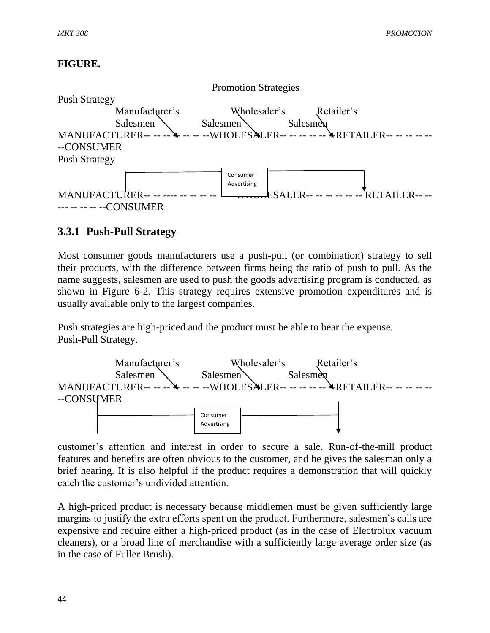### **FIGURE.**



# **3.3.1 Push-Pull Strategy**

Most consumer goods manufacturers use a push-pull (or combination) strategy to sell their products, with the difference between firms being the ratio of push to pull. As the name suggests, salesmen are used to push the goods advertising program is conducted, as shown in Figure 6-2. This strategy requires extensive promotion expenditures and is usually available only to the largest companies.

Push strategies are high-priced and the product must be able to bear the expense. Push-Pull Strategy.



customer's attention and interest in order to secure a sale. Run-of-the-mill product features and benefits are often obvious to the customer, and he gives the salesman only a brief hearing. It is also helpful if the product requires a demonstration that will quickly catch the customer's undivided attention.

A high-priced product is necessary because middlemen must be given sufficiently large margins to justify the extra efforts spent on the product. Furthermore, salesmen's calls are expensive and require either a high-priced product (as in the case of Electrolux vacuum cleaners), or a broad line of merchandise with a sufficiently large average order size (as in the case of Fuller Brush).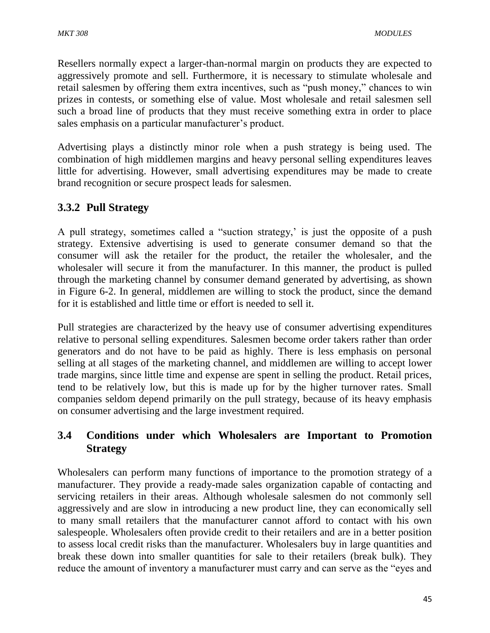Resellers normally expect a larger-than-normal margin on products they are expected to aggressively promote and sell. Furthermore, it is necessary to stimulate wholesale and retail salesmen by offering them extra incentives, such as "push money," chances to win prizes in contests, or something else of value. Most wholesale and retail salesmen sell such a broad line of products that they must receive something extra in order to place sales emphasis on a particular manufacturer's product.

Advertising plays a distinctly minor role when a push strategy is being used. The combination of high middlemen margins and heavy personal selling expenditures leaves little for advertising. However, small advertising expenditures may be made to create brand recognition or secure prospect leads for salesmen.

# **3.3.2 Pull Strategy**

A pull strategy, sometimes called a "suction strategy,' is just the opposite of a push strategy. Extensive advertising is used to generate consumer demand so that the consumer will ask the retailer for the product, the retailer the wholesaler, and the wholesaler will secure it from the manufacturer. In this manner, the product is pulled through the marketing channel by consumer demand generated by advertising, as shown in Figure 6-2. In general, middlemen are willing to stock the product, since the demand for it is established and little time or effort is needed to sell it.

Pull strategies are characterized by the heavy use of consumer advertising expenditures relative to personal selling expenditures. Salesmen become order takers rather than order generators and do not have to be paid as highly. There is less emphasis on personal selling at all stages of the marketing channel, and middlemen are willing to accept lower trade margins, since little time and expense are spent in selling the product. Retail prices, tend to be relatively low, but this is made up for by the higher turnover rates. Small companies seldom depend primarily on the pull strategy, because of its heavy emphasis on consumer advertising and the large investment required.

# **3.4 Conditions under which Wholesalers are Important to Promotion Strategy**

Wholesalers can perform many functions of importance to the promotion strategy of a manufacturer. They provide a ready-made sales organization capable of contacting and servicing retailers in their areas. Although wholesale salesmen do not commonly sell aggressively and are slow in introducing a new product line, they can economically sell to many small retailers that the manufacturer cannot afford to contact with his own salespeople. Wholesalers often provide credit to their retailers and are in a better position to assess local credit risks than the manufacturer. Wholesalers buy in large quantities and break these down into smaller quantities for sale to their retailers (break bulk). They reduce the amount of inventory a manufacturer must carry and can serve as the "eyes and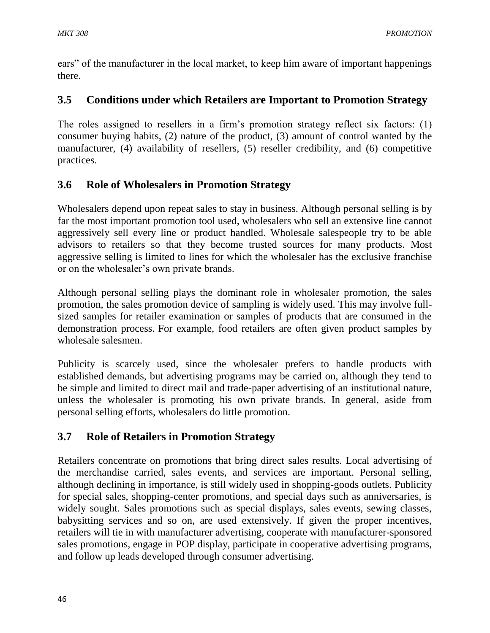ears" of the manufacturer in the local market, to keep him aware of important happenings there.

# **3.5 Conditions under which Retailers are Important to Promotion Strategy**

The roles assigned to resellers in a firm's promotion strategy reflect six factors: (1) consumer buying habits, (2) nature of the product, (3) amount of control wanted by the manufacturer, (4) availability of resellers, (5) reseller credibility, and (6) competitive practices.

# **3.6 Role of Wholesalers in Promotion Strategy**

Wholesalers depend upon repeat sales to stay in business. Although personal selling is by far the most important promotion tool used, wholesalers who sell an extensive line cannot aggressively sell every line or product handled. Wholesale salespeople try to be able advisors to retailers so that they become trusted sources for many products. Most aggressive selling is limited to lines for which the wholesaler has the exclusive franchise or on the wholesaler's own private brands.

Although personal selling plays the dominant role in wholesaler promotion, the sales promotion, the sales promotion device of sampling is widely used. This may involve fullsized samples for retailer examination or samples of products that are consumed in the demonstration process. For example, food retailers are often given product samples by wholesale salesmen.

Publicity is scarcely used, since the wholesaler prefers to handle products with established demands, but advertising programs may be carried on, although they tend to be simple and limited to direct mail and trade-paper advertising of an institutional nature, unless the wholesaler is promoting his own private brands. In general, aside from personal selling efforts, wholesalers do little promotion.

# **3.7 Role of Retailers in Promotion Strategy**

Retailers concentrate on promotions that bring direct sales results. Local advertising of the merchandise carried, sales events, and services are important. Personal selling, although declining in importance, is still widely used in shopping-goods outlets. Publicity for special sales, shopping-center promotions, and special days such as anniversaries, is widely sought. Sales promotions such as special displays, sales events, sewing classes, babysitting services and so on, are used extensively. If given the proper incentives, retailers will tie in with manufacturer advertising, cooperate with manufacturer-sponsored sales promotions, engage in POP display, participate in cooperative advertising programs, and follow up leads developed through consumer advertising.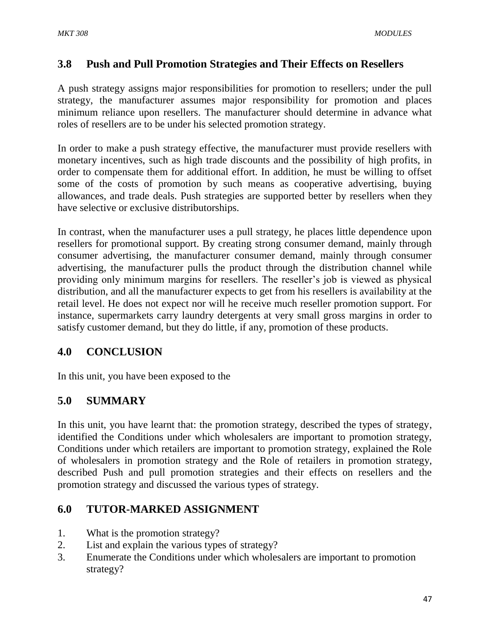### **3.8 Push and Pull Promotion Strategies and Their Effects on Resellers**

A push strategy assigns major responsibilities for promotion to resellers; under the pull strategy, the manufacturer assumes major responsibility for promotion and places minimum reliance upon resellers. The manufacturer should determine in advance what roles of resellers are to be under his selected promotion strategy.

In order to make a push strategy effective, the manufacturer must provide resellers with monetary incentives, such as high trade discounts and the possibility of high profits, in order to compensate them for additional effort. In addition, he must be willing to offset some of the costs of promotion by such means as cooperative advertising, buying allowances, and trade deals. Push strategies are supported better by resellers when they have selective or exclusive distributorships.

In contrast, when the manufacturer uses a pull strategy, he places little dependence upon resellers for promotional support. By creating strong consumer demand, mainly through consumer advertising, the manufacturer consumer demand, mainly through consumer advertising, the manufacturer pulls the product through the distribution channel while providing only minimum margins for resellers. The reseller's job is viewed as physical distribution, and all the manufacturer expects to get from his resellers is availability at the retail level. He does not expect nor will he receive much reseller promotion support. For instance, supermarkets carry laundry detergents at very small gross margins in order to satisfy customer demand, but they do little, if any, promotion of these products.

## **4.0 CONCLUSION**

In this unit, you have been exposed to the

# **5.0 SUMMARY**

In this unit, you have learnt that: the promotion strategy, described the types of strategy, identified the Conditions under which wholesalers are important to promotion strategy, Conditions under which retailers are important to promotion strategy, explained the Role of wholesalers in promotion strategy and the Role of retailers in promotion strategy, described Push and pull promotion strategies and their effects on resellers and the promotion strategy and discussed the various types of strategy.

## **6.0 TUTOR-MARKED ASSIGNMENT**

- 1. What is the promotion strategy?
- 2. List and explain the various types of strategy?
- 3. Enumerate the Conditions under which wholesalers are important to promotion strategy?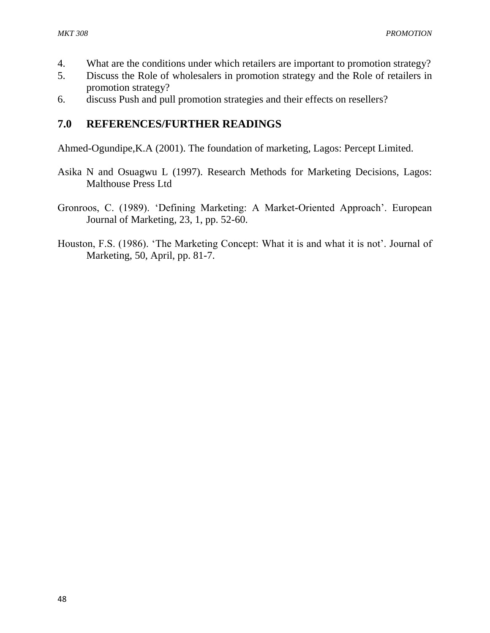- 4. What are the conditions under which retailers are important to promotion strategy?
- 5. Discuss the Role of wholesalers in promotion strategy and the Role of retailers in promotion strategy?
- 6. discuss Push and pull promotion strategies and their effects on resellers?

## **7.0 REFERENCES/FURTHER READINGS**

Ahmed-Ogundipe,K.A (2001). The foundation of marketing, Lagos: Percept Limited.

- Asika N and Osuagwu L (1997). Research Methods for Marketing Decisions, Lagos: Malthouse Press Ltd
- Gronroos, C. (1989). 'Defining Marketing: A Market-Oriented Approach'. European Journal of Marketing, 23, 1, pp. 52-60.
- Houston, F.S. (1986). 'The Marketing Concept: What it is and what it is not'. Journal of Marketing, 50, April, pp. 81-7.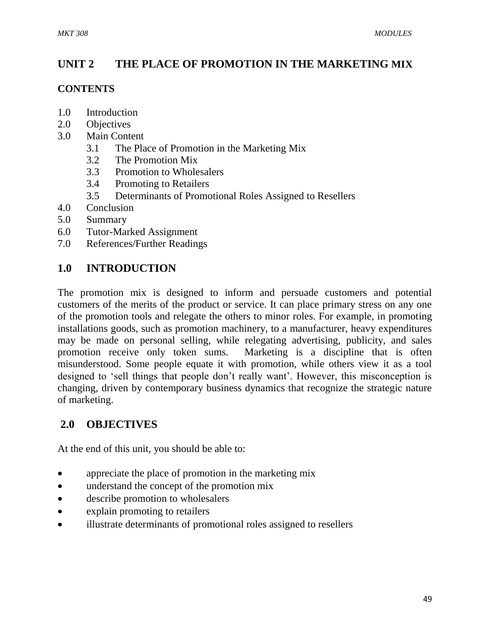# **UNIT 2 THE PLACE OF PROMOTION IN THE MARKETING MIX**

### **CONTENTS**

- 1.0 Introduction
- 2.0 Objectives
- 3.0 Main Content
	- 3.1 The Place of Promotion in the Marketing Mix
	- 3.2 The Promotion Mix
	- 3.3 Promotion to Wholesalers
	- 3.4 Promoting to Retailers
	- 3.5 Determinants of Promotional Roles Assigned to Resellers
- 4.0 Conclusion
- 5.0 Summary
- 6.0 Tutor-Marked Assignment
- 7.0 References/Further Readings

# **1.0 INTRODUCTION**

The promotion mix is designed to inform and persuade customers and potential customers of the merits of the product or service. It can place primary stress on any one of the promotion tools and relegate the others to minor roles. For example, in promoting installations goods, such as promotion machinery, to a manufacturer, heavy expenditures may be made on personal selling, while relegating advertising, publicity, and sales promotion receive only token sums. Marketing is a discipline that is often misunderstood. Some people equate it with promotion, while others view it as a tool designed to 'sell things that people don't really want'. However, this misconception is changing, driven by contemporary business dynamics that recognize the strategic nature of marketing.

# **2.0 OBJECTIVES**

At the end of this unit, you should be able to:

- appreciate the place of promotion in the marketing mix
- understand the concept of the promotion mix
- describe promotion to wholesalers
- explain promoting to retailers
- illustrate determinants of promotional roles assigned to resellers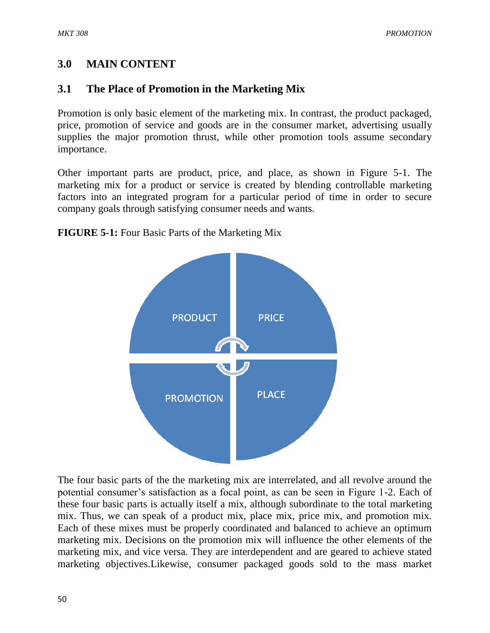# **3.0 MAIN CONTENT**

# **3.1 The Place of Promotion in the Marketing Mix**

Promotion is only basic element of the marketing mix. In contrast, the product packaged, price, promotion of service and goods are in the consumer market, advertising usually supplies the major promotion thrust, while other promotion tools assume secondary importance.

Other important parts are product, price, and place, as shown in Figure 5-1. The marketing mix for a product or service is created by blending controllable marketing factors into an integrated program for a particular period of time in order to secure company goals through satisfying consumer needs and wants.

## **FIGURE 5-1:** Four Basic Parts of the Marketing Mix



The four basic parts of the the marketing mix are interrelated, and all revolve around the potential consumer's satisfaction as a focal point, as can be seen in Figure 1-2. Each of these four basic parts is actually itself a mix, although subordinate to the total marketing mix. Thus, we can speak of a product mix, place mix, price mix, and promotion mix. Each of these mixes must be properly coordinated and balanced to achieve an optimum marketing mix. Decisions on the promotion mix will influence the other elements of the marketing mix, and vice versa. They are interdependent and are geared to achieve stated marketing objectives.Likewise, consumer packaged goods sold to the mass market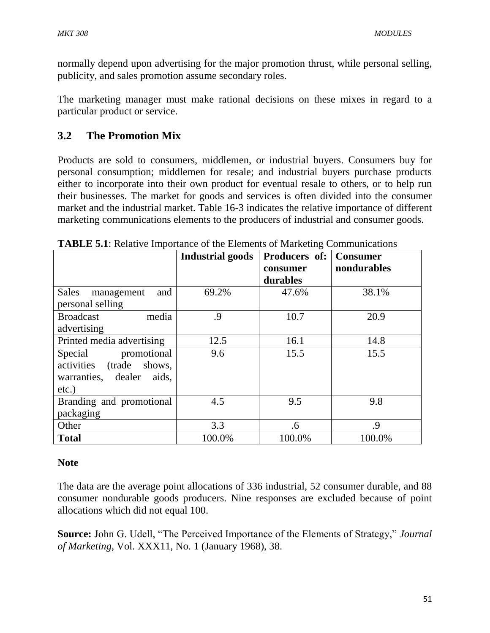normally depend upon advertising for the major promotion thrust, while personal selling, publicity, and sales promotion assume secondary roles.

The marketing manager must make rational decisions on these mixes in regard to a particular product or service.

# **3.2 The Promotion Mix**

Products are sold to consumers, middlemen, or industrial buyers. Consumers buy for personal consumption; middlemen for resale; and industrial buyers purchase products either to incorporate into their own product for eventual resale to others, or to help run their businesses. The market for goods and services is often divided into the consumer market and the industrial market. Table 16-3 indicates the relative importance of different marketing communications elements to the producers of industrial and consumer goods.

|                             | <b>Industrial goods</b> | Producers of: | <b>Consumer</b> |
|-----------------------------|-------------------------|---------------|-----------------|
|                             |                         | consumer      | nondurables     |
|                             |                         | durables      |                 |
| Sales<br>and<br>management  | 69.2%                   | 47.6%         | 38.1%           |
| personal selling            |                         |               |                 |
| media<br><b>Broadcast</b>   | .9                      | 10.7          | 20.9            |
| advertising                 |                         |               |                 |
| Printed media advertising   | 12.5                    | 16.1          | 14.8            |
| promotional<br>Special      | 9.6                     | 15.5          | 15.5            |
| activities (trade shows,    |                         |               |                 |
| warranties, dealer<br>aids. |                         |               |                 |
| $etc.$ )                    |                         |               |                 |
| Branding and promotional    | 4.5                     | 9.5           | 9.8             |
| packaging                   |                         |               |                 |
| Other                       | 3.3                     | .6            | .9              |
| <b>Total</b>                | 100.0%                  | 100.0%        | 100.0%          |

**TABLE 5.1**: Relative Importance of the Elements of Marketing Communications

### **Note**

The data are the average point allocations of 336 industrial, 52 consumer durable, and 88 consumer nondurable goods producers. Nine responses are excluded because of point allocations which did not equal 100.

**Source:** John G. Udell, "The Perceived Importance of the Elements of Strategy," *Journal of Marketing*, Vol. XXX11, No. 1 (January 1968), 38.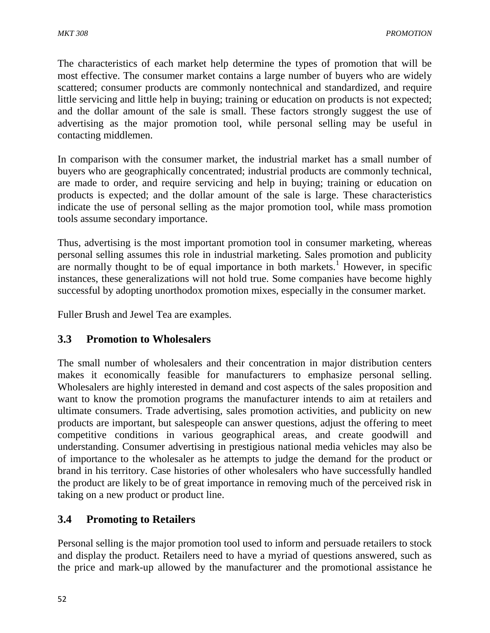The characteristics of each market help determine the types of promotion that will be most effective. The consumer market contains a large number of buyers who are widely scattered; consumer products are commonly nontechnical and standardized, and require little servicing and little help in buying; training or education on products is not expected; and the dollar amount of the sale is small. These factors strongly suggest the use of advertising as the major promotion tool, while personal selling may be useful in contacting middlemen.

In comparison with the consumer market, the industrial market has a small number of buyers who are geographically concentrated; industrial products are commonly technical, are made to order, and require servicing and help in buying; training or education on products is expected; and the dollar amount of the sale is large. These characteristics indicate the use of personal selling as the major promotion tool, while mass promotion tools assume secondary importance.

Thus, advertising is the most important promotion tool in consumer marketing, whereas personal selling assumes this role in industrial marketing. Sales promotion and publicity are normally thought to be of equal importance in both markets.<sup>1</sup> However, in specific instances, these generalizations will not hold true. Some companies have become highly successful by adopting unorthodox promotion mixes, especially in the consumer market.

Fuller Brush and Jewel Tea are examples.

## **3.3 Promotion to Wholesalers**

The small number of wholesalers and their concentration in major distribution centers makes it economically feasible for manufacturers to emphasize personal selling. Wholesalers are highly interested in demand and cost aspects of the sales proposition and want to know the promotion programs the manufacturer intends to aim at retailers and ultimate consumers. Trade advertising, sales promotion activities, and publicity on new products are important, but salespeople can answer questions, adjust the offering to meet competitive conditions in various geographical areas, and create goodwill and understanding. Consumer advertising in prestigious national media vehicles may also be of importance to the wholesaler as he attempts to judge the demand for the product or brand in his territory. Case histories of other wholesalers who have successfully handled the product are likely to be of great importance in removing much of the perceived risk in taking on a new product or product line.

## **3.4 Promoting to Retailers**

Personal selling is the major promotion tool used to inform and persuade retailers to stock and display the product. Retailers need to have a myriad of questions answered, such as the price and mark-up allowed by the manufacturer and the promotional assistance he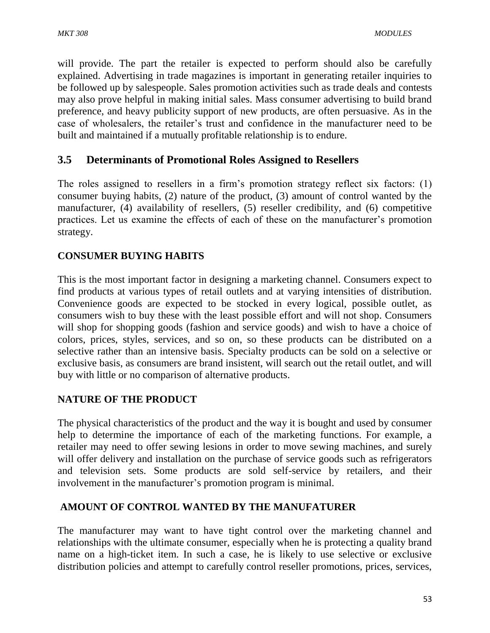will provide. The part the retailer is expected to perform should also be carefully explained. Advertising in trade magazines is important in generating retailer inquiries to be followed up by salespeople. Sales promotion activities such as trade deals and contests may also prove helpful in making initial sales. Mass consumer advertising to build brand preference, and heavy publicity support of new products, are often persuasive. As in the case of wholesalers, the retailer's trust and confidence in the manufacturer need to be built and maintained if a mutually profitable relationship is to endure.

## **3.5 Determinants of Promotional Roles Assigned to Resellers**

The roles assigned to resellers in a firm's promotion strategy reflect six factors: (1) consumer buying habits, (2) nature of the product, (3) amount of control wanted by the manufacturer, (4) availability of resellers, (5) reseller credibility, and (6) competitive practices. Let us examine the effects of each of these on the manufacturer's promotion strategy.

### **CONSUMER BUYING HABITS**

This is the most important factor in designing a marketing channel. Consumers expect to find products at various types of retail outlets and at varying intensities of distribution. Convenience goods are expected to be stocked in every logical, possible outlet, as consumers wish to buy these with the least possible effort and will not shop. Consumers will shop for shopping goods (fashion and service goods) and wish to have a choice of colors, prices, styles, services, and so on, so these products can be distributed on a selective rather than an intensive basis. Specialty products can be sold on a selective or exclusive basis, as consumers are brand insistent, will search out the retail outlet, and will buy with little or no comparison of alternative products.

## **NATURE OF THE PRODUCT**

The physical characteristics of the product and the way it is bought and used by consumer help to determine the importance of each of the marketing functions. For example, a retailer may need to offer sewing lesions in order to move sewing machines, and surely will offer delivery and installation on the purchase of service goods such as refrigerators and television sets. Some products are sold self-service by retailers, and their involvement in the manufacturer's promotion program is minimal.

### **AMOUNT OF CONTROL WANTED BY THE MANUFATURER**

The manufacturer may want to have tight control over the marketing channel and relationships with the ultimate consumer, especially when he is protecting a quality brand name on a high-ticket item. In such a case, he is likely to use selective or exclusive distribution policies and attempt to carefully control reseller promotions, prices, services,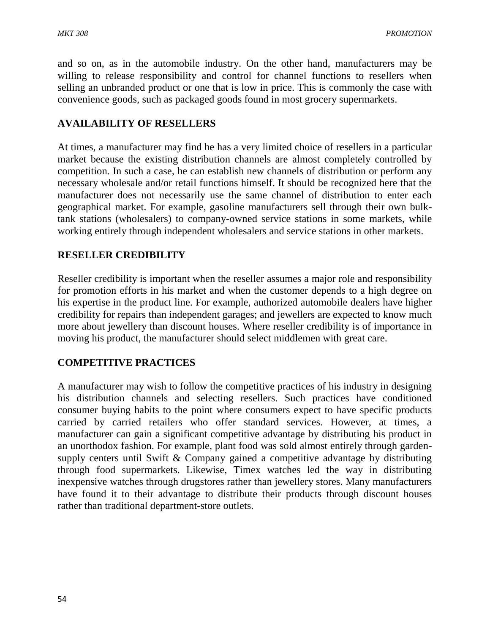and so on, as in the automobile industry. On the other hand, manufacturers may be willing to release responsibility and control for channel functions to resellers when selling an unbranded product or one that is low in price. This is commonly the case with convenience goods, such as packaged goods found in most grocery supermarkets.

### **AVAILABILITY OF RESELLERS**

At times, a manufacturer may find he has a very limited choice of resellers in a particular market because the existing distribution channels are almost completely controlled by competition. In such a case, he can establish new channels of distribution or perform any necessary wholesale and/or retail functions himself. It should be recognized here that the manufacturer does not necessarily use the same channel of distribution to enter each geographical market. For example, gasoline manufacturers sell through their own bulktank stations (wholesalers) to company-owned service stations in some markets, while working entirely through independent wholesalers and service stations in other markets.

### **RESELLER CREDIBILITY**

Reseller credibility is important when the reseller assumes a major role and responsibility for promotion efforts in his market and when the customer depends to a high degree on his expertise in the product line. For example, authorized automobile dealers have higher credibility for repairs than independent garages; and jewellers are expected to know much more about jewellery than discount houses. Where reseller credibility is of importance in moving his product, the manufacturer should select middlemen with great care.

### **COMPETITIVE PRACTICES**

A manufacturer may wish to follow the competitive practices of his industry in designing his distribution channels and selecting resellers. Such practices have conditioned consumer buying habits to the point where consumers expect to have specific products carried by carried retailers who offer standard services. However, at times, a manufacturer can gain a significant competitive advantage by distributing his product in an unorthodox fashion. For example, plant food was sold almost entirely through gardensupply centers until Swift & Company gained a competitive advantage by distributing through food supermarkets. Likewise, Timex watches led the way in distributing inexpensive watches through drugstores rather than jewellery stores. Many manufacturers have found it to their advantage to distribute their products through discount houses rather than traditional department-store outlets.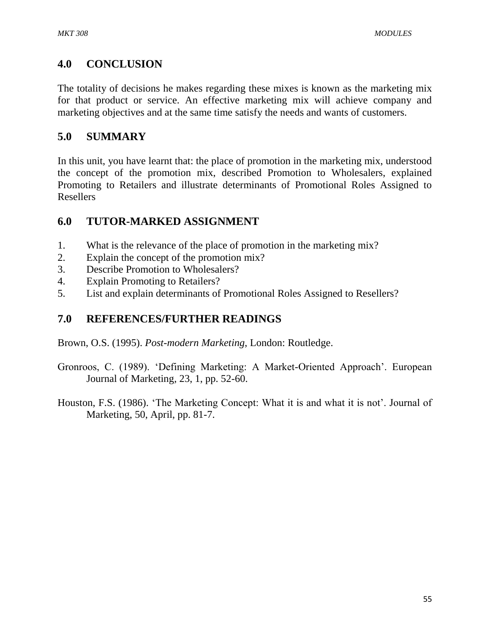# **4.0 CONCLUSION**

The totality of decisions he makes regarding these mixes is known as the marketing mix for that product or service. An effective marketing mix will achieve company and marketing objectives and at the same time satisfy the needs and wants of customers.

## **5.0 SUMMARY**

In this unit, you have learnt that: the place of promotion in the marketing mix, understood the concept of the promotion mix, described Promotion to Wholesalers, explained Promoting to Retailers and illustrate determinants of Promotional Roles Assigned to Resellers

# **6.0 TUTOR-MARKED ASSIGNMENT**

- 1. What is the relevance of the place of promotion in the marketing mix?
- 2. Explain the concept of the promotion mix?
- 3. Describe Promotion to Wholesalers?
- 4. Explain Promoting to Retailers?
- 5. List and explain determinants of Promotional Roles Assigned to Resellers?

# **7.0 REFERENCES/FURTHER READINGS**

Brown, O.S. (1995). *Post-modern Marketing*, London: Routledge.

- Gronroos, C. (1989). 'Defining Marketing: A Market-Oriented Approach'. European Journal of Marketing, 23, 1, pp. 52-60.
- Houston, F.S. (1986). 'The Marketing Concept: What it is and what it is not'. Journal of Marketing, 50, April, pp. 81-7.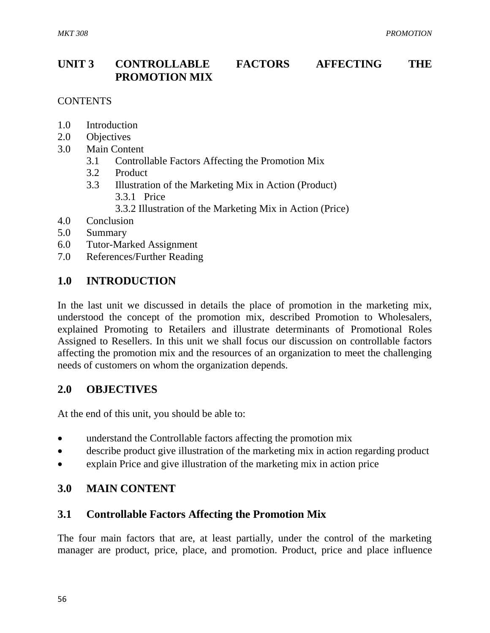# **UNIT 3 CONTROLLABLE FACTORS AFFECTING THE PROMOTION MIX**

#### **CONTENTS**

- 1.0 Introduction
- 2.0 Objectives
- 3.0 Main Content
	- 3.1 Controllable Factors Affecting the Promotion Mix
	- 3.2 Product
	- 3.3 Illustration of the Marketing Mix in Action (Product) 3.3.1 Price
		- 3.3.2 Illustration of the Marketing Mix in Action (Price)
- 4.0 Conclusion
- 5.0 Summary
- 6.0 Tutor-Marked Assignment
- 7.0 References/Further Reading

# **1.0 INTRODUCTION**

In the last unit we discussed in details the place of promotion in the marketing mix, understood the concept of the promotion mix, described Promotion to Wholesalers, explained Promoting to Retailers and illustrate determinants of Promotional Roles Assigned to Resellers. In this unit we shall focus our discussion on controllable factors affecting the promotion mix and the resources of an organization to meet the challenging needs of customers on whom the organization depends.

## **2.0 OBJECTIVES**

At the end of this unit, you should be able to:

- understand the Controllable factors affecting the promotion mix
- describe product give illustration of the marketing mix in action regarding product
- explain Price and give illustration of the marketing mix in action price

# **3.0 MAIN CONTENT**

## **3.1 Controllable Factors Affecting the Promotion Mix**

The four main factors that are, at least partially, under the control of the marketing manager are product, price, place, and promotion. Product, price and place influence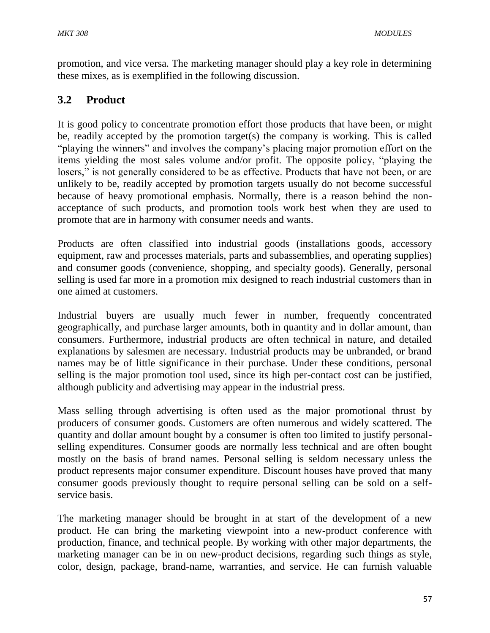promotion, and vice versa. The marketing manager should play a key role in determining these mixes, as is exemplified in the following discussion.

# **3.2 Product**

It is good policy to concentrate promotion effort those products that have been, or might be, readily accepted by the promotion target(s) the company is working. This is called "playing the winners" and involves the company's placing major promotion effort on the items yielding the most sales volume and/or profit. The opposite policy, "playing the losers," is not generally considered to be as effective. Products that have not been, or are unlikely to be, readily accepted by promotion targets usually do not become successful because of heavy promotional emphasis. Normally, there is a reason behind the nonacceptance of such products, and promotion tools work best when they are used to promote that are in harmony with consumer needs and wants.

Products are often classified into industrial goods (installations goods, accessory equipment, raw and processes materials, parts and subassemblies, and operating supplies) and consumer goods (convenience, shopping, and specialty goods). Generally, personal selling is used far more in a promotion mix designed to reach industrial customers than in one aimed at customers.

Industrial buyers are usually much fewer in number, frequently concentrated geographically, and purchase larger amounts, both in quantity and in dollar amount, than consumers. Furthermore, industrial products are often technical in nature, and detailed explanations by salesmen are necessary. Industrial products may be unbranded, or brand names may be of little significance in their purchase. Under these conditions, personal selling is the major promotion tool used, since its high per-contact cost can be justified, although publicity and advertising may appear in the industrial press.

Mass selling through advertising is often used as the major promotional thrust by producers of consumer goods. Customers are often numerous and widely scattered. The quantity and dollar amount bought by a consumer is often too limited to justify personalselling expenditures. Consumer goods are normally less technical and are often bought mostly on the basis of brand names. Personal selling is seldom necessary unless the product represents major consumer expenditure. Discount houses have proved that many consumer goods previously thought to require personal selling can be sold on a selfservice basis.

The marketing manager should be brought in at start of the development of a new product. He can bring the marketing viewpoint into a new-product conference with production, finance, and technical people. By working with other major departments, the marketing manager can be in on new-product decisions, regarding such things as style, color, design, package, brand-name, warranties, and service. He can furnish valuable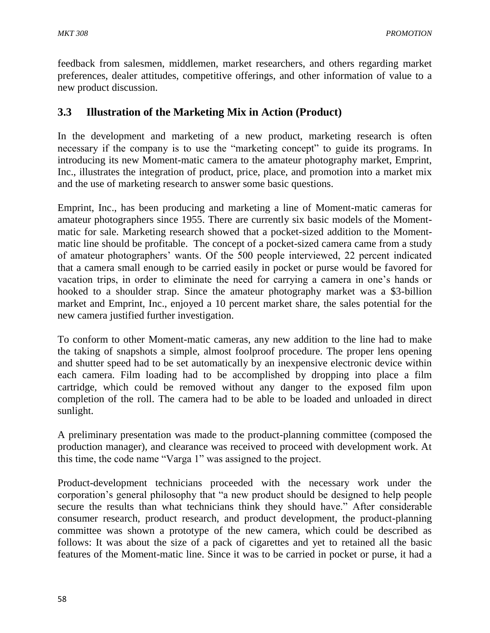feedback from salesmen, middlemen, market researchers, and others regarding market preferences, dealer attitudes, competitive offerings, and other information of value to a new product discussion.

### **3.3 Illustration of the Marketing Mix in Action (Product)**

In the development and marketing of a new product, marketing research is often necessary if the company is to use the "marketing concept" to guide its programs. In introducing its new Moment-matic camera to the amateur photography market, Emprint, Inc., illustrates the integration of product, price, place, and promotion into a market mix and the use of marketing research to answer some basic questions.

Emprint, Inc., has been producing and marketing a line of Moment-matic cameras for amateur photographers since 1955. There are currently six basic models of the Momentmatic for sale. Marketing research showed that a pocket-sized addition to the Momentmatic line should be profitable. The concept of a pocket-sized camera came from a study of amateur photographers' wants. Of the 500 people interviewed, 22 percent indicated that a camera small enough to be carried easily in pocket or purse would be favored for vacation trips, in order to eliminate the need for carrying a camera in one's hands or hooked to a shoulder strap. Since the amateur photography market was a \$3-billion market and Emprint, Inc., enjoyed a 10 percent market share, the sales potential for the new camera justified further investigation.

To conform to other Moment-matic cameras, any new addition to the line had to make the taking of snapshots a simple, almost foolproof procedure. The proper lens opening and shutter speed had to be set automatically by an inexpensive electronic device within each camera. Film loading had to be accomplished by dropping into place a film cartridge, which could be removed without any danger to the exposed film upon completion of the roll. The camera had to be able to be loaded and unloaded in direct sunlight.

A preliminary presentation was made to the product-planning committee (composed the production manager), and clearance was received to proceed with development work. At this time, the code name "Varga 1" was assigned to the project.

Product-development technicians proceeded with the necessary work under the corporation's general philosophy that "a new product should be designed to help people secure the results than what technicians think they should have." After considerable consumer research, product research, and product development, the product-planning committee was shown a prototype of the new camera, which could be described as follows: It was about the size of a pack of cigarettes and yet to retained all the basic features of the Moment-matic line. Since it was to be carried in pocket or purse, it had a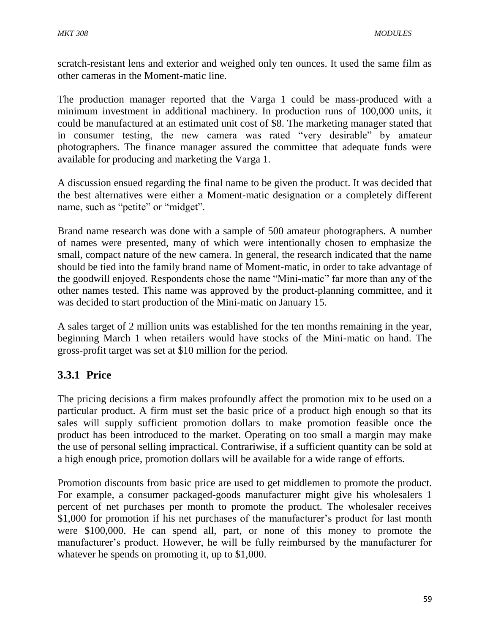scratch-resistant lens and exterior and weighed only ten ounces. It used the same film as other cameras in the Moment-matic line.

The production manager reported that the Varga 1 could be mass-produced with a minimum investment in additional machinery. In production runs of 100,000 units, it could be manufactured at an estimated unit cost of \$8. The marketing manager stated that in consumer testing, the new camera was rated "very desirable" by amateur photographers. The finance manager assured the committee that adequate funds were available for producing and marketing the Varga 1.

A discussion ensued regarding the final name to be given the product. It was decided that the best alternatives were either a Moment-matic designation or a completely different name, such as "petite" or "midget".

Brand name research was done with a sample of 500 amateur photographers. A number of names were presented, many of which were intentionally chosen to emphasize the small, compact nature of the new camera. In general, the research indicated that the name should be tied into the family brand name of Moment-matic, in order to take advantage of the goodwill enjoyed. Respondents chose the name "Mini-matic" far more than any of the other names tested. This name was approved by the product-planning committee, and it was decided to start production of the Mini-matic on January 15.

A sales target of 2 million units was established for the ten months remaining in the year, beginning March 1 when retailers would have stocks of the Mini-matic on hand. The gross-profit target was set at \$10 million for the period.

# **3.3.1 Price**

The pricing decisions a firm makes profoundly affect the promotion mix to be used on a particular product. A firm must set the basic price of a product high enough so that its sales will supply sufficient promotion dollars to make promotion feasible once the product has been introduced to the market. Operating on too small a margin may make the use of personal selling impractical. Contrariwise, if a sufficient quantity can be sold at a high enough price, promotion dollars will be available for a wide range of efforts.

Promotion discounts from basic price are used to get middlemen to promote the product. For example, a consumer packaged-goods manufacturer might give his wholesalers 1 percent of net purchases per month to promote the product. The wholesaler receives \$1,000 for promotion if his net purchases of the manufacturer's product for last month were \$100,000. He can spend all, part, or none of this money to promote the manufacturer's product. However, he will be fully reimbursed by the manufacturer for whatever he spends on promoting it, up to \$1,000.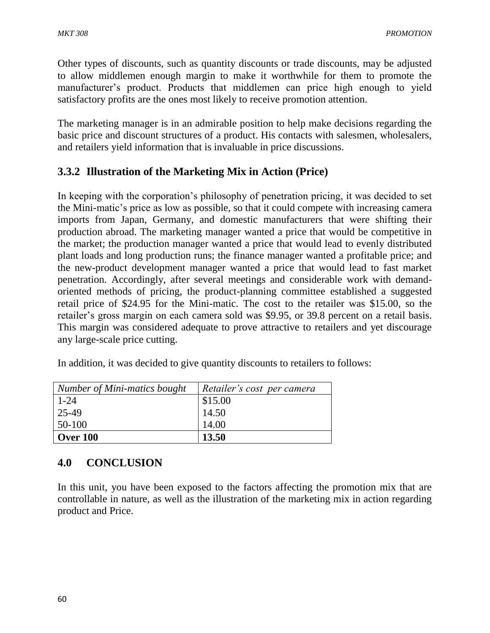Other types of discounts, such as quantity discounts or trade discounts, may be adjusted to allow middlemen enough margin to make it worthwhile for them to promote the manufacturer's product. Products that middlemen can price high enough to yield satisfactory profits are the ones most likely to receive promotion attention.

The marketing manager is in an admirable position to help make decisions regarding the basic price and discount structures of a product. His contacts with salesmen, wholesalers, and retailers yield information that is invaluable in price discussions.

# **3.3.2 Illustration of the Marketing Mix in Action (Price)**

In keeping with the corporation's philosophy of penetration pricing, it was decided to set the Mini-matic's price as low as possible, so that it could compete with increasing camera imports from Japan, Germany, and domestic manufacturers that were shifting their production abroad. The marketing manager wanted a price that would be competitive in the market; the production manager wanted a price that would lead to evenly distributed plant loads and long production runs; the finance manager wanted a profitable price; and the new-product development manager wanted a price that would lead to fast market penetration. Accordingly, after several meetings and considerable work with demandoriented methods of pricing, the product-planning committee established a suggested retail price of \$24.95 for the Mini-matic. The cost to the retailer was \$15.00, so the retailer's gross margin on each camera sold was \$9.95, or 39.8 percent on a retail basis. This margin was considered adequate to prove attractive to retailers and yet discourage any large-scale price cutting.

|  |  |  | In addition, it was decided to give quantity discounts to retailers to follows: |
|--|--|--|---------------------------------------------------------------------------------|
|--|--|--|---------------------------------------------------------------------------------|

| Number of Mini-matics bought | Retailer's cost per camera |
|------------------------------|----------------------------|
| $1 - 24$                     | \$15.00                    |
| 25-49                        | 14.50                      |
| 50-100                       | 14.00                      |
| Over 100                     | 13.50                      |

## **4.0 CONCLUSION**

In this unit, you have been exposed to the factors affecting the promotion mix that are controllable in nature, as well as the illustration of the marketing mix in action regarding product and Price.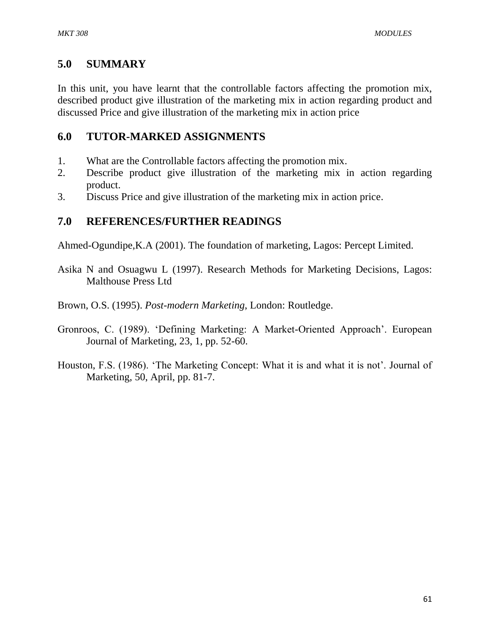# **5.0 SUMMARY**

In this unit, you have learnt that the controllable factors affecting the promotion mix, described product give illustration of the marketing mix in action regarding product and discussed Price and give illustration of the marketing mix in action price

## **6.0 TUTOR-MARKED ASSIGNMENTS**

- 1. What are the Controllable factors affecting the promotion mix.
- 2. Describe product give illustration of the marketing mix in action regarding product.
- 3. Discuss Price and give illustration of the marketing mix in action price.

# **7.0 REFERENCES/FURTHER READINGS**

Ahmed-Ogundipe,K.A (2001). The foundation of marketing, Lagos: Percept Limited.

Asika N and Osuagwu L (1997). Research Methods for Marketing Decisions, Lagos: Malthouse Press Ltd

Brown, O.S. (1995). *Post-modern Marketing*, London: Routledge.

- Gronroos, C. (1989). 'Defining Marketing: A Market-Oriented Approach'. European Journal of Marketing, 23, 1, pp. 52-60.
- Houston, F.S. (1986). 'The Marketing Concept: What it is and what it is not'. Journal of Marketing, 50, April, pp. 81-7.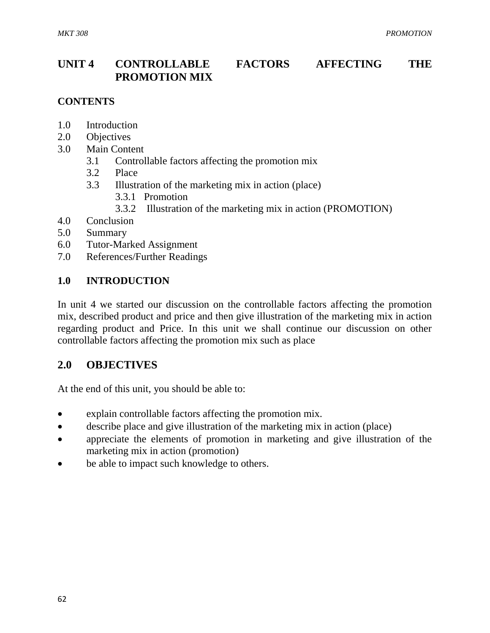# **UNIT 4 CONTROLLABLE FACTORS AFFECTING THE PROMOTION MIX**

### **CONTENTS**

- 1.0 Introduction
- 2.0 Objectives
- 3.0 Main Content
	- 3.1 Controllable factors affecting the promotion mix
	- 3.2 Place
	- 3.3 Illustration of the marketing mix in action (place)
		- 3.3.1 Promotion
		- 3.3.2 Illustration of the marketing mix in action (PROMOTION)
- 4.0 Conclusion
- 5.0 Summary
- 6.0 Tutor-Marked Assignment
- 7.0 References/Further Readings

### **1.0 INTRODUCTION**

In unit 4 we started our discussion on the controllable factors affecting the promotion mix, described product and price and then give illustration of the marketing mix in action regarding product and Price. In this unit we shall continue our discussion on other controllable factors affecting the promotion mix such as place

## **2.0 OBJECTIVES**

At the end of this unit, you should be able to:

- explain controllable factors affecting the promotion mix.
- describe place and give illustration of the marketing mix in action (place)
- appreciate the elements of promotion in marketing and give illustration of the marketing mix in action (promotion)
- be able to impact such knowledge to others.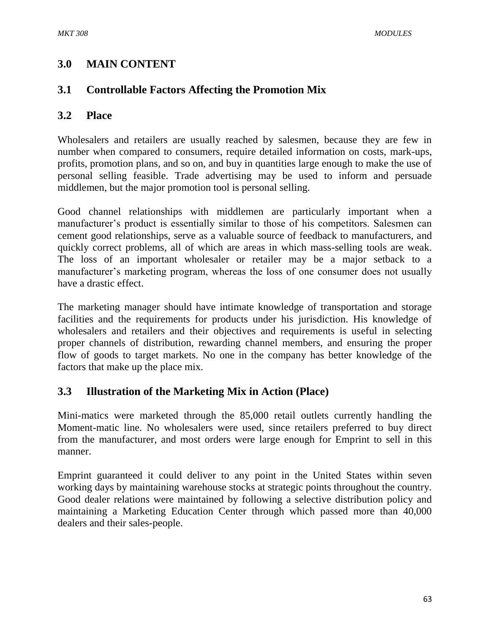## **3.0 MAIN CONTENT**

### **3.1 Controllable Factors Affecting the Promotion Mix**

### **3.2 Place**

Wholesalers and retailers are usually reached by salesmen, because they are few in number when compared to consumers, require detailed information on costs, mark-ups, profits, promotion plans, and so on, and buy in quantities large enough to make the use of personal selling feasible. Trade advertising may be used to inform and persuade middlemen, but the major promotion tool is personal selling.

Good channel relationships with middlemen are particularly important when a manufacturer's product is essentially similar to those of his competitors. Salesmen can cement good relationships, serve as a valuable source of feedback to manufacturers, and quickly correct problems, all of which are areas in which mass-selling tools are weak. The loss of an important wholesaler or retailer may be a major setback to a manufacturer's marketing program, whereas the loss of one consumer does not usually have a drastic effect.

The marketing manager should have intimate knowledge of transportation and storage facilities and the requirements for products under his jurisdiction. His knowledge of wholesalers and retailers and their objectives and requirements is useful in selecting proper channels of distribution, rewarding channel members, and ensuring the proper flow of goods to target markets. No one in the company has better knowledge of the factors that make up the place mix.

### **3.3 Illustration of the Marketing Mix in Action (Place)**

Mini-matics were marketed through the 85,000 retail outlets currently handling the Moment-matic line. No wholesalers were used, since retailers preferred to buy direct from the manufacturer, and most orders were large enough for Emprint to sell in this manner.

Emprint guaranteed it could deliver to any point in the United States within seven working days by maintaining warehouse stocks at strategic points throughout the country. Good dealer relations were maintained by following a selective distribution policy and maintaining a Marketing Education Center through which passed more than 40,000 dealers and their sales-people.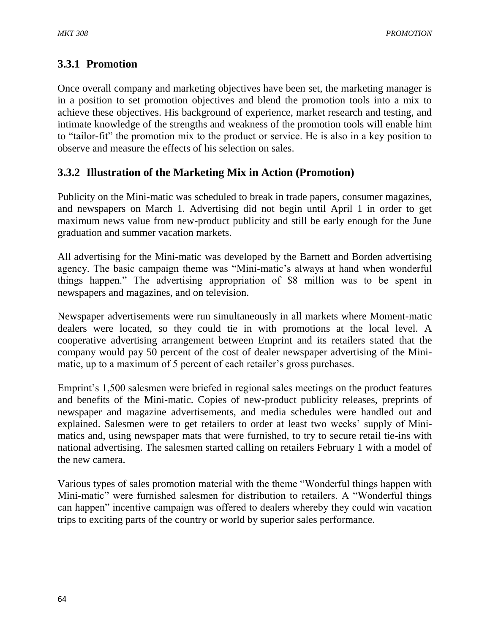# **3.3.1 Promotion**

Once overall company and marketing objectives have been set, the marketing manager is in a position to set promotion objectives and blend the promotion tools into a mix to achieve these objectives. His background of experience, market research and testing, and intimate knowledge of the strengths and weakness of the promotion tools will enable him to "tailor-fit" the promotion mix to the product or service. He is also in a key position to observe and measure the effects of his selection on sales.

# **3.3.2 Illustration of the Marketing Mix in Action (Promotion)**

Publicity on the Mini-matic was scheduled to break in trade papers, consumer magazines, and newspapers on March 1. Advertising did not begin until April 1 in order to get maximum news value from new-product publicity and still be early enough for the June graduation and summer vacation markets.

All advertising for the Mini-matic was developed by the Barnett and Borden advertising agency. The basic campaign theme was "Mini-matic's always at hand when wonderful things happen." The advertising appropriation of \$8 million was to be spent in newspapers and magazines, and on television.

Newspaper advertisements were run simultaneously in all markets where Moment-matic dealers were located, so they could tie in with promotions at the local level. A cooperative advertising arrangement between Emprint and its retailers stated that the company would pay 50 percent of the cost of dealer newspaper advertising of the Minimatic, up to a maximum of 5 percent of each retailer's gross purchases.

Emprint's 1,500 salesmen were briefed in regional sales meetings on the product features and benefits of the Mini-matic. Copies of new-product publicity releases, preprints of newspaper and magazine advertisements, and media schedules were handled out and explained. Salesmen were to get retailers to order at least two weeks' supply of Minimatics and, using newspaper mats that were furnished, to try to secure retail tie-ins with national advertising. The salesmen started calling on retailers February 1 with a model of the new camera.

Various types of sales promotion material with the theme "Wonderful things happen with Mini-matic" were furnished salesmen for distribution to retailers. A "Wonderful things can happen" incentive campaign was offered to dealers whereby they could win vacation trips to exciting parts of the country or world by superior sales performance.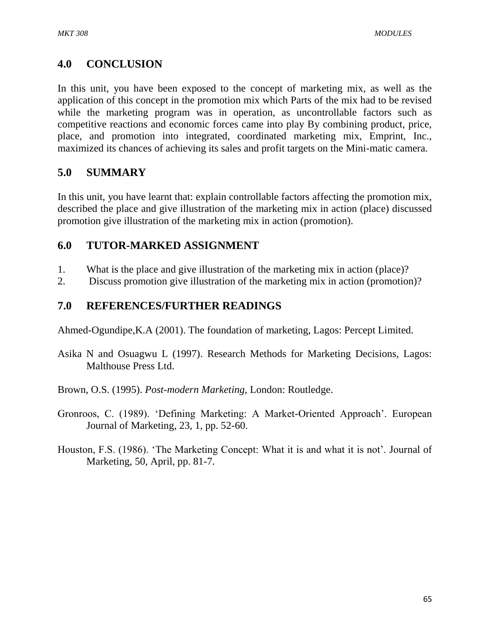# **4.0 CONCLUSION**

In this unit, you have been exposed to the concept of marketing mix, as well as the application of this concept in the promotion mix which Parts of the mix had to be revised while the marketing program was in operation, as uncontrollable factors such as competitive reactions and economic forces came into play By combining product, price, place, and promotion into integrated, coordinated marketing mix, Emprint, Inc., maximized its chances of achieving its sales and profit targets on the Mini-matic camera.

# **5.0 SUMMARY**

In this unit, you have learnt that: explain controllable factors affecting the promotion mix, described the place and give illustration of the marketing mix in action (place) discussed promotion give illustration of the marketing mix in action (promotion).

## **6.0 TUTOR-MARKED ASSIGNMENT**

- 1. What is the place and give illustration of the marketing mix in action (place)?
- 2. Discuss promotion give illustration of the marketing mix in action (promotion)?

## **7.0 REFERENCES/FURTHER READINGS**

Ahmed-Ogundipe,K.A (2001). The foundation of marketing, Lagos: Percept Limited.

Asika N and Osuagwu L (1997). Research Methods for Marketing Decisions, Lagos: Malthouse Press Ltd.

Brown, O.S. (1995). *Post-modern Marketing*, London: Routledge.

- Gronroos, C. (1989). 'Defining Marketing: A Market-Oriented Approach'. European Journal of Marketing, 23, 1, pp. 52-60.
- Houston, F.S. (1986). 'The Marketing Concept: What it is and what it is not'. Journal of Marketing, 50, April, pp. 81-7.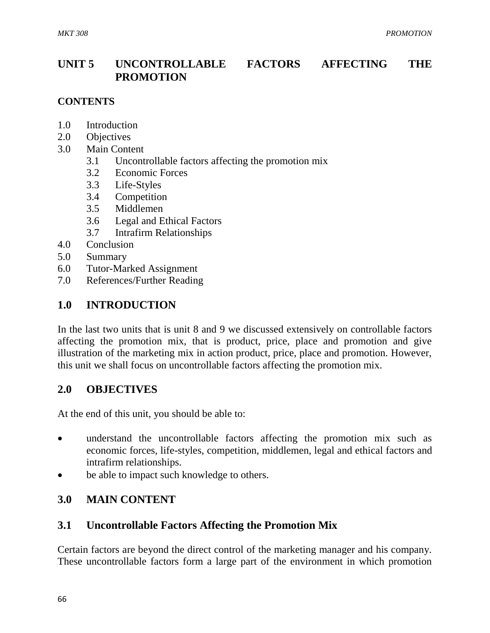# **UNIT 5 UNCONTROLLABLE FACTORS AFFECTING THE PROMOTION**

### **CONTENTS**

- 1.0 Introduction
- 2.0 Objectives
- 3.0 Main Content
	- 3.1 Uncontrollable factors affecting the promotion mix
	- 3.2 Economic Forces
	- 3.3 Life-Styles
	- 3.4 Competition
	- 3.5 Middlemen
	- 3.6 Legal and Ethical Factors
	- 3.7 Intrafirm Relationships
- 4.0 Conclusion
- 5.0 Summary
- 6.0 Tutor-Marked Assignment
- 7.0 References/Further Reading

## **1.0 INTRODUCTION**

In the last two units that is unit 8 and 9 we discussed extensively on controllable factors affecting the promotion mix, that is product, price, place and promotion and give illustration of the marketing mix in action product, price, place and promotion. However, this unit we shall focus on uncontrollable factors affecting the promotion mix.

## **2.0 OBJECTIVES**

At the end of this unit, you should be able to:

- understand the uncontrollable factors affecting the promotion mix such as economic forces, life-styles, competition, middlemen, legal and ethical factors and intrafirm relationships.
- be able to impact such knowledge to others.

## **3.0 MAIN CONTENT**

### **3.1 Uncontrollable Factors Affecting the Promotion Mix**

Certain factors are beyond the direct control of the marketing manager and his company. These uncontrollable factors form a large part of the environment in which promotion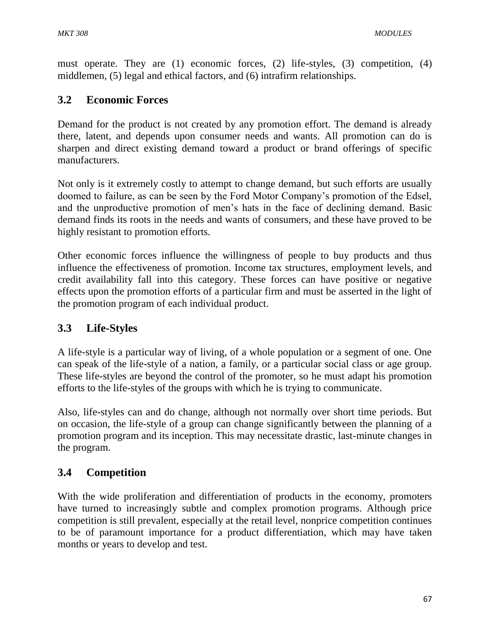must operate. They are (1) economic forces, (2) life-styles, (3) competition, (4) middlemen, (5) legal and ethical factors, and (6) intrafirm relationships.

## **3.2 Economic Forces**

Demand for the product is not created by any promotion effort. The demand is already there, latent, and depends upon consumer needs and wants. All promotion can do is sharpen and direct existing demand toward a product or brand offerings of specific manufacturers.

Not only is it extremely costly to attempt to change demand, but such efforts are usually doomed to failure, as can be seen by the Ford Motor Company's promotion of the Edsel, and the unproductive promotion of men's hats in the face of declining demand. Basic demand finds its roots in the needs and wants of consumers, and these have proved to be highly resistant to promotion efforts.

Other economic forces influence the willingness of people to buy products and thus influence the effectiveness of promotion. Income tax structures, employment levels, and credit availability fall into this category. These forces can have positive or negative effects upon the promotion efforts of a particular firm and must be asserted in the light of the promotion program of each individual product.

## **3.3 Life-Styles**

A life-style is a particular way of living, of a whole population or a segment of one. One can speak of the life-style of a nation, a family, or a particular social class or age group. These life-styles are beyond the control of the promoter, so he must adapt his promotion efforts to the life-styles of the groups with which he is trying to communicate.

Also, life-styles can and do change, although not normally over short time periods. But on occasion, the life-style of a group can change significantly between the planning of a promotion program and its inception. This may necessitate drastic, last-minute changes in the program.

## **3.4 Competition**

With the wide proliferation and differentiation of products in the economy, promoters have turned to increasingly subtle and complex promotion programs. Although price competition is still prevalent, especially at the retail level, nonprice competition continues to be of paramount importance for a product differentiation, which may have taken months or years to develop and test.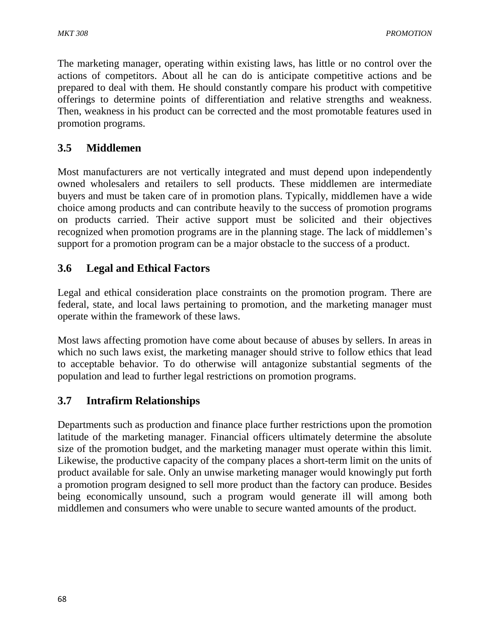The marketing manager, operating within existing laws, has little or no control over the actions of competitors. About all he can do is anticipate competitive actions and be prepared to deal with them. He should constantly compare his product with competitive offerings to determine points of differentiation and relative strengths and weakness. Then, weakness in his product can be corrected and the most promotable features used in promotion programs.

### **3.5 Middlemen**

Most manufacturers are not vertically integrated and must depend upon independently owned wholesalers and retailers to sell products. These middlemen are intermediate buyers and must be taken care of in promotion plans. Typically, middlemen have a wide choice among products and can contribute heavily to the success of promotion programs on products carried. Their active support must be solicited and their objectives recognized when promotion programs are in the planning stage. The lack of middlemen's support for a promotion program can be a major obstacle to the success of a product.

## **3.6 Legal and Ethical Factors**

Legal and ethical consideration place constraints on the promotion program. There are federal, state, and local laws pertaining to promotion, and the marketing manager must operate within the framework of these laws.

Most laws affecting promotion have come about because of abuses by sellers. In areas in which no such laws exist, the marketing manager should strive to follow ethics that lead to acceptable behavior. To do otherwise will antagonize substantial segments of the population and lead to further legal restrictions on promotion programs.

## **3.7 Intrafirm Relationships**

Departments such as production and finance place further restrictions upon the promotion latitude of the marketing manager. Financial officers ultimately determine the absolute size of the promotion budget, and the marketing manager must operate within this limit. Likewise, the productive capacity of the company places a short-term limit on the units of product available for sale. Only an unwise marketing manager would knowingly put forth a promotion program designed to sell more product than the factory can produce. Besides being economically unsound, such a program would generate ill will among both middlemen and consumers who were unable to secure wanted amounts of the product.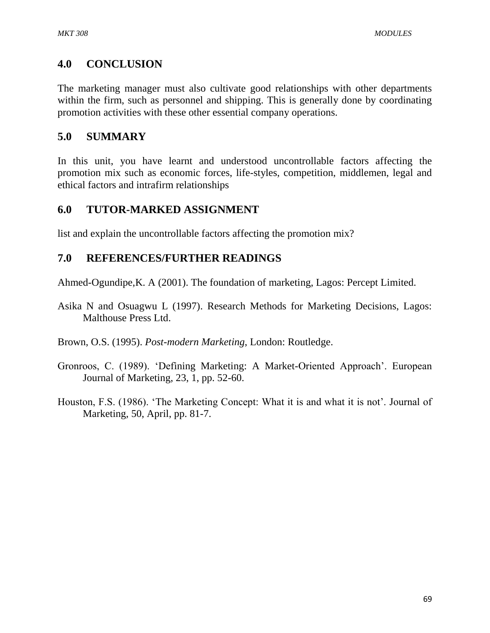# **4.0 CONCLUSION**

The marketing manager must also cultivate good relationships with other departments within the firm, such as personnel and shipping. This is generally done by coordinating promotion activities with these other essential company operations.

## **5.0 SUMMARY**

In this unit, you have learnt and understood uncontrollable factors affecting the promotion mix such as economic forces, life-styles, competition, middlemen, legal and ethical factors and intrafirm relationships

## **6.0 TUTOR-MARKED ASSIGNMENT**

list and explain the uncontrollable factors affecting the promotion mix?

# **7.0 REFERENCES/FURTHER READINGS**

Ahmed-Ogundipe,K. A (2001). The foundation of marketing, Lagos: Percept Limited.

Asika N and Osuagwu L (1997). Research Methods for Marketing Decisions, Lagos: Malthouse Press Ltd.

Brown, O.S. (1995). *Post-modern Marketing*, London: Routledge.

- Gronroos, C. (1989). 'Defining Marketing: A Market-Oriented Approach'. European Journal of Marketing, 23, 1, pp. 52-60.
- Houston, F.S. (1986). 'The Marketing Concept: What it is and what it is not'. Journal of Marketing, 50, April, pp. 81-7.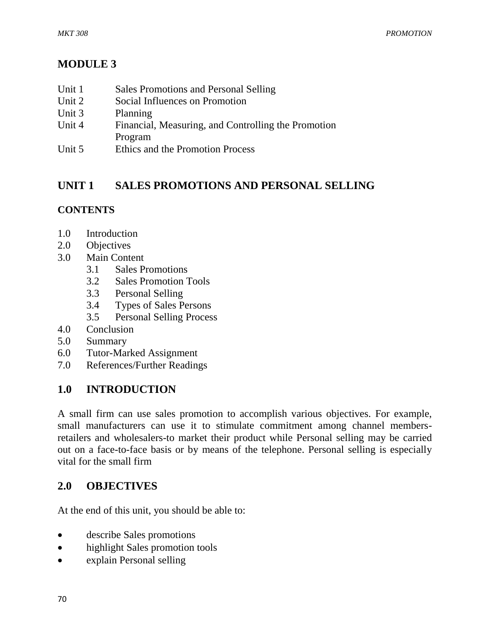# **MODULE 3**

- Unit 1 Sales Promotions and Personal Selling
- Unit 2 Social Influences on Promotion
- Unit 3 Planning
- Unit 4 Financial, Measuring, and Controlling the Promotion Program
- Unit 5 Ethics and the Promotion Process

# **UNIT 1 SALES PROMOTIONS AND PERSONAL SELLING**

### **CONTENTS**

- 1.0 Introduction
- 2.0 Objectives
- 3.0 Main Content
	- 3.1 Sales Promotions
	- 3.2 Sales Promotion Tools
	- 3.3 Personal Selling
	- 3.4 Types of Sales Persons
	- 3.5 Personal Selling Process
- 4.0 Conclusion
- 5.0 Summary
- 6.0 Tutor-Marked Assignment
- 7.0 References/Further Readings

## **1.0 INTRODUCTION**

A small firm can use sales promotion to accomplish various objectives. For example, small manufacturers can use it to stimulate commitment among channel membersretailers and wholesalers-to market their product while Personal selling may be carried out on a face-to-face basis or by means of the telephone. Personal selling is especially vital for the small firm

## **2.0 OBJECTIVES**

At the end of this unit, you should be able to:

- describe Sales promotions
- highlight Sales promotion tools
- explain Personal selling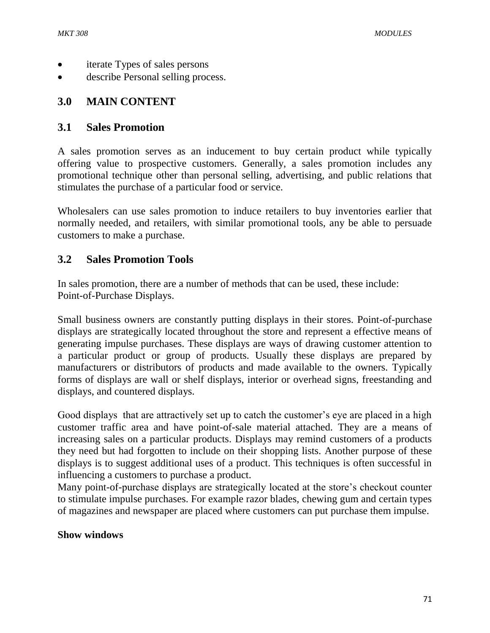- iterate Types of sales persons
- describe Personal selling process.

# **3.0 MAIN CONTENT**

### **3.1 Sales Promotion**

A sales promotion serves as an inducement to buy certain product while typically offering value to prospective customers. Generally, a sales promotion includes any promotional technique other than personal selling, advertising, and public relations that stimulates the purchase of a particular food or service.

Wholesalers can use sales promotion to induce retailers to buy inventories earlier that normally needed, and retailers, with similar promotional tools, any be able to persuade customers to make a purchase.

## **3.2 Sales Promotion Tools**

In sales promotion, there are a number of methods that can be used, these include: Point-of-Purchase Displays.

Small business owners are constantly putting displays in their stores. Point-of-purchase displays are strategically located throughout the store and represent a effective means of generating impulse purchases. These displays are ways of drawing customer attention to a particular product or group of products. Usually these displays are prepared by manufacturers or distributors of products and made available to the owners. Typically forms of displays are wall or shelf displays, interior or overhead signs, freestanding and displays, and countered displays.

Good displays that are attractively set up to catch the customer's eye are placed in a high customer traffic area and have point-of-sale material attached. They are a means of increasing sales on a particular products. Displays may remind customers of a products they need but had forgotten to include on their shopping lists. Another purpose of these displays is to suggest additional uses of a product. This techniques is often successful in influencing a customers to purchase a product.

Many point-of-purchase displays are strategically located at the store's checkout counter to stimulate impulse purchases. For example razor blades, chewing gum and certain types of magazines and newspaper are placed where customers can put purchase them impulse.

### **Show windows**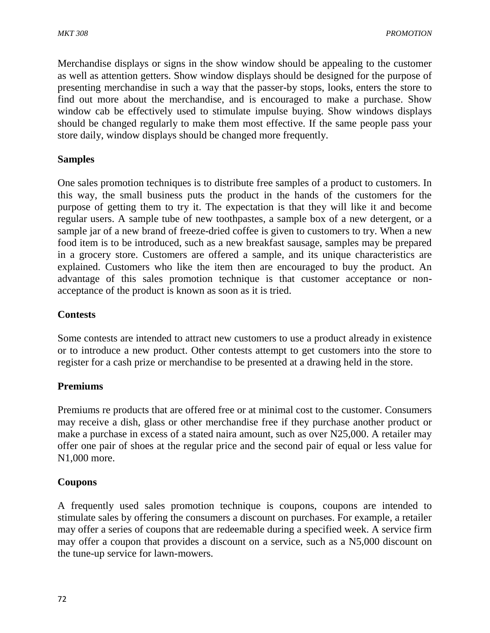Merchandise displays or signs in the show window should be appealing to the customer as well as attention getters. Show window displays should be designed for the purpose of presenting merchandise in such a way that the passer-by stops, looks, enters the store to find out more about the merchandise, and is encouraged to make a purchase. Show window cab be effectively used to stimulate impulse buying. Show windows displays should be changed regularly to make them most effective. If the same people pass your store daily, window displays should be changed more frequently.

### **Samples**

One sales promotion techniques is to distribute free samples of a product to customers. In this way, the small business puts the product in the hands of the customers for the purpose of getting them to try it. The expectation is that they will like it and become regular users. A sample tube of new toothpastes, a sample box of a new detergent, or a sample jar of a new brand of freeze-dried coffee is given to customers to try. When a new food item is to be introduced, such as a new breakfast sausage, samples may be prepared in a grocery store. Customers are offered a sample, and its unique characteristics are explained. Customers who like the item then are encouraged to buy the product. An advantage of this sales promotion technique is that customer acceptance or nonacceptance of the product is known as soon as it is tried.

### **Contests**

Some contests are intended to attract new customers to use a product already in existence or to introduce a new product. Other contests attempt to get customers into the store to register for a cash prize or merchandise to be presented at a drawing held in the store.

#### **Premiums**

Premiums re products that are offered free or at minimal cost to the customer. Consumers may receive a dish, glass or other merchandise free if they purchase another product or make a purchase in excess of a stated naira amount, such as over N25,000. A retailer may offer one pair of shoes at the regular price and the second pair of equal or less value for N1,000 more.

#### **Coupons**

A frequently used sales promotion technique is coupons, coupons are intended to stimulate sales by offering the consumers a discount on purchases. For example, a retailer may offer a series of coupons that are redeemable during a specified week. A service firm may offer a coupon that provides a discount on a service, such as a N5,000 discount on the tune-up service for lawn-mowers.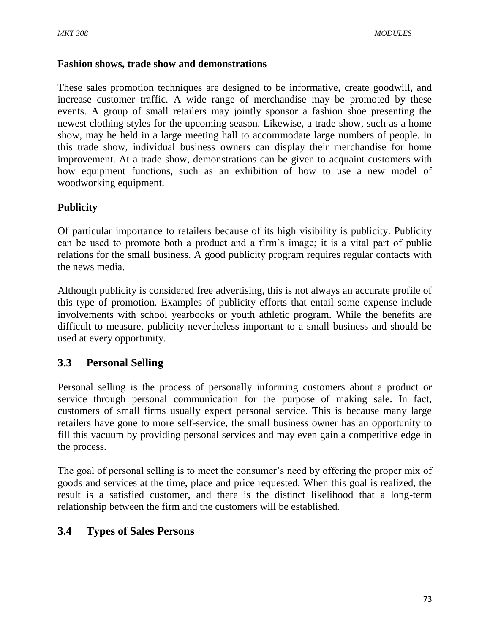#### **Fashion shows, trade show and demonstrations**

These sales promotion techniques are designed to be informative, create goodwill, and increase customer traffic. A wide range of merchandise may be promoted by these events. A group of small retailers may jointly sponsor a fashion shoe presenting the newest clothing styles for the upcoming season. Likewise, a trade show, such as a home show, may he held in a large meeting hall to accommodate large numbers of people. In this trade show, individual business owners can display their merchandise for home improvement. At a trade show, demonstrations can be given to acquaint customers with how equipment functions, such as an exhibition of how to use a new model of woodworking equipment.

#### **Publicity**

Of particular importance to retailers because of its high visibility is publicity. Publicity can be used to promote both a product and a firm's image; it is a vital part of public relations for the small business. A good publicity program requires regular contacts with the news media.

Although publicity is considered free advertising, this is not always an accurate profile of this type of promotion. Examples of publicity efforts that entail some expense include involvements with school yearbooks or youth athletic program. While the benefits are difficult to measure, publicity nevertheless important to a small business and should be used at every opportunity.

## **3.3 Personal Selling**

Personal selling is the process of personally informing customers about a product or service through personal communication for the purpose of making sale. In fact, customers of small firms usually expect personal service. This is because many large retailers have gone to more self-service, the small business owner has an opportunity to fill this vacuum by providing personal services and may even gain a competitive edge in the process.

The goal of personal selling is to meet the consumer's need by offering the proper mix of goods and services at the time, place and price requested. When this goal is realized, the result is a satisfied customer, and there is the distinct likelihood that a long-term relationship between the firm and the customers will be established.

## **3.4 Types of Sales Persons**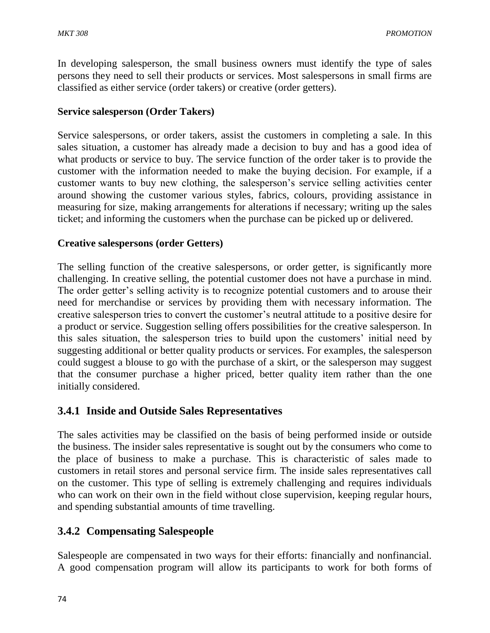In developing salesperson, the small business owners must identify the type of sales persons they need to sell their products or services. Most salespersons in small firms are classified as either service (order takers) or creative (order getters).

#### **Service salesperson (Order Takers)**

Service salespersons, or order takers, assist the customers in completing a sale. In this sales situation, a customer has already made a decision to buy and has a good idea of what products or service to buy. The service function of the order taker is to provide the customer with the information needed to make the buying decision. For example, if a customer wants to buy new clothing, the salesperson's service selling activities center around showing the customer various styles, fabrics, colours, providing assistance in measuring for size, making arrangements for alterations if necessary; writing up the sales ticket; and informing the customers when the purchase can be picked up or delivered.

#### **Creative salespersons (order Getters)**

The selling function of the creative salespersons, or order getter, is significantly more challenging. In creative selling, the potential customer does not have a purchase in mind. The order getter's selling activity is to recognize potential customers and to arouse their need for merchandise or services by providing them with necessary information. The creative salesperson tries to convert the customer's neutral attitude to a positive desire for a product or service. Suggestion selling offers possibilities for the creative salesperson. In this sales situation, the salesperson tries to build upon the customers' initial need by suggesting additional or better quality products or services. For examples, the salesperson could suggest a blouse to go with the purchase of a skirt, or the salesperson may suggest that the consumer purchase a higher priced, better quality item rather than the one initially considered.

## **3.4.1 Inside and Outside Sales Representatives**

The sales activities may be classified on the basis of being performed inside or outside the business. The insider sales representative is sought out by the consumers who come to the place of business to make a purchase. This is characteristic of sales made to customers in retail stores and personal service firm. The inside sales representatives call on the customer. This type of selling is extremely challenging and requires individuals who can work on their own in the field without close supervision, keeping regular hours, and spending substantial amounts of time travelling.

## **3.4.2 Compensating Salespeople**

Salespeople are compensated in two ways for their efforts: financially and nonfinancial. A good compensation program will allow its participants to work for both forms of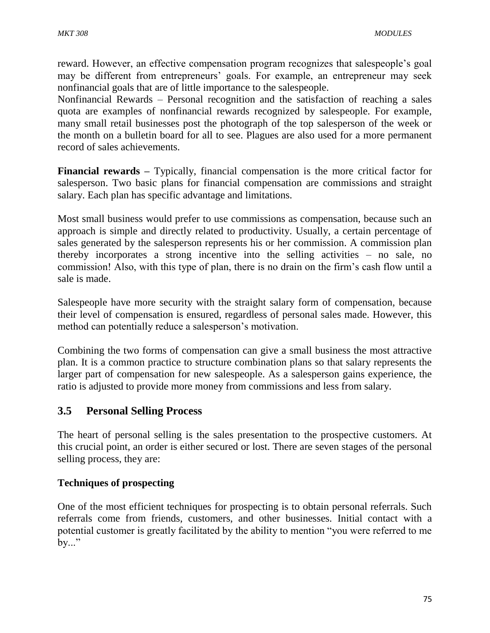reward. However, an effective compensation program recognizes that salespeople's goal may be different from entrepreneurs' goals. For example, an entrepreneur may seek nonfinancial goals that are of little importance to the salespeople.

Nonfinancial Rewards – Personal recognition and the satisfaction of reaching a sales quota are examples of nonfinancial rewards recognized by salespeople. For example, many small retail businesses post the photograph of the top salesperson of the week or the month on a bulletin board for all to see. Plagues are also used for a more permanent record of sales achievements.

**Financial rewards –** Typically, financial compensation is the more critical factor for salesperson. Two basic plans for financial compensation are commissions and straight salary. Each plan has specific advantage and limitations.

Most small business would prefer to use commissions as compensation, because such an approach is simple and directly related to productivity. Usually, a certain percentage of sales generated by the salesperson represents his or her commission. A commission plan thereby incorporates a strong incentive into the selling activities – no sale, no commission! Also, with this type of plan, there is no drain on the firm's cash flow until a sale is made.

Salespeople have more security with the straight salary form of compensation, because their level of compensation is ensured, regardless of personal sales made. However, this method can potentially reduce a salesperson's motivation.

Combining the two forms of compensation can give a small business the most attractive plan. It is a common practice to structure combination plans so that salary represents the larger part of compensation for new salespeople. As a salesperson gains experience, the ratio is adjusted to provide more money from commissions and less from salary.

## **3.5 Personal Selling Process**

The heart of personal selling is the sales presentation to the prospective customers. At this crucial point, an order is either secured or lost. There are seven stages of the personal selling process, they are:

#### **Techniques of prospecting**

One of the most efficient techniques for prospecting is to obtain personal referrals. Such referrals come from friends, customers, and other businesses. Initial contact with a potential customer is greatly facilitated by the ability to mention "you were referred to me by..."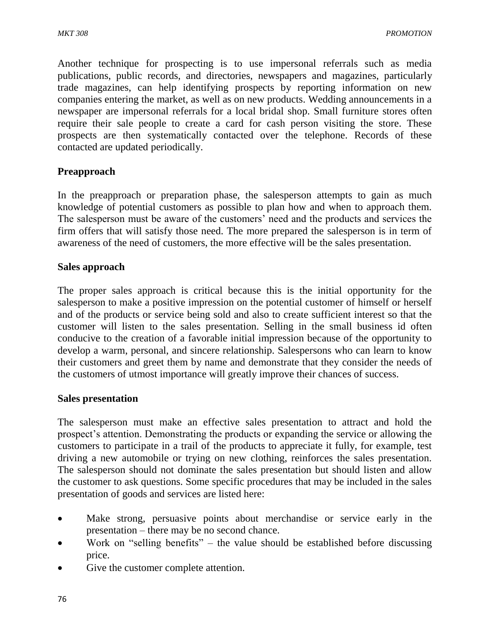Another technique for prospecting is to use impersonal referrals such as media publications, public records, and directories, newspapers and magazines, particularly trade magazines, can help identifying prospects by reporting information on new companies entering the market, as well as on new products. Wedding announcements in a newspaper are impersonal referrals for a local bridal shop. Small furniture stores often require their sale people to create a card for cash person visiting the store. These prospects are then systematically contacted over the telephone. Records of these contacted are updated periodically.

#### **Preapproach**

In the preapproach or preparation phase, the salesperson attempts to gain as much knowledge of potential customers as possible to plan how and when to approach them. The salesperson must be aware of the customers' need and the products and services the firm offers that will satisfy those need. The more prepared the salesperson is in term of awareness of the need of customers, the more effective will be the sales presentation.

#### **Sales approach**

The proper sales approach is critical because this is the initial opportunity for the salesperson to make a positive impression on the potential customer of himself or herself and of the products or service being sold and also to create sufficient interest so that the customer will listen to the sales presentation. Selling in the small business id often conducive to the creation of a favorable initial impression because of the opportunity to develop a warm, personal, and sincere relationship. Salespersons who can learn to know their customers and greet them by name and demonstrate that they consider the needs of the customers of utmost importance will greatly improve their chances of success.

#### **Sales presentation**

The salesperson must make an effective sales presentation to attract and hold the prospect's attention. Demonstrating the products or expanding the service or allowing the customers to participate in a trail of the products to appreciate it fully, for example, test driving a new automobile or trying on new clothing, reinforces the sales presentation. The salesperson should not dominate the sales presentation but should listen and allow the customer to ask questions. Some specific procedures that may be included in the sales presentation of goods and services are listed here:

- Make strong, persuasive points about merchandise or service early in the presentation – there may be no second chance.
- Work on "selling benefits" the value should be established before discussing price.
- Give the customer complete attention.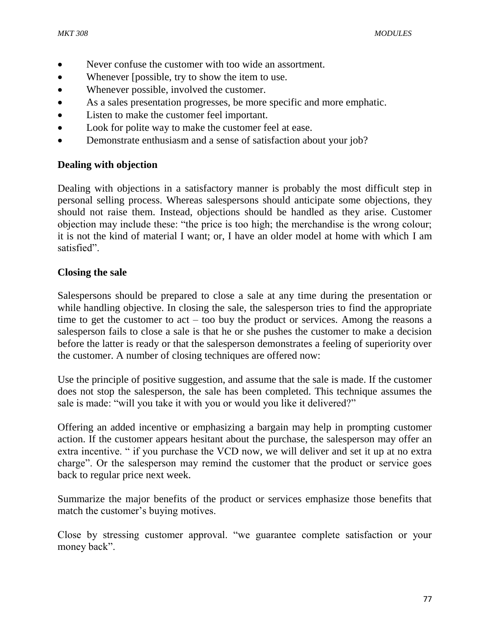- Never confuse the customer with too wide an assortment.
- Whenever [possible, try to show the item to use.
- Whenever possible, involved the customer.
- As a sales presentation progresses, be more specific and more emphatic.
- Listen to make the customer feel important.
- Look for polite way to make the customer feel at ease.
- Demonstrate enthusiasm and a sense of satisfaction about your job?

## **Dealing with objection**

Dealing with objections in a satisfactory manner is probably the most difficult step in personal selling process. Whereas salespersons should anticipate some objections, they should not raise them. Instead, objections should be handled as they arise. Customer objection may include these: "the price is too high; the merchandise is the wrong colour; it is not the kind of material I want; or, I have an older model at home with which I am satisfied".

#### **Closing the sale**

Salespersons should be prepared to close a sale at any time during the presentation or while handling objective. In closing the sale, the salesperson tries to find the appropriate time to get the customer to act – too buy the product or services. Among the reasons a salesperson fails to close a sale is that he or she pushes the customer to make a decision before the latter is ready or that the salesperson demonstrates a feeling of superiority over the customer. A number of closing techniques are offered now:

Use the principle of positive suggestion, and assume that the sale is made. If the customer does not stop the salesperson, the sale has been completed. This technique assumes the sale is made: "will you take it with you or would you like it delivered?"

Offering an added incentive or emphasizing a bargain may help in prompting customer action. If the customer appears hesitant about the purchase, the salesperson may offer an extra incentive. " if you purchase the VCD now, we will deliver and set it up at no extra charge". Or the salesperson may remind the customer that the product or service goes back to regular price next week.

Summarize the major benefits of the product or services emphasize those benefits that match the customer's buying motives.

Close by stressing customer approval. "we guarantee complete satisfaction or your money back".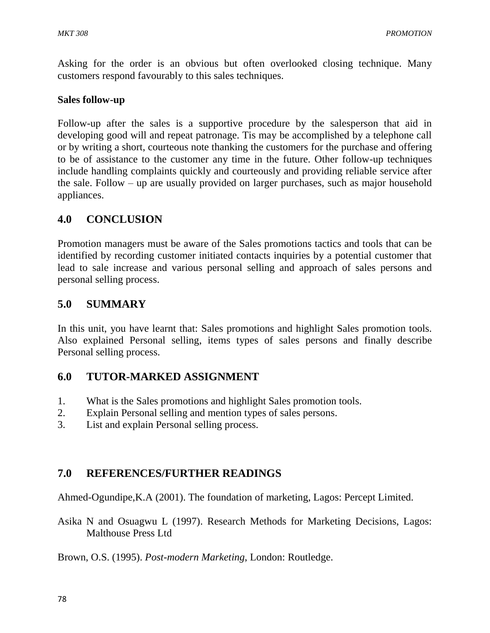Asking for the order is an obvious but often overlooked closing technique. Many customers respond favourably to this sales techniques.

#### **Sales follow-up**

Follow-up after the sales is a supportive procedure by the salesperson that aid in developing good will and repeat patronage. Tis may be accomplished by a telephone call or by writing a short, courteous note thanking the customers for the purchase and offering to be of assistance to the customer any time in the future. Other follow-up techniques include handling complaints quickly and courteously and providing reliable service after the sale. Follow – up are usually provided on larger purchases, such as major household appliances.

#### **4.0 CONCLUSION**

Promotion managers must be aware of the Sales promotions tactics and tools that can be identified by recording customer initiated contacts inquiries by a potential customer that lead to sale increase and various personal selling and approach of sales persons and personal selling process.

#### **5.0 SUMMARY**

In this unit, you have learnt that: Sales promotions and highlight Sales promotion tools. Also explained Personal selling, items types of sales persons and finally describe Personal selling process.

#### **6.0 TUTOR-MARKED ASSIGNMENT**

- 1. What is the Sales promotions and highlight Sales promotion tools.
- 2. Explain Personal selling and mention types of sales persons.
- 3. List and explain Personal selling process.

## **7.0 REFERENCES/FURTHER READINGS**

Ahmed-Ogundipe,K.A (2001). The foundation of marketing, Lagos: Percept Limited.

Asika N and Osuagwu L (1997). Research Methods for Marketing Decisions, Lagos: Malthouse Press Ltd

Brown, O.S. (1995). *Post-modern Marketing*, London: Routledge.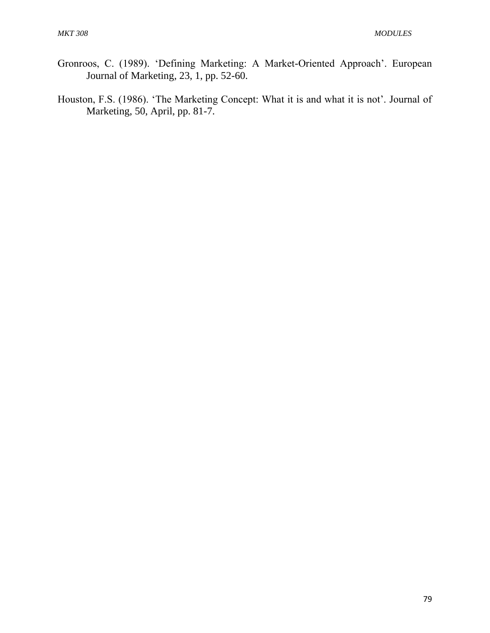- Gronroos, C. (1989). 'Defining Marketing: A Market-Oriented Approach'. European Journal of Marketing, 23, 1, pp. 52-60.
- Houston, F.S. (1986). 'The Marketing Concept: What it is and what it is not'. Journal of Marketing, 50, April, pp. 81-7.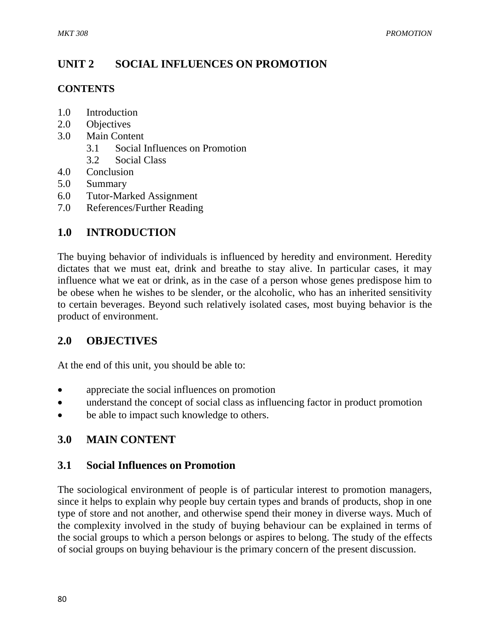# **UNIT 2 SOCIAL INFLUENCES ON PROMOTION**

#### **CONTENTS**

- 1.0 Introduction
- 2.0 Objectives
- 3.0 Main Content
	- 3.1 Social Influences on Promotion
	- 3.2 Social Class
- 4.0 Conclusion
- 5.0 Summary
- 6.0 Tutor-Marked Assignment
- 7.0 References/Further Reading

# **1.0 INTRODUCTION**

The buying behavior of individuals is influenced by heredity and environment. Heredity dictates that we must eat, drink and breathe to stay alive. In particular cases, it may influence what we eat or drink, as in the case of a person whose genes predispose him to be obese when he wishes to be slender, or the alcoholic, who has an inherited sensitivity to certain beverages. Beyond such relatively isolated cases, most buying behavior is the product of environment.

# **2.0 OBJECTIVES**

At the end of this unit, you should be able to:

- appreciate the social influences on promotion
- understand the concept of social class as influencing factor in product promotion
- be able to impact such knowledge to others.

# **3.0 MAIN CONTENT**

## **3.1 Social Influences on Promotion**

The sociological environment of people is of particular interest to promotion managers, since it helps to explain why people buy certain types and brands of products, shop in one type of store and not another, and otherwise spend their money in diverse ways. Much of the complexity involved in the study of buying behaviour can be explained in terms of the social groups to which a person belongs or aspires to belong. The study of the effects of social groups on buying behaviour is the primary concern of the present discussion.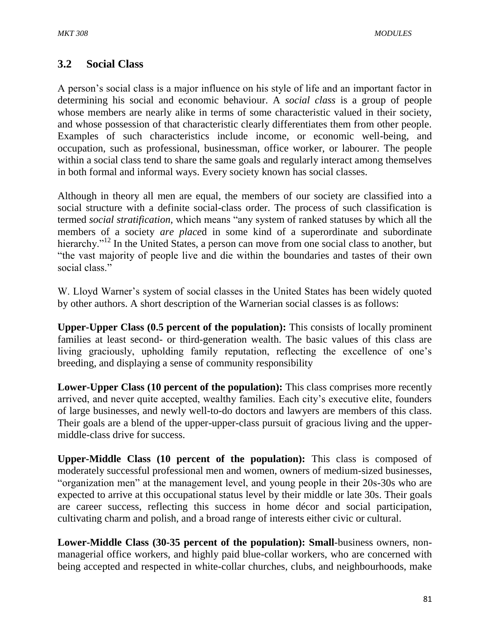## **3.2 Social Class**

A person's social class is a major influence on his style of life and an important factor in determining his social and economic behaviour. A *social class* is a group of people whose members are nearly alike in terms of some characteristic valued in their society, and whose possession of that characteristic clearly differentiates them from other people. Examples of such characteristics include income, or economic well-being, and occupation, such as professional, businessman, office worker, or labourer. The people within a social class tend to share the same goals and regularly interact among themselves in both formal and informal ways. Every society known has social classes.

Although in theory all men are equal, the members of our society are classified into a social structure with a definite social-class order. The process of such classification is termed *social stratification,* which means "any system of ranked statuses by which all the members of a society *are place*d in some kind of a superordinate and subordinate hierarchy."<sup>12</sup> In the United States, a person can move from one social class to another, but "the vast majority of people live and die within the boundaries and tastes of their own social class."

W. Lloyd Warner's system of social classes in the United States has been widely quoted by other authors. A short description of the Warnerian social classes is as follows:

**Upper-Upper Class (0.5 percent of the population):** This consists of locally prominent families at least second- or third-generation wealth. The basic values of this class are living graciously, upholding family reputation, reflecting the excellence of one's breeding, and displaying a sense of community responsibility

**Lower-Upper Class (10 percent of the population):** This class comprises more recently arrived, and never quite accepted, wealthy families. Each city's executive elite, founders of large businesses, and newly well-to-do doctors and lawyers are members of this class. Their goals are a blend of the upper-upper-class pursuit of gracious living and the uppermiddle-class drive for success.

**Upper-Middle Class (10 percent of the population):** This class is composed of moderately successful professional men and women, owners of medium-sized businesses, "organization men" at the management level, and young people in their 20s-30s who are expected to arrive at this occupational status level by their middle or late 30s. Their goals are career success, reflecting this success in home décor and social participation, cultivating charm and polish, and a broad range of interests either civic or cultural.

**Lower-Middle Class (30-35 percent of the population): Small**-business owners, nonmanagerial office workers, and highly paid blue-collar workers, who are concerned with being accepted and respected in white-collar churches, clubs, and neighbourhoods, make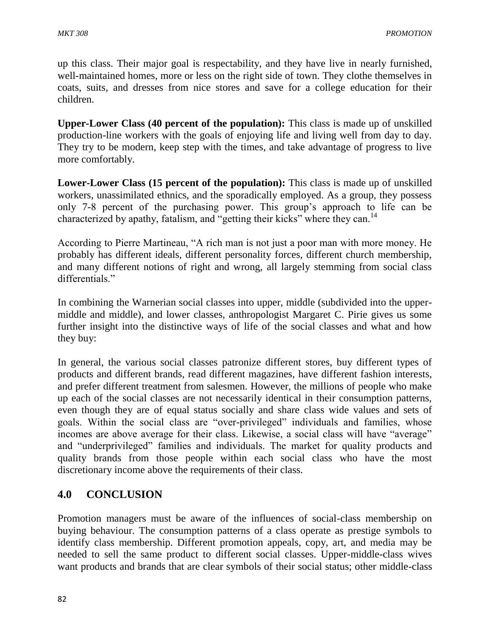up this class. Their major goal is respectability, and they have live in nearly furnished, well-maintained homes, more or less on the right side of town. They clothe themselves in coats, suits, and dresses from nice stores and save for a college education for their children.

**Upper-Lower Class (40 percent of the population):** This class is made up of unskilled production-line workers with the goals of enjoying life and living well from day to day. They try to be modern, keep step with the times, and take advantage of progress to live more comfortably.

Lower-Lower Class (15 percent of the population): This class is made up of unskilled workers, unassimilated ethnics, and the sporadically employed. As a group, they possess only 7-8 percent of the purchasing power. This group's approach to life can be characterized by apathy, fatalism, and "getting their kicks" where they can.<sup>14</sup>

According to Pierre Martineau, "A rich man is not just a poor man with more money. He probably has different ideals, different personality forces, different church membership, and many different notions of right and wrong, all largely stemming from social class differentials"

In combining the Warnerian social classes into upper, middle (subdivided into the uppermiddle and middle), and lower classes, anthropologist Margaret C. Pirie gives us some further insight into the distinctive ways of life of the social classes and what and how they buy:

In general, the various social classes patronize different stores, buy different types of products and different brands, read different magazines, have different fashion interests, and prefer different treatment from salesmen. However, the millions of people who make up each of the social classes are not necessarily identical in their consumption patterns, even though they are of equal status socially and share class wide values and sets of goals. Within the social class are "over-privileged" individuals and families, whose incomes are above average for their class. Likewise, a social class will have "average" and "underprivileged" families and individuals. The market for quality products and quality brands from those people within each social class who have the most discretionary income above the requirements of their class.

## **4.0 CONCLUSION**

Promotion managers must be aware of the influences of social-class membership on buying behaviour. The consumption patterns of a class operate as prestige symbols to identify class membership. Different promotion appeals, copy, art, and media may be needed to sell the same product to different social classes. Upper-middle-class wives want products and brands that are clear symbols of their social status; other middle-class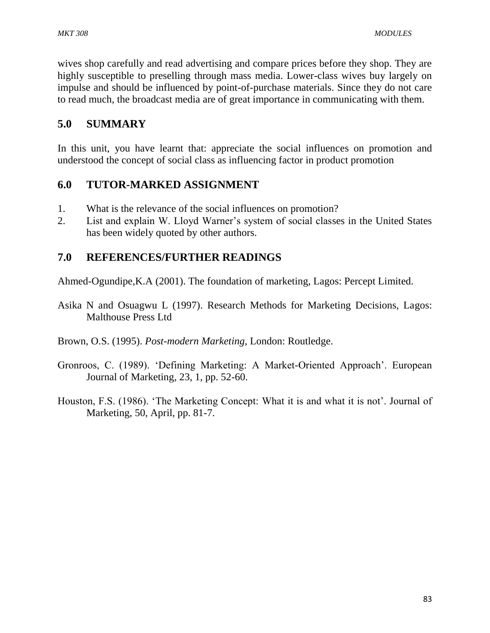wives shop carefully and read advertising and compare prices before they shop. They are highly susceptible to preselling through mass media. Lower-class wives buy largely on impulse and should be influenced by point-of-purchase materials. Since they do not care to read much, the broadcast media are of great importance in communicating with them.

## **5.0 SUMMARY**

In this unit, you have learnt that: appreciate the social influences on promotion and understood the concept of social class as influencing factor in product promotion

#### **6.0 TUTOR-MARKED ASSIGNMENT**

- 1. What is the relevance of the social influences on promotion?
- 2. List and explain W. Lloyd Warner's system of social classes in the United States has been widely quoted by other authors.

## **7.0 REFERENCES/FURTHER READINGS**

Ahmed-Ogundipe,K.A (2001). The foundation of marketing, Lagos: Percept Limited.

Asika N and Osuagwu L (1997). Research Methods for Marketing Decisions, Lagos: Malthouse Press Ltd

Brown, O.S. (1995). *Post-modern Marketing*, London: Routledge.

- Gronroos, C. (1989). 'Defining Marketing: A Market-Oriented Approach'. European Journal of Marketing, 23, 1, pp. 52-60.
- Houston, F.S. (1986). 'The Marketing Concept: What it is and what it is not'. Journal of Marketing, 50, April, pp. 81-7.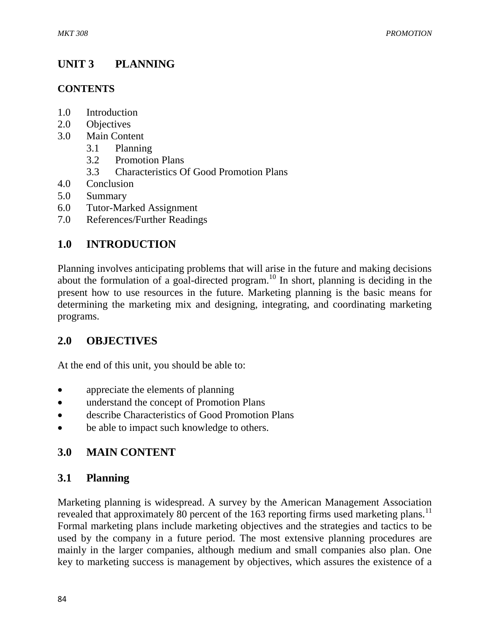# **UNIT 3 PLANNING**

#### **CONTENTS**

- 1.0 Introduction
- 2.0 Objectives
- 3.0 Main Content
	- 3.1 Planning
	- 3.2 Promotion Plans
	- 3.3 Characteristics Of Good Promotion Plans
- 4.0 Conclusion
- 5.0 Summary
- 6.0 Tutor-Marked Assignment
- 7.0 References/Further Readings

# **1.0 INTRODUCTION**

Planning involves anticipating problems that will arise in the future and making decisions about the formulation of a goal-directed program.<sup>10</sup> In short, planning is deciding in the present how to use resources in the future. Marketing planning is the basic means for determining the marketing mix and designing, integrating, and coordinating marketing programs.

# **2.0 OBJECTIVES**

At the end of this unit, you should be able to:

- appreciate the elements of planning
- understand the concept of Promotion Plans
- describe Characteristics of Good Promotion Plans
- be able to impact such knowledge to others.

# **3.0 MAIN CONTENT**

# **3.1 Planning**

Marketing planning is widespread. A survey by the American Management Association revealed that approximately 80 percent of the 163 reporting firms used marketing plans.<sup>11</sup> Formal marketing plans include marketing objectives and the strategies and tactics to be used by the company in a future period. The most extensive planning procedures are mainly in the larger companies, although medium and small companies also plan. One key to marketing success is management by objectives, which assures the existence of a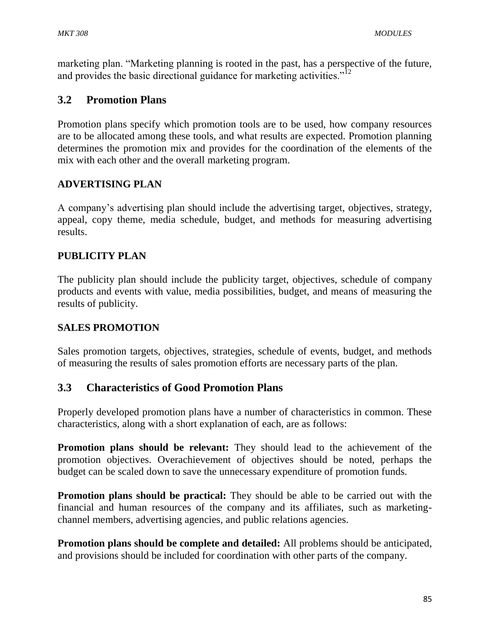marketing plan. "Marketing planning is rooted in the past, has a perspective of the future, and provides the basic directional guidance for marketing activities."<sup>12</sup>

## **3.2 Promotion Plans**

Promotion plans specify which promotion tools are to be used, how company resources are to be allocated among these tools, and what results are expected. Promotion planning determines the promotion mix and provides for the coordination of the elements of the mix with each other and the overall marketing program.

#### **ADVERTISING PLAN**

A company's advertising plan should include the advertising target, objectives, strategy, appeal, copy theme, media schedule, budget, and methods for measuring advertising results.

#### **PUBLICITY PLAN**

The publicity plan should include the publicity target, objectives, schedule of company products and events with value, media possibilities, budget, and means of measuring the results of publicity.

#### **SALES PROMOTION**

Sales promotion targets, objectives, strategies, schedule of events, budget, and methods of measuring the results of sales promotion efforts are necessary parts of the plan.

## **3.3 Characteristics of Good Promotion Plans**

Properly developed promotion plans have a number of characteristics in common. These characteristics, along with a short explanation of each, are as follows:

**Promotion plans should be relevant:** They should lead to the achievement of the promotion objectives. Overachievement of objectives should be noted, perhaps the budget can be scaled down to save the unnecessary expenditure of promotion funds.

**Promotion plans should be practical:** They should be able to be carried out with the financial and human resources of the company and its affiliates, such as marketingchannel members, advertising agencies, and public relations agencies.

**Promotion plans should be complete and detailed:** All problems should be anticipated, and provisions should be included for coordination with other parts of the company.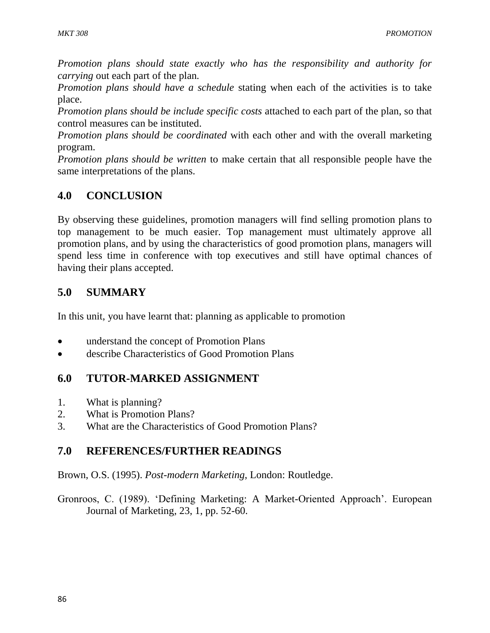*Promotion plans should state exactly who has the responsibility and authority for carrying* out each part of the plan*.*

*Promotion plans should have a schedule* stating when each of the activities is to take place.

*Promotion plans should be include specific costs* attached to each part of the plan, so that control measures can be instituted.

*Promotion plans should be coordinated* with each other and with the overall marketing program.

*Promotion plans should be written* to make certain that all responsible people have the same interpretations of the plans.

# **4.0 CONCLUSION**

By observing these guidelines, promotion managers will find selling promotion plans to top management to be much easier. Top management must ultimately approve all promotion plans, and by using the characteristics of good promotion plans, managers will spend less time in conference with top executives and still have optimal chances of having their plans accepted.

## **5.0 SUMMARY**

In this unit, you have learnt that: planning as applicable to promotion

- understand the concept of Promotion Plans
- describe Characteristics of Good Promotion Plans

## **6.0 TUTOR-MARKED ASSIGNMENT**

- 1. What is planning?
- 2. What is Promotion Plans?
- 3. What are the Characteristics of Good Promotion Plans?

# **7.0 REFERENCES/FURTHER READINGS**

Brown, O.S. (1995). *Post-modern Marketing*, London: Routledge.

Gronroos, C. (1989). 'Defining Marketing: A Market-Oriented Approach'. European Journal of Marketing, 23, 1, pp. 52-60.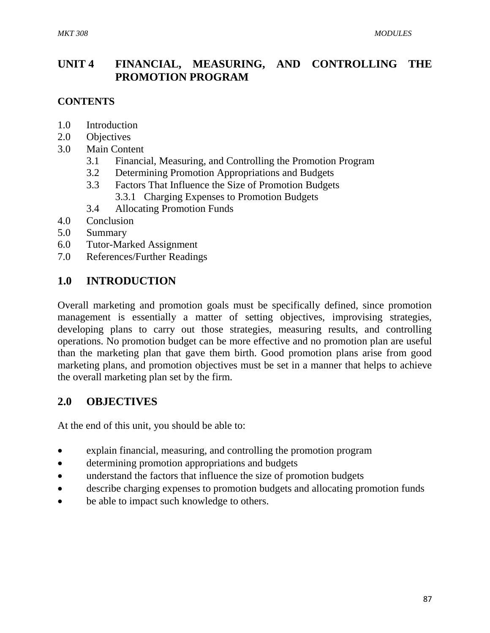# **UNIT 4 FINANCIAL, MEASURING, AND CONTROLLING THE PROMOTION PROGRAM**

#### **CONTENTS**

- 1.0 Introduction
- 2.0 Objectives
- 3.0 Main Content
	- 3.1 Financial, Measuring, and Controlling the Promotion Program
	- 3.2 Determining Promotion Appropriations and Budgets
	- 3.3 Factors That Influence the Size of Promotion Budgets
		- 3.3.1 Charging Expenses to Promotion Budgets
	- 3.4 Allocating Promotion Funds
- 4.0 Conclusion
- 5.0 Summary
- 6.0 Tutor-Marked Assignment
- 7.0 References/Further Readings

## **1.0 INTRODUCTION**

Overall marketing and promotion goals must be specifically defined, since promotion management is essentially a matter of setting objectives, improvising strategies, developing plans to carry out those strategies, measuring results, and controlling operations. No promotion budget can be more effective and no promotion plan are useful than the marketing plan that gave them birth. Good promotion plans arise from good marketing plans, and promotion objectives must be set in a manner that helps to achieve the overall marketing plan set by the firm.

## **2.0 OBJECTIVES**

At the end of this unit, you should be able to:

- explain financial, measuring, and controlling the promotion program
- determining promotion appropriations and budgets
- understand the factors that influence the size of promotion budgets
- describe charging expenses to promotion budgets and allocating promotion funds
- be able to impact such knowledge to others.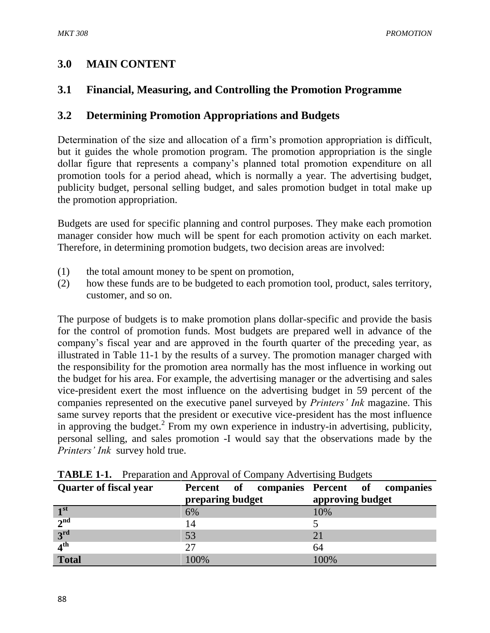# **3.0 MAIN CONTENT**

## **3.1 Financial, Measuring, and Controlling the Promotion Programme**

## **3.2 Determining Promotion Appropriations and Budgets**

Determination of the size and allocation of a firm's promotion appropriation is difficult, but it guides the whole promotion program. The promotion appropriation is the single dollar figure that represents a company's planned total promotion expenditure on all promotion tools for a period ahead, which is normally a year. The advertising budget, publicity budget, personal selling budget, and sales promotion budget in total make up the promotion appropriation.

Budgets are used for specific planning and control purposes. They make each promotion manager consider how much will be spent for each promotion activity on each market. Therefore, in determining promotion budgets, two decision areas are involved:

- (1) the total amount money to be spent on promotion,
- (2) how these funds are to be budgeted to each promotion tool, product, sales territory, customer, and so on.

The purpose of budgets is to make promotion plans dollar-specific and provide the basis for the control of promotion funds. Most budgets are prepared well in advance of the company's fiscal year and are approved in the fourth quarter of the preceding year, as illustrated in Table 11-1 by the results of a survey. The promotion manager charged with the responsibility for the promotion area normally has the most influence in working out the budget for his area. For example, the advertising manager or the advertising and sales vice-president exert the most influence on the advertising budget in 59 percent of the companies represented on the executive panel surveyed by *Printers' Ink* magazine. This same survey reports that the president or executive vice-president has the most influence in approving the budget.<sup>2</sup> From my own experience in industry-in advertising, publicity, personal selling, and sales promotion -I would say that the observations made by the *Printers' Ink* survey hold true.

| <b>Quarter of fiscal year</b> | Percent of companies Percent of | companies        |
|-------------------------------|---------------------------------|------------------|
|                               | preparing budget                | approving budget |
| 1 <sup>st</sup>               | 6%                              | 10%              |
| 2 <sup>nd</sup>               | 14                              |                  |
| 3 <sup>rd</sup>               | 53                              | 21               |
| $\overline{A^{th}}$           | 27                              | 64               |
| <b>Total</b>                  | 100%                            | 100%             |

**TABLE 1-1.** Preparation and Approval of Company Advertising Budgets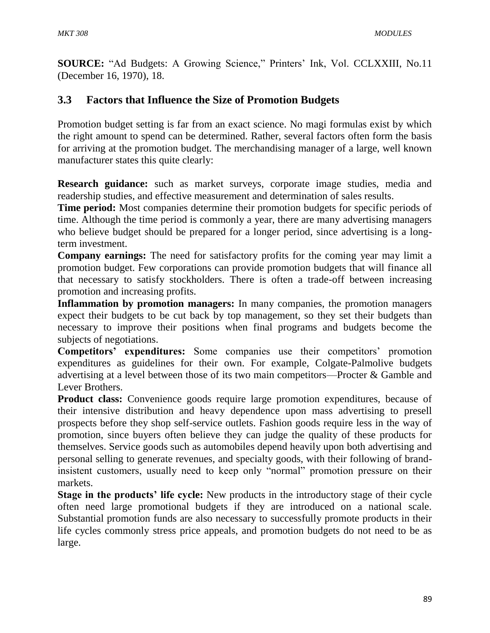**SOURCE:** "Ad Budgets: A Growing Science," Printers' Ink, Vol. CCLXXIII, No.11 (December 16, 1970), 18.

### **3.3 Factors that Influence the Size of Promotion Budgets**

Promotion budget setting is far from an exact science. No magi formulas exist by which the right amount to spend can be determined. Rather, several factors often form the basis for arriving at the promotion budget. The merchandising manager of a large, well known manufacturer states this quite clearly:

**Research guidance:** such as market surveys, corporate image studies, media and readership studies, and effective measurement and determination of sales results.

**Time period:** Most companies determine their promotion budgets for specific periods of time. Although the time period is commonly a year, there are many advertising managers who believe budget should be prepared for a longer period, since advertising is a longterm investment.

**Company earnings:** The need for satisfactory profits for the coming year may limit a promotion budget. Few corporations can provide promotion budgets that will finance all that necessary to satisfy stockholders. There is often a trade-off between increasing promotion and increasing profits.

**Inflammation by promotion managers:** In many companies, the promotion managers expect their budgets to be cut back by top management, so they set their budgets than necessary to improve their positions when final programs and budgets become the subjects of negotiations.

**Competitors' expenditures:** Some companies use their competitors' promotion expenditures as guidelines for their own. For example, Colgate-Palmolive budgets advertising at a level between those of its two main competitors—Procter & Gamble and Lever Brothers.

**Product class:** Convenience goods require large promotion expenditures, because of their intensive distribution and heavy dependence upon mass advertising to presell prospects before they shop self-service outlets. Fashion goods require less in the way of promotion, since buyers often believe they can judge the quality of these products for themselves. Service goods such as automobiles depend heavily upon both advertising and personal selling to generate revenues, and specialty goods, with their following of brandinsistent customers, usually need to keep only "normal" promotion pressure on their markets.

**Stage in the products' life cycle:** New products in the introductory stage of their cycle often need large promotional budgets if they are introduced on a national scale. Substantial promotion funds are also necessary to successfully promote products in their life cycles commonly stress price appeals, and promotion budgets do not need to be as large.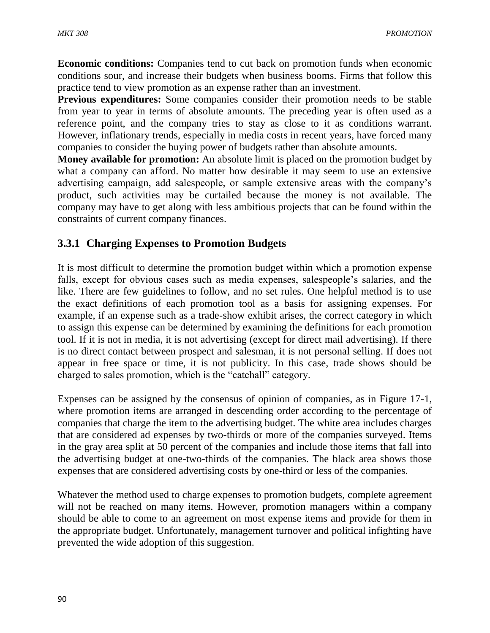**Economic conditions:** Companies tend to cut back on promotion funds when economic conditions sour, and increase their budgets when business booms. Firms that follow this practice tend to view promotion as an expense rather than an investment.

**Previous expenditures:** Some companies consider their promotion needs to be stable from year to year in terms of absolute amounts. The preceding year is often used as a reference point, and the company tries to stay as close to it as conditions warrant. However, inflationary trends, especially in media costs in recent years, have forced many companies to consider the buying power of budgets rather than absolute amounts.

**Money available for promotion:** An absolute limit is placed on the promotion budget by what a company can afford. No matter how desirable it may seem to use an extensive advertising campaign, add salespeople, or sample extensive areas with the company's product, such activities may be curtailed because the money is not available. The company may have to get along with less ambitious projects that can be found within the constraints of current company finances.

## **3.3.1 Charging Expenses to Promotion Budgets**

It is most difficult to determine the promotion budget within which a promotion expense falls, except for obvious cases such as media expenses, salespeople's salaries, and the like. There are few guidelines to follow, and no set rules. One helpful method is to use the exact definitions of each promotion tool as a basis for assigning expenses. For example, if an expense such as a trade-show exhibit arises, the correct category in which to assign this expense can be determined by examining the definitions for each promotion tool. If it is not in media, it is not advertising (except for direct mail advertising). If there is no direct contact between prospect and salesman, it is not personal selling. If does not appear in free space or time, it is not publicity. In this case, trade shows should be charged to sales promotion, which is the "catchall" category.

Expenses can be assigned by the consensus of opinion of companies, as in Figure 17-1, where promotion items are arranged in descending order according to the percentage of companies that charge the item to the advertising budget. The white area includes charges that are considered ad expenses by two-thirds or more of the companies surveyed. Items in the gray area split at 50 percent of the companies and include those items that fall into the advertising budget at one-two-thirds of the companies. The black area shows those expenses that are considered advertising costs by one-third or less of the companies.

Whatever the method used to charge expenses to promotion budgets, complete agreement will not be reached on many items. However, promotion managers within a company should be able to come to an agreement on most expense items and provide for them in the appropriate budget. Unfortunately, management turnover and political infighting have prevented the wide adoption of this suggestion.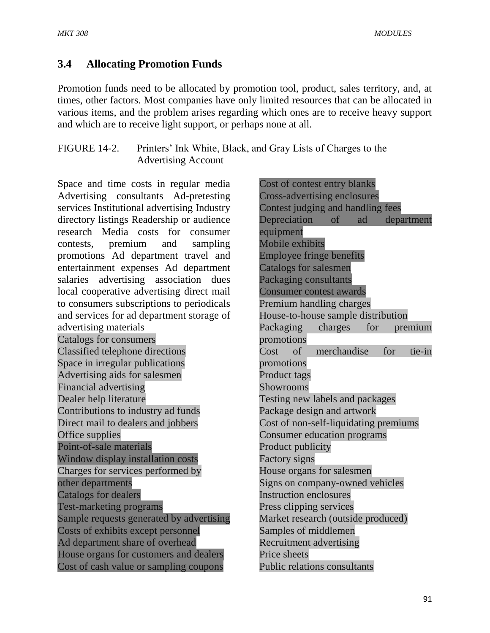## **3.4 Allocating Promotion Funds**

Promotion funds need to be allocated by promotion tool, product, sales territory, and, at times, other factors. Most companies have only limited resources that can be allocated in various items, and the problem arises regarding which ones are to receive heavy support and which are to receive light support, or perhaps none at all.

#### FIGURE 14-2. Printers' Ink White, Black, and Gray Lists of Charges to the Advertising Account

Space and time costs in regular media Advertising consultants Ad-pretesting services Institutional advertising Industry directory listings Readership or audience research Media costs for consumer contests, premium and sampling promotions Ad department travel and entertainment expenses Ad department salaries advertising association dues local cooperative advertising direct mail to consumers subscriptions to periodicals and services for ad department storage of advertising materials Catalogs for consumers Classified telephone directions Space in irregular publications Advertising aids for salesmen Financial advertising Dealer help literature Contributions to industry ad funds Direct mail to dealers and jobbers Office supplies Point-of-sale materials Window display installation costs Charges for services performed by other departments Catalogs for dealers Test-marketing programs Sample requests generated by advertising Costs of exhibits except personnel Ad department share of overhead House organs for customers and dealers Cost of cash value or sampling coupons

Cost of contest entry blanks Cross-advertising enclosures Contest judging and handling fees Depreciation of ad department equipment Mobile exhibits Employee fringe benefits Catalogs for salesmen Packaging consultants Consumer contest awards Premium handling charges House-to-house sample distribution Packaging charges for premium promotions Cost of merchandise for tie-in promotions Product tags Showrooms Testing new labels and packages Package design and artwork Cost of non-self-liquidating premiums Consumer education programs Product publicity Factory signs House organs for salesmen Signs on company-owned vehicles Instruction enclosures Press clipping services Market research (outside produced) Samples of middlemen Recruitment advertising Price sheets Public relations consultants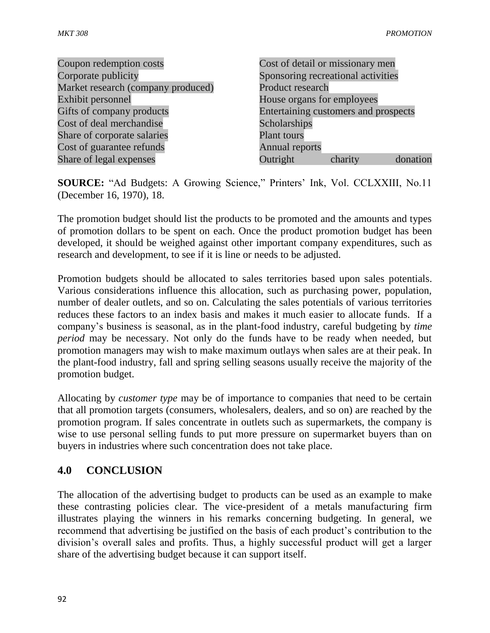| Coupon redemption costs            | Cost of detail or missionary men     |  |
|------------------------------------|--------------------------------------|--|
| Corporate publicity                | Sponsoring recreational activities   |  |
| Market research (company produced) | Product research                     |  |
| Exhibit personnel                  | House organs for employees           |  |
| Gifts of company products          | Entertaining customers and prospects |  |
| Cost of deal merchandise           | Scholarships                         |  |
| Share of corporate salaries        | <b>Plant tours</b>                   |  |
| Cost of guarantee refunds          | <b>Annual reports</b>                |  |
| Share of legal expenses            | Outright<br>donation<br>charity      |  |

**SOURCE:** "Ad Budgets: A Growing Science," Printers' Ink, Vol. CCLXXIII, No.11 (December 16, 1970), 18.

The promotion budget should list the products to be promoted and the amounts and types of promotion dollars to be spent on each. Once the product promotion budget has been developed, it should be weighed against other important company expenditures, such as research and development, to see if it is line or needs to be adjusted.

Promotion budgets should be allocated to sales territories based upon sales potentials. Various considerations influence this allocation, such as purchasing power, population, number of dealer outlets, and so on. Calculating the sales potentials of various territories reduces these factors to an index basis and makes it much easier to allocate funds. If a company's business is seasonal, as in the plant-food industry, careful budgeting by *time period* may be necessary. Not only do the funds have to be ready when needed, but promotion managers may wish to make maximum outlays when sales are at their peak. In the plant-food industry, fall and spring selling seasons usually receive the majority of the promotion budget.

Allocating by *customer type* may be of importance to companies that need to be certain that all promotion targets (consumers, wholesalers, dealers, and so on) are reached by the promotion program. If sales concentrate in outlets such as supermarkets, the company is wise to use personal selling funds to put more pressure on supermarket buyers than on buyers in industries where such concentration does not take place.

## **4.0 CONCLUSION**

The allocation of the advertising budget to products can be used as an example to make these contrasting policies clear. The vice-president of a metals manufacturing firm illustrates playing the winners in his remarks concerning budgeting. In general, we recommend that advertising be justified on the basis of each product's contribution to the division's overall sales and profits. Thus, a highly successful product will get a larger share of the advertising budget because it can support itself.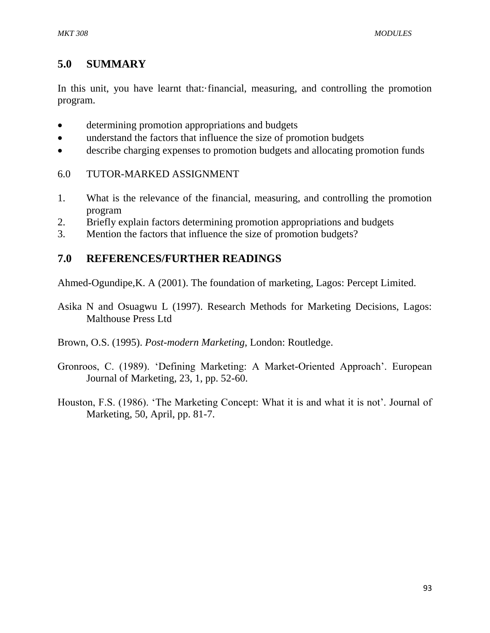# **5.0 SUMMARY**

In this unit, you have learnt that: financial, measuring, and controlling the promotion program.

- determining promotion appropriations and budgets
- understand the factors that influence the size of promotion budgets
- describe charging expenses to promotion budgets and allocating promotion funds
- 6.0 TUTOR-MARKED ASSIGNMENT
- 1. What is the relevance of the financial, measuring, and controlling the promotion program
- 2. Briefly explain factors determining promotion appropriations and budgets
- 3. Mention the factors that influence the size of promotion budgets?

# **7.0 REFERENCES/FURTHER READINGS**

Ahmed-Ogundipe,K. A (2001). The foundation of marketing, Lagos: Percept Limited.

- Asika N and Osuagwu L (1997). Research Methods for Marketing Decisions, Lagos: Malthouse Press Ltd
- Brown, O.S. (1995). *Post-modern Marketing*, London: Routledge.
- Gronroos, C. (1989). 'Defining Marketing: A Market-Oriented Approach'. European Journal of Marketing, 23, 1, pp. 52-60.
- Houston, F.S. (1986). 'The Marketing Concept: What it is and what it is not'. Journal of Marketing, 50, April, pp. 81-7.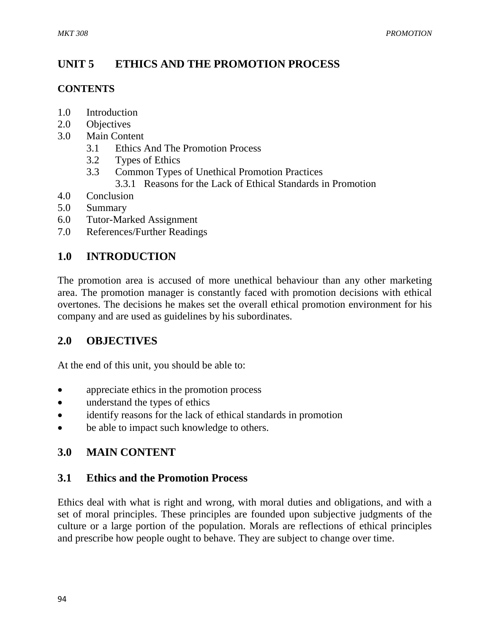# **UNIT 5 ETHICS AND THE PROMOTION PROCESS**

#### **CONTENTS**

- 1.0 Introduction
- 2.0 Objectives
- 3.0 Main Content
	- 3.1 Ethics And The Promotion Process
	- 3.2 Types of Ethics
	- 3.3 Common Types of Unethical Promotion Practices 3.3.1 Reasons for the Lack of Ethical Standards in Promotion
- 4.0 Conclusion
- 5.0 Summary
- 6.0 Tutor-Marked Assignment
- 7.0 References/Further Readings

# **1.0 INTRODUCTION**

The promotion area is accused of more unethical behaviour than any other marketing area. The promotion manager is constantly faced with promotion decisions with ethical overtones. The decisions he makes set the overall ethical promotion environment for his company and are used as guidelines by his subordinates.

## **2.0 OBJECTIVES**

At the end of this unit, you should be able to:

- appreciate ethics in the promotion process
- understand the types of ethics
- identify reasons for the lack of ethical standards in promotion
- be able to impact such knowledge to others.

# **3.0 MAIN CONTENT**

# **3.1 Ethics and the Promotion Process**

Ethics deal with what is right and wrong, with moral duties and obligations, and with a set of moral principles. These principles are founded upon subjective judgments of the culture or a large portion of the population. Morals are reflections of ethical principles and prescribe how people ought to behave. They are subject to change over time.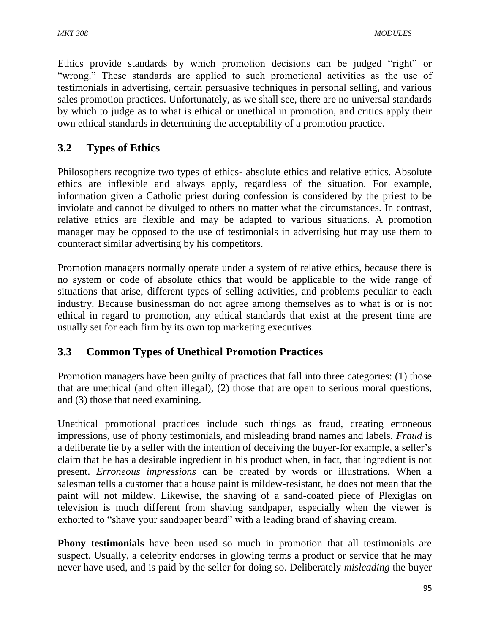Ethics provide standards by which promotion decisions can be judged "right" or "wrong." These standards are applied to such promotional activities as the use of testimonials in advertising, certain persuasive techniques in personal selling, and various sales promotion practices. Unfortunately, as we shall see, there are no universal standards by which to judge as to what is ethical or unethical in promotion, and critics apply their own ethical standards in determining the acceptability of a promotion practice.

## **3.2 Types of Ethics**

Philosophers recognize two types of ethics- absolute ethics and relative ethics. Absolute ethics are inflexible and always apply, regardless of the situation. For example, information given a Catholic priest during confession is considered by the priest to be inviolate and cannot be divulged to others no matter what the circumstances. In contrast, relative ethics are flexible and may be adapted to various situations. A promotion manager may be opposed to the use of testimonials in advertising but may use them to counteract similar advertising by his competitors.

Promotion managers normally operate under a system of relative ethics, because there is no system or code of absolute ethics that would be applicable to the wide range of situations that arise, different types of selling activities, and problems peculiar to each industry. Because businessman do not agree among themselves as to what is or is not ethical in regard to promotion, any ethical standards that exist at the present time are usually set for each firm by its own top marketing executives.

## **3.3 Common Types of Unethical Promotion Practices**

Promotion managers have been guilty of practices that fall into three categories: (1) those that are unethical (and often illegal), (2) those that are open to serious moral questions, and (3) those that need examining.

Unethical promotional practices include such things as fraud, creating erroneous impressions, use of phony testimonials, and misleading brand names and labels. *Fraud* is a deliberate lie by a seller with the intention of deceiving the buyer-for example, a seller's claim that he has a desirable ingredient in his product when, in fact, that ingredient is not present. *Erroneous impressions* can be created by words or illustrations. When a salesman tells a customer that a house paint is mildew-resistant, he does not mean that the paint will not mildew. Likewise, the shaving of a sand-coated piece of Plexiglas on television is much different from shaving sandpaper, especially when the viewer is exhorted to "shave your sandpaper beard" with a leading brand of shaving cream.

**Phony testimonials** have been used so much in promotion that all testimonials are suspect. Usually, a celebrity endorses in glowing terms a product or service that he may never have used, and is paid by the seller for doing so. Deliberately *misleading* the buyer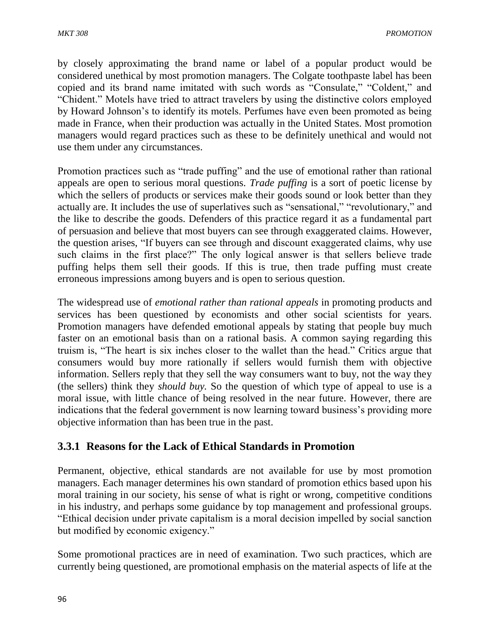by closely approximating the brand name or label of a popular product would be considered unethical by most promotion managers. The Colgate toothpaste label has been copied and its brand name imitated with such words as "Consulate," "Coldent," and "Chident." Motels have tried to attract travelers by using the distinctive colors employed by Howard Johnson's to identify its motels. Perfumes have even been promoted as being made in France, when their production was actually in the United States. Most promotion managers would regard practices such as these to be definitely unethical and would not use them under any circumstances.

Promotion practices such as "trade puffing" and the use of emotional rather than rational appeals are open to serious moral questions. *Trade puffing* is a sort of poetic license by which the sellers of products or services make their goods sound or look better than they actually are. It includes the use of superlatives such as "sensational," "revolutionary," and the like to describe the goods. Defenders of this practice regard it as a fundamental part of persuasion and believe that most buyers can see through exaggerated claims. However, the question arises, "If buyers can see through and discount exaggerated claims, why use such claims in the first place?" The only logical answer is that sellers believe trade puffing helps them sell their goods. If this is true, then trade puffing must create erroneous impressions among buyers and is open to serious question.

The widespread use of *emotional rather than rational appeals* in promoting products and services has been questioned by economists and other social scientists for years. Promotion managers have defended emotional appeals by stating that people buy much faster on an emotional basis than on a rational basis. A common saying regarding this truism is, "The heart is six inches closer to the wallet than the head." Critics argue that consumers would buy more rationally if sellers would furnish them with objective information. Sellers reply that they sell the way consumers want to buy, not the way they (the sellers) think they *should buy.* So the question of which type of appeal to use is a moral issue, with little chance of being resolved in the near future. However, there are indications that the federal government is now learning toward business's providing more objective information than has been true in the past.

## **3.3.1 Reasons for the Lack of Ethical Standards in Promotion**

Permanent, objective, ethical standards are not available for use by most promotion managers. Each manager determines his own standard of promotion ethics based upon his moral training in our society, his sense of what is right or wrong, competitive conditions in his industry, and perhaps some guidance by top management and professional groups. "Ethical decision under private capitalism is a moral decision impelled by social sanction but modified by economic exigency."

Some promotional practices are in need of examination. Two such practices, which are currently being questioned, are promotional emphasis on the material aspects of life at the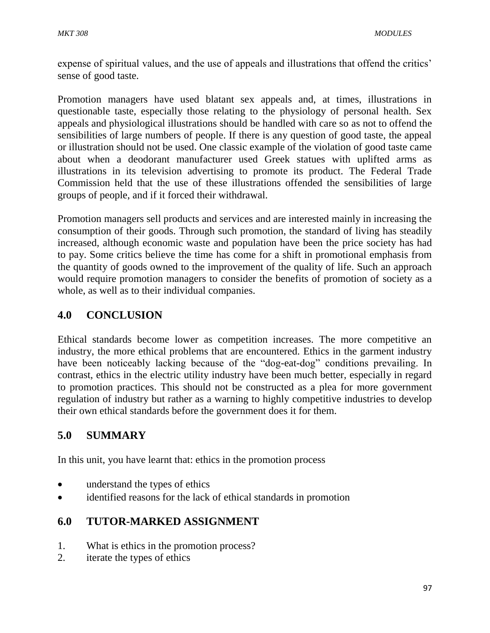expense of spiritual values, and the use of appeals and illustrations that offend the critics' sense of good taste.

Promotion managers have used blatant sex appeals and, at times, illustrations in questionable taste, especially those relating to the physiology of personal health. Sex appeals and physiological illustrations should be handled with care so as not to offend the sensibilities of large numbers of people. If there is any question of good taste, the appeal or illustration should not be used. One classic example of the violation of good taste came about when a deodorant manufacturer used Greek statues with uplifted arms as illustrations in its television advertising to promote its product. The Federal Trade Commission held that the use of these illustrations offended the sensibilities of large groups of people, and if it forced their withdrawal.

Promotion managers sell products and services and are interested mainly in increasing the consumption of their goods. Through such promotion, the standard of living has steadily increased, although economic waste and population have been the price society has had to pay. Some critics believe the time has come for a shift in promotional emphasis from the quantity of goods owned to the improvement of the quality of life. Such an approach would require promotion managers to consider the benefits of promotion of society as a whole, as well as to their individual companies.

# **4.0 CONCLUSION**

Ethical standards become lower as competition increases. The more competitive an industry, the more ethical problems that are encountered. Ethics in the garment industry have been noticeably lacking because of the "dog-eat-dog" conditions prevailing. In contrast, ethics in the electric utility industry have been much better, especially in regard to promotion practices. This should not be constructed as a plea for more government regulation of industry but rather as a warning to highly competitive industries to develop their own ethical standards before the government does it for them.

## **5.0 SUMMARY**

In this unit, you have learnt that: ethics in the promotion process

- understand the types of ethics
- identified reasons for the lack of ethical standards in promotion

## **6.0 TUTOR-MARKED ASSIGNMENT**

- 1. What is ethics in the promotion process?
- 2. iterate the types of ethics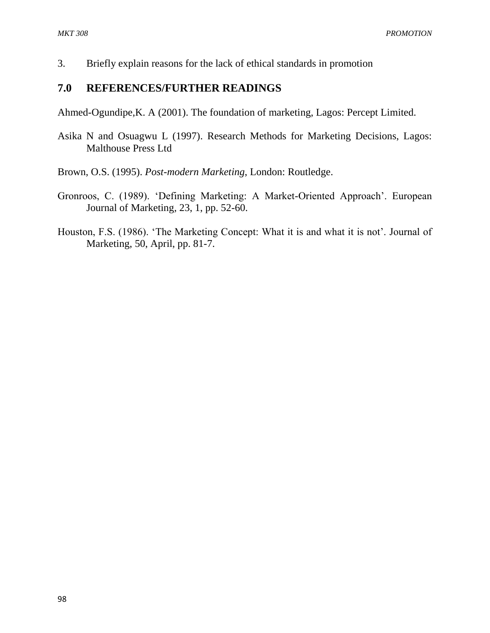3. Briefly explain reasons for the lack of ethical standards in promotion

#### **7.0 REFERENCES/FURTHER READINGS**

Ahmed-Ogundipe,K. A (2001). The foundation of marketing, Lagos: Percept Limited.

- Asika N and Osuagwu L (1997). Research Methods for Marketing Decisions, Lagos: Malthouse Press Ltd
- Brown, O.S. (1995). *Post-modern Marketing*, London: Routledge.
- Gronroos, C. (1989). 'Defining Marketing: A Market-Oriented Approach'. European Journal of Marketing, 23, 1, pp. 52-60.
- Houston, F.S. (1986). 'The Marketing Concept: What it is and what it is not'. Journal of Marketing, 50, April, pp. 81-7.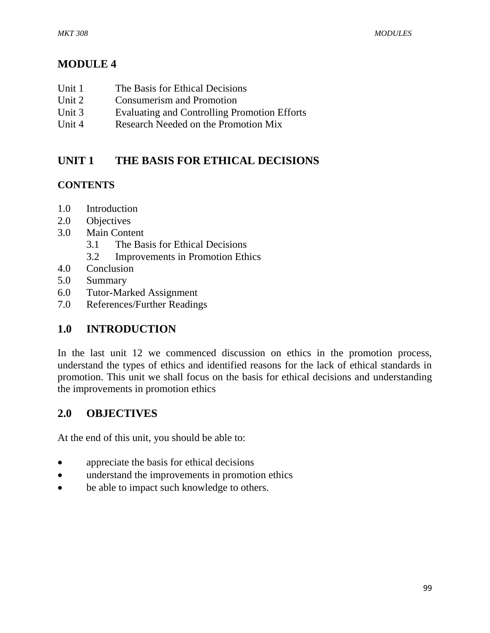## **MODULE 4**

- Unit 1 The Basis for Ethical Decisions
- Unit 2 Consumerism and Promotion
- Unit 3 Evaluating and Controlling Promotion Efforts
- Unit 4 Research Needed on the Promotion Mix

## **UNIT 1 THE BASIS FOR ETHICAL DECISIONS**

#### **CONTENTS**

- 1.0 Introduction
- 2.0 Objectives
- 3.0 Main Content
	- 3.1 The Basis for Ethical Decisions
	- 3.2 Improvements in Promotion Ethics
- 4.0 Conclusion
- 5.0 Summary
- 6.0 Tutor-Marked Assignment
- 7.0 References/Further Readings

# **1.0 INTRODUCTION**

In the last unit 12 we commenced discussion on ethics in the promotion process, understand the types of ethics and identified reasons for the lack of ethical standards in promotion. This unit we shall focus on the basis for ethical decisions and understanding the improvements in promotion ethics

# **2.0 OBJECTIVES**

At the end of this unit, you should be able to:

- appreciate the basis for ethical decisions
- understand the improvements in promotion ethics
- be able to impact such knowledge to others.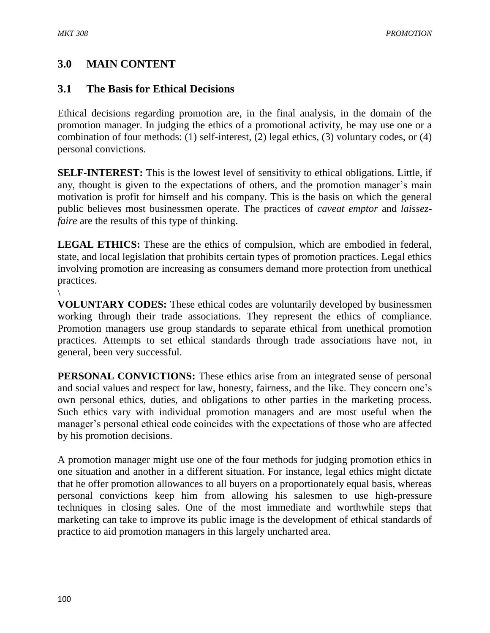# **3.0 MAIN CONTENT**

## **3.1 The Basis for Ethical Decisions**

Ethical decisions regarding promotion are, in the final analysis, in the domain of the promotion manager. In judging the ethics of a promotional activity, he may use one or a combination of four methods: (1) self-interest, (2) legal ethics, (3) voluntary codes, or (4) personal convictions.

**SELF-INTEREST:** This is the lowest level of sensitivity to ethical obligations. Little, if any, thought is given to the expectations of others, and the promotion manager's main motivation is profit for himself and his company. This is the basis on which the general public believes most businessmen operate. The practices of *caveat emptor* and *laissezfaire* are the results of this type of thinking.

**LEGAL ETHICS:** These are the ethics of compulsion, which are embodied in federal, state, and local legislation that prohibits certain types of promotion practices. Legal ethics involving promotion are increasing as consumers demand more protection from unethical practices.

\

**VOLUNTARY CODES:** These ethical codes are voluntarily developed by businessmen working through their trade associations. They represent the ethics of compliance. Promotion managers use group standards to separate ethical from unethical promotion practices. Attempts to set ethical standards through trade associations have not, in general, been very successful.

**PERSONAL CONVICTIONS:** These ethics arise from an integrated sense of personal and social values and respect for law, honesty, fairness, and the like. They concern one's own personal ethics, duties, and obligations to other parties in the marketing process. Such ethics vary with individual promotion managers and are most useful when the manager's personal ethical code coincides with the expectations of those who are affected by his promotion decisions.

A promotion manager might use one of the four methods for judging promotion ethics in one situation and another in a different situation. For instance, legal ethics might dictate that he offer promotion allowances to all buyers on a proportionately equal basis, whereas personal convictions keep him from allowing his salesmen to use high-pressure techniques in closing sales. One of the most immediate and worthwhile steps that marketing can take to improve its public image is the development of ethical standards of practice to aid promotion managers in this largely uncharted area.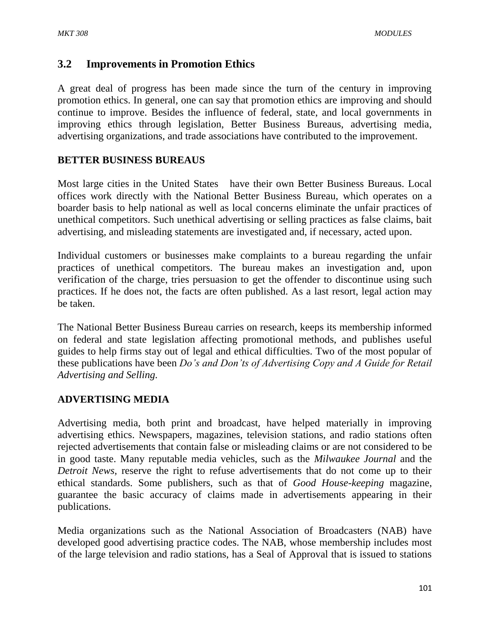### **3.2 Improvements in Promotion Ethics**

A great deal of progress has been made since the turn of the century in improving promotion ethics. In general, one can say that promotion ethics are improving and should continue to improve. Besides the influence of federal, state, and local governments in improving ethics through legislation, Better Business Bureaus, advertising media, advertising organizations, and trade associations have contributed to the improvement.

#### **BETTER BUSINESS BUREAUS**

Most large cities in the United States have their own Better Business Bureaus. Local offices work directly with the National Better Business Bureau, which operates on a boarder basis to help national as well as local concerns eliminate the unfair practices of unethical competitors. Such unethical advertising or selling practices as false claims, bait advertising, and misleading statements are investigated and, if necessary, acted upon.

Individual customers or businesses make complaints to a bureau regarding the unfair practices of unethical competitors. The bureau makes an investigation and, upon verification of the charge, tries persuasion to get the offender to discontinue using such practices. If he does not, the facts are often published. As a last resort, legal action may be taken.

The National Better Business Bureau carries on research, keeps its membership informed on federal and state legislation affecting promotional methods, and publishes useful guides to help firms stay out of legal and ethical difficulties. Two of the most popular of these publications have been *Do's and Don'ts of Advertising Copy and A Guide for Retail Advertising and Selling.* 

#### **ADVERTISING MEDIA**

Advertising media, both print and broadcast, have helped materially in improving advertising ethics. Newspapers, magazines, television stations, and radio stations often rejected advertisements that contain false or misleading claims or are not considered to be in good taste. Many reputable media vehicles, such as the *Milwaukee Journal* and the *Detroit News,* reserve the right to refuse advertisements that do not come up to their ethical standards. Some publishers, such as that of *Good House-keeping* magazine, guarantee the basic accuracy of claims made in advertisements appearing in their publications.

Media organizations such as the National Association of Broadcasters (NAB) have developed good advertising practice codes. The NAB, whose membership includes most of the large television and radio stations, has a Seal of Approval that is issued to stations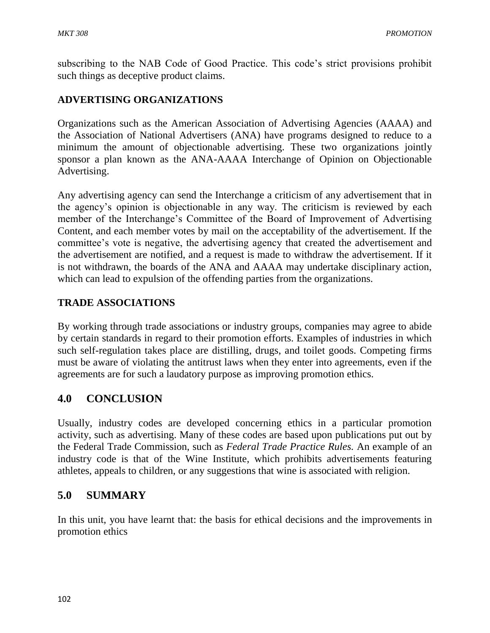subscribing to the NAB Code of Good Practice. This code's strict provisions prohibit such things as deceptive product claims.

#### **ADVERTISING ORGANIZATIONS**

Organizations such as the American Association of Advertising Agencies (AAAA) and the Association of National Advertisers (ANA) have programs designed to reduce to a minimum the amount of objectionable advertising. These two organizations jointly sponsor a plan known as the ANA-AAAA Interchange of Opinion on Objectionable Advertising.

Any advertising agency can send the Interchange a criticism of any advertisement that in the agency's opinion is objectionable in any way. The criticism is reviewed by each member of the Interchange's Committee of the Board of Improvement of Advertising Content, and each member votes by mail on the acceptability of the advertisement. If the committee's vote is negative, the advertising agency that created the advertisement and the advertisement are notified, and a request is made to withdraw the advertisement. If it is not withdrawn, the boards of the ANA and AAAA may undertake disciplinary action, which can lead to expulsion of the offending parties from the organizations.

#### **TRADE ASSOCIATIONS**

By working through trade associations or industry groups, companies may agree to abide by certain standards in regard to their promotion efforts. Examples of industries in which such self-regulation takes place are distilling, drugs, and toilet goods. Competing firms must be aware of violating the antitrust laws when they enter into agreements, even if the agreements are for such a laudatory purpose as improving promotion ethics.

## **4.0 CONCLUSION**

Usually, industry codes are developed concerning ethics in a particular promotion activity, such as advertising. Many of these codes are based upon publications put out by the Federal Trade Commission, such as *Federal Trade Practice Rules.* An example of an industry code is that of the Wine Institute, which prohibits advertisements featuring athletes, appeals to children, or any suggestions that wine is associated with religion.

## **5.0 SUMMARY**

In this unit, you have learnt that: the basis for ethical decisions and the improvements in promotion ethics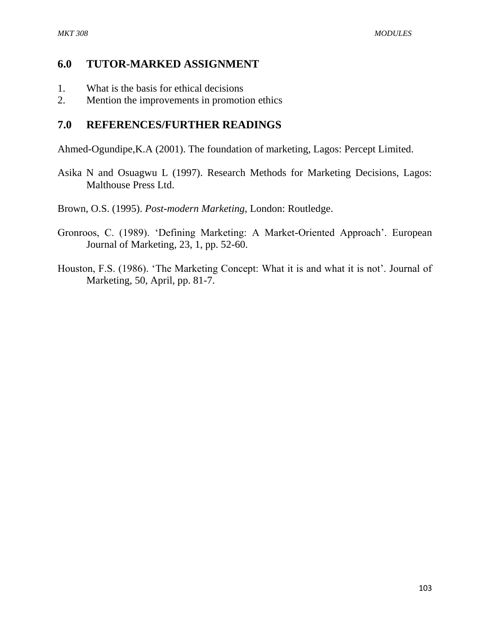## **6.0 TUTOR-MARKED ASSIGNMENT**

- 1. What is the basis for ethical decisions
- 2. Mention the improvements in promotion ethics

# **7.0 REFERENCES/FURTHER READINGS**

Ahmed-Ogundipe,K.A (2001). The foundation of marketing, Lagos: Percept Limited.

- Asika N and Osuagwu L (1997). Research Methods for Marketing Decisions, Lagos: Malthouse Press Ltd.
- Brown, O.S. (1995). *Post-modern Marketing*, London: Routledge.
- Gronroos, C. (1989). 'Defining Marketing: A Market-Oriented Approach'. European Journal of Marketing, 23, 1, pp. 52-60.
- Houston, F.S. (1986). 'The Marketing Concept: What it is and what it is not'. Journal of Marketing, 50, April, pp. 81-7.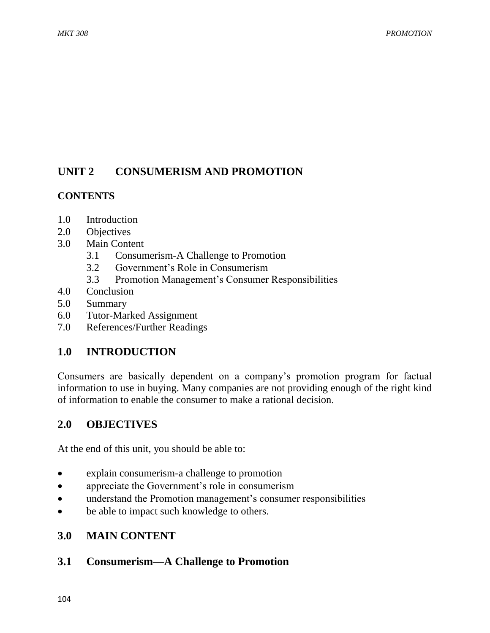# **UNIT 2 CONSUMERISM AND PROMOTION**

## **CONTENTS**

- 1.0 Introduction
- 2.0 Objectives
- 3.0 Main Content
	- 3.1 Consumerism-A Challenge to Promotion
	- 3.2 Government's Role in Consumerism
	- 3.3 Promotion Management's Consumer Responsibilities
- 4.0 Conclusion
- 5.0 Summary
- 6.0 Tutor-Marked Assignment
- 7.0 References/Further Readings

# **1.0 INTRODUCTION**

Consumers are basically dependent on a company's promotion program for factual information to use in buying. Many companies are not providing enough of the right kind of information to enable the consumer to make a rational decision.

# **2.0 OBJECTIVES**

At the end of this unit, you should be able to:

- explain consumerism-a challenge to promotion
- appreciate the Government's role in consumerism
- understand the Promotion management's consumer responsibilities
- be able to impact such knowledge to others.

# **3.0 MAIN CONTENT**

# **3.1 Consumerism—A Challenge to Promotion**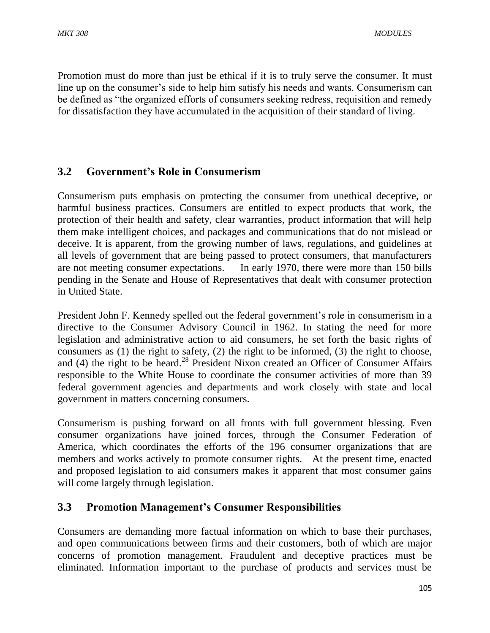Promotion must do more than just be ethical if it is to truly serve the consumer. It must line up on the consumer's side to help him satisfy his needs and wants. Consumerism can be defined as "the organized efforts of consumers seeking redress, requisition and remedy for dissatisfaction they have accumulated in the acquisition of their standard of living.

## **3.2 Government's Role in Consumerism**

Consumerism puts emphasis on protecting the consumer from unethical deceptive, or harmful business practices. Consumers are entitled to expect products that work, the protection of their health and safety, clear warranties, product information that will help them make intelligent choices, and packages and communications that do not mislead or deceive. It is apparent, from the growing number of laws, regulations, and guidelines at all levels of government that are being passed to protect consumers, that manufacturers are not meeting consumer expectations. In early 1970, there were more than 150 bills pending in the Senate and House of Representatives that dealt with consumer protection in United State.

President John F. Kennedy spelled out the federal government's role in consumerism in a directive to the Consumer Advisory Council in 1962. In stating the need for more legislation and administrative action to aid consumers, he set forth the basic rights of consumers as (1) the right to safety, (2) the right to be informed, (3) the right to choose, and (4) the right to be heard.<sup>28</sup> President Nixon created an Officer of Consumer Affairs responsible to the White House to coordinate the consumer activities of more than 39 federal government agencies and departments and work closely with state and local government in matters concerning consumers.

Consumerism is pushing forward on all fronts with full government blessing. Even consumer organizations have joined forces, through the Consumer Federation of America, which coordinates the efforts of the 196 consumer organizations that are members and works actively to promote consumer rights. At the present time, enacted and proposed legislation to aid consumers makes it apparent that most consumer gains will come largely through legislation.

## **3.3 Promotion Management's Consumer Responsibilities**

Consumers are demanding more factual information on which to base their purchases, and open communications between firms and their customers, both of which are major concerns of promotion management. Fraudulent and deceptive practices must be eliminated. Information important to the purchase of products and services must be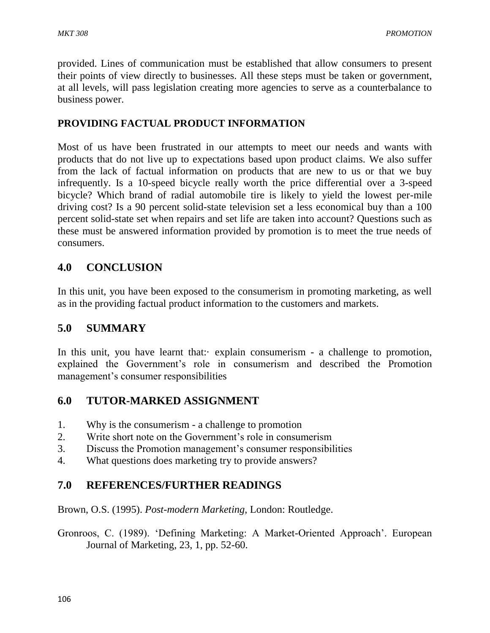provided. Lines of communication must be established that allow consumers to present their points of view directly to businesses. All these steps must be taken or government, at all levels, will pass legislation creating more agencies to serve as a counterbalance to business power.

#### **PROVIDING FACTUAL PRODUCT INFORMATION**

Most of us have been frustrated in our attempts to meet our needs and wants with products that do not live up to expectations based upon product claims. We also suffer from the lack of factual information on products that are new to us or that we buy infrequently. Is a 10-speed bicycle really worth the price differential over a 3-speed bicycle? Which brand of radial automobile tire is likely to yield the lowest per-mile driving cost? Is a 90 percent solid-state television set a less economical buy than a 100 percent solid-state set when repairs and set life are taken into account? Questions such as these must be answered information provided by promotion is to meet the true needs of consumers.

## **4.0 CONCLUSION**

In this unit, you have been exposed to the consumerism in promoting marketing, as well as in the providing factual product information to the customers and markets.

#### **5.0 SUMMARY**

In this unit, you have learnt that: explain consumerism - a challenge to promotion, explained the Government's role in consumerism and described the Promotion management's consumer responsibilities

## **6.0 TUTOR-MARKED ASSIGNMENT**

- 1. Why is the consumerism a challenge to promotion
- 2. Write short note on the Government's role in consumerism
- 3. Discuss the Promotion management's consumer responsibilities
- 4. What questions does marketing try to provide answers?

## **7.0 REFERENCES/FURTHER READINGS**

Brown, O.S. (1995). *Post-modern Marketing*, London: Routledge.

Gronroos, C. (1989). 'Defining Marketing: A Market-Oriented Approach'. European Journal of Marketing, 23, 1, pp. 52-60.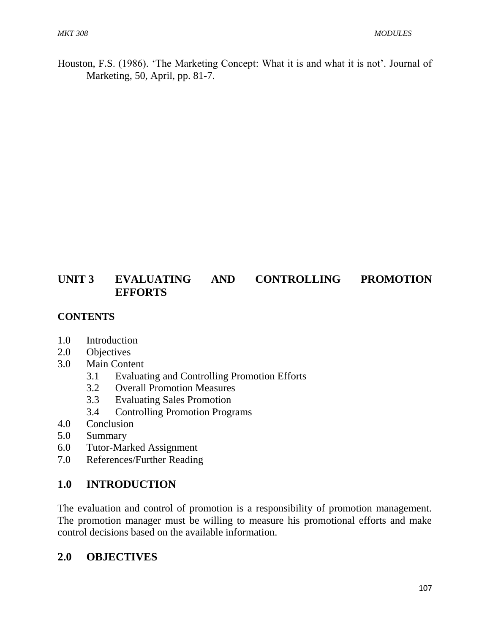Houston, F.S. (1986). 'The Marketing Concept: What it is and what it is not'. Journal of Marketing, 50, April, pp. 81-7.

## **UNIT 3 EVALUATING AND CONTROLLING PROMOTION EFFORTS**

#### **CONTENTS**

- 1.0 Introduction
- 2.0 Objectives
- 3.0 Main Content
	- 3.1 Evaluating and Controlling Promotion Efforts
	- 3.2 Overall Promotion Measures
	- 3.3 Evaluating Sales Promotion
	- 3.4 Controlling Promotion Programs
- 4.0 Conclusion
- 5.0 Summary
- 6.0 Tutor-Marked Assignment
- 7.0 References/Further Reading

## **1.0 INTRODUCTION**

The evaluation and control of promotion is a responsibility of promotion management. The promotion manager must be willing to measure his promotional efforts and make control decisions based on the available information.

#### **2.0 OBJECTIVES**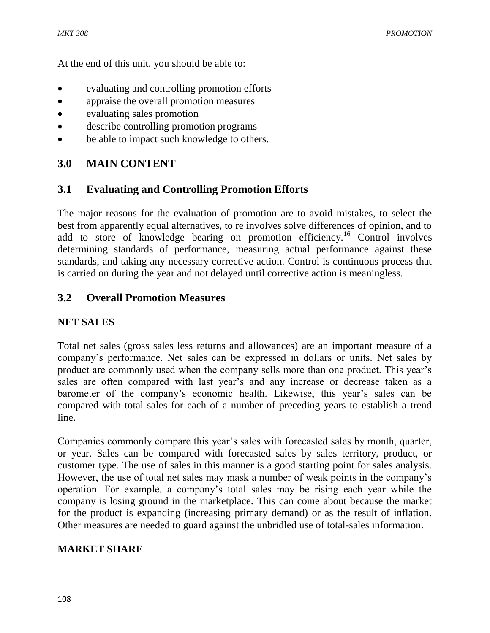At the end of this unit, you should be able to:

- evaluating and controlling promotion efforts
- appraise the overall promotion measures
- evaluating sales promotion
- describe controlling promotion programs
- be able to impact such knowledge to others.

# **3.0 MAIN CONTENT**

## **3.1 Evaluating and Controlling Promotion Efforts**

The major reasons for the evaluation of promotion are to avoid mistakes, to select the best from apparently equal alternatives, to re involves solve differences of opinion, and to add to store of knowledge bearing on promotion efficiency.<sup>16</sup> Control involves determining standards of performance, measuring actual performance against these standards, and taking any necessary corrective action. Control is continuous process that is carried on during the year and not delayed until corrective action is meaningless.

# **3.2 Overall Promotion Measures**

## **NET SALES**

Total net sales (gross sales less returns and allowances) are an important measure of a company's performance. Net sales can be expressed in dollars or units. Net sales by product are commonly used when the company sells more than one product. This year's sales are often compared with last year's and any increase or decrease taken as a barometer of the company's economic health. Likewise, this year's sales can be compared with total sales for each of a number of preceding years to establish a trend line.

Companies commonly compare this year's sales with forecasted sales by month, quarter, or year. Sales can be compared with forecasted sales by sales territory, product, or customer type. The use of sales in this manner is a good starting point for sales analysis. However, the use of total net sales may mask a number of weak points in the company's operation. For example, a company's total sales may be rising each year while the company is losing ground in the marketplace. This can come about because the market for the product is expanding (increasing primary demand) or as the result of inflation. Other measures are needed to guard against the unbridled use of total-sales information.

## **MARKET SHARE**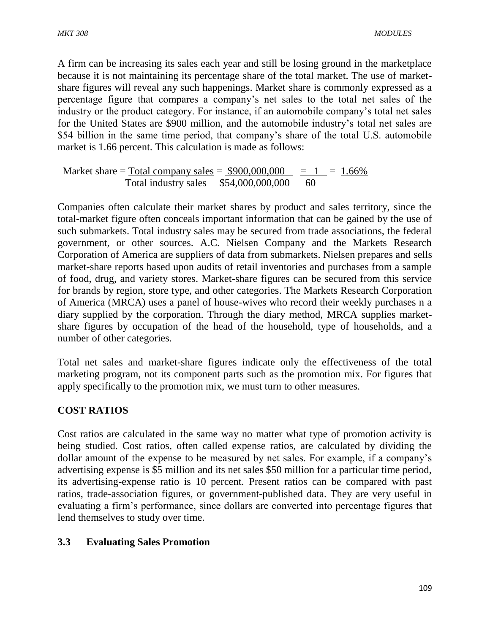A firm can be increasing its sales each year and still be losing ground in the marketplace because it is not maintaining its percentage share of the total market. The use of marketshare figures will reveal any such happenings. Market share is commonly expressed as a percentage figure that compares a company's net sales to the total net sales of the industry or the product category. For instance, if an automobile company's total net sales for the United States are \$900 million, and the automobile industry's total net sales are \$54 billion in the same time period, that company's share of the total U.S. automobile market is 1.66 percent. This calculation is made as follows:

Market share = Total company sales =  $$900,000,000 = 1 = 1.66\%$ Total industry sales \$54,000,000,000 60

Companies often calculate their market shares by product and sales territory, since the total-market figure often conceals important information that can be gained by the use of such submarkets. Total industry sales may be secured from trade associations, the federal government, or other sources. A.C. Nielsen Company and the Markets Research Corporation of America are suppliers of data from submarkets. Nielsen prepares and sells market-share reports based upon audits of retail inventories and purchases from a sample of food, drug, and variety stores. Market-share figures can be secured from this service for brands by region, store type, and other categories. The Markets Research Corporation of America (MRCA) uses a panel of house-wives who record their weekly purchases n a diary supplied by the corporation. Through the diary method, MRCA supplies marketshare figures by occupation of the head of the household, type of households, and a number of other categories.

Total net sales and market-share figures indicate only the effectiveness of the total marketing program, not its component parts such as the promotion mix. For figures that apply specifically to the promotion mix, we must turn to other measures.

## **COST RATIOS**

Cost ratios are calculated in the same way no matter what type of promotion activity is being studied. Cost ratios, often called expense ratios, are calculated by dividing the dollar amount of the expense to be measured by net sales. For example, if a company's advertising expense is \$5 million and its net sales \$50 million for a particular time period, its advertising-expense ratio is 10 percent. Present ratios can be compared with past ratios, trade-association figures, or government-published data. They are very useful in evaluating a firm's performance, since dollars are converted into percentage figures that lend themselves to study over time.

#### **3.3 Evaluating Sales Promotion**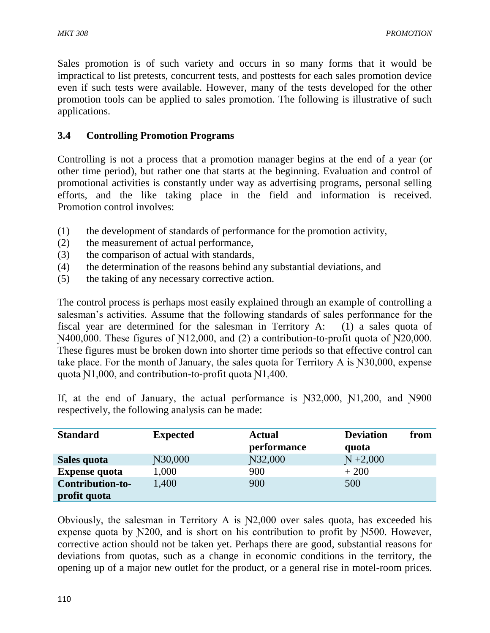Sales promotion is of such variety and occurs in so many forms that it would be impractical to list pretests, concurrent tests, and posttests for each sales promotion device even if such tests were available. However, many of the tests developed for the other promotion tools can be applied to sales promotion. The following is illustrative of such applications.

#### **3.4 Controlling Promotion Programs**

Controlling is not a process that a promotion manager begins at the end of a year (or other time period), but rather one that starts at the beginning. Evaluation and control of promotional activities is constantly under way as advertising programs, personal selling efforts, and the like taking place in the field and information is received. Promotion control involves:

- (1) the development of standards of performance for the promotion activity,
- (2) the measurement of actual performance,
- (3) the comparison of actual with standards,
- (4) the determination of the reasons behind any substantial deviations, and
- (5) the taking of any necessary corrective action.

The control process is perhaps most easily explained through an example of controlling a salesman's activities. Assume that the following standards of sales performance for the fiscal year are determined for the salesman in Territory A: (1) a sales quota of  $N400,000$ . These figures of  $N12,000$ , and  $(2)$  a contribution-to-profit quota of  $N20,000$ . These figures must be broken down into shorter time periods so that effective control can take place. For the month of January, the sales quota for Territory  $A$  is  $N30,000$ , expense quota  $N1,000$ , and contribution-to-profit quota  $N1,400$ .

If, at the end of January, the actual performance is  $N32,000$ ,  $N1,200$ , and  $N900$ respectively, the following analysis can be made:

| <b>Standard</b>      | <b>Expected</b> | <b>Actual</b><br>performance | <b>Deviation</b><br>from<br>quota |
|----------------------|-----------------|------------------------------|-----------------------------------|
| Sales quota          | N30,000         | N32,000                      | $N + 2,000$                       |
| <b>Expense quota</b> | 1,000           | 900                          | $+200$                            |
| Contribution-to-     | 1,400           | 900                          | 500                               |
| profit quota         |                 |                              |                                   |

Obviously, the salesman in Territory A is  $N2,000$  over sales quota, has exceeded his expense quota by N200, and is short on his contribution to profit by N500. However, corrective action should not be taken yet. Perhaps there are good, substantial reasons for deviations from quotas, such as a change in economic conditions in the territory, the opening up of a major new outlet for the product, or a general rise in motel-room prices.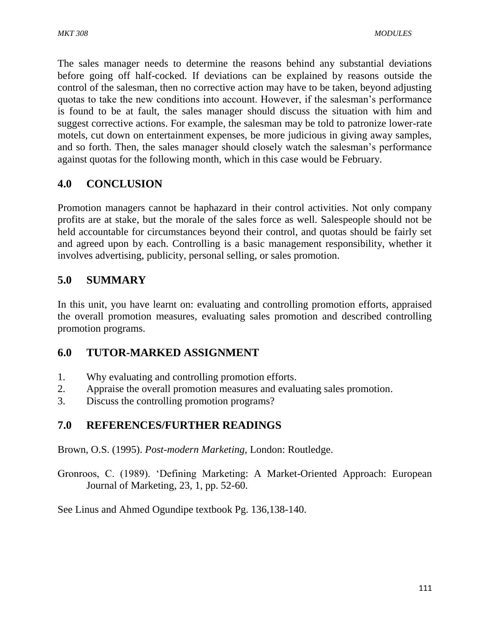The sales manager needs to determine the reasons behind any substantial deviations before going off half-cocked. If deviations can be explained by reasons outside the control of the salesman, then no corrective action may have to be taken, beyond adjusting quotas to take the new conditions into account. However, if the salesman's performance is found to be at fault, the sales manager should discuss the situation with him and suggest corrective actions. For example, the salesman may be told to patronize lower-rate motels, cut down on entertainment expenses, be more judicious in giving away samples, and so forth. Then, the sales manager should closely watch the salesman's performance against quotas for the following month, which in this case would be February.

## **4.0 CONCLUSION**

Promotion managers cannot be haphazard in their control activities. Not only company profits are at stake, but the morale of the sales force as well. Salespeople should not be held accountable for circumstances beyond their control, and quotas should be fairly set and agreed upon by each. Controlling is a basic management responsibility, whether it involves advertising, publicity, personal selling, or sales promotion.

# **5.0 SUMMARY**

In this unit, you have learnt on: evaluating and controlling promotion efforts, appraised the overall promotion measures, evaluating sales promotion and described controlling promotion programs.

## **6.0 TUTOR-MARKED ASSIGNMENT**

- 1. Why evaluating and controlling promotion efforts.
- 2. Appraise the overall promotion measures and evaluating sales promotion.
- 3. Discuss the controlling promotion programs?

## **7.0 REFERENCES/FURTHER READINGS**

Brown, O.S. (1995). *Post-modern Marketing*, London: Routledge.

Gronroos, C. (1989). 'Defining Marketing: A Market-Oriented Approach: European Journal of Marketing, 23, 1, pp. 52-60.

See Linus and Ahmed Ogundipe textbook Pg. 136,138-140.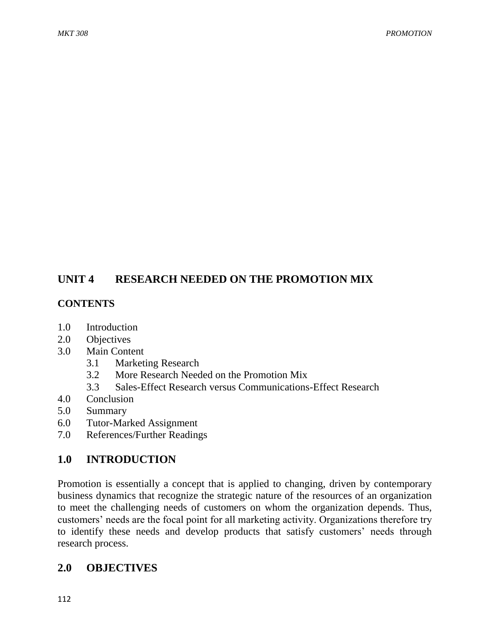# **UNIT 4 RESEARCH NEEDED ON THE PROMOTION MIX**

## **CONTENTS**

- 1.0 Introduction
- 2.0 Objectives
- 3.0 Main Content
	- 3.1 Marketing Research
	- 3.2 More Research Needed on the Promotion Mix
	- 3.3 Sales-Effect Research versus Communications-Effect Research
- 4.0 Conclusion
- 5.0 Summary
- 6.0 Tutor-Marked Assignment
- 7.0 References/Further Readings

## **1.0 INTRODUCTION**

Promotion is essentially a concept that is applied to changing, driven by contemporary business dynamics that recognize the strategic nature of the resources of an organization to meet the challenging needs of customers on whom the organization depends. Thus, customers' needs are the focal point for all marketing activity. Organizations therefore try to identify these needs and develop products that satisfy customers' needs through research process.

## **2.0 OBJECTIVES**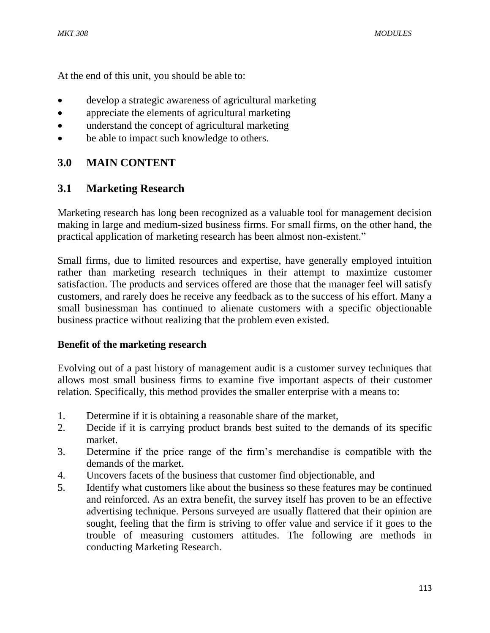At the end of this unit, you should be able to:

- develop a strategic awareness of agricultural marketing
- appreciate the elements of agricultural marketing
- understand the concept of agricultural marketing
- be able to impact such knowledge to others.

# **3.0 MAIN CONTENT**

## **3.1 Marketing Research**

Marketing research has long been recognized as a valuable tool for management decision making in large and medium-sized business firms. For small firms, on the other hand, the practical application of marketing research has been almost non-existent."

Small firms, due to limited resources and expertise, have generally employed intuition rather than marketing research techniques in their attempt to maximize customer satisfaction. The products and services offered are those that the manager feel will satisfy customers, and rarely does he receive any feedback as to the success of his effort. Many a small businessman has continued to alienate customers with a specific objectionable business practice without realizing that the problem even existed.

#### **Benefit of the marketing research**

Evolving out of a past history of management audit is a customer survey techniques that allows most small business firms to examine five important aspects of their customer relation. Specifically, this method provides the smaller enterprise with a means to:

- 1. Determine if it is obtaining a reasonable share of the market,
- 2. Decide if it is carrying product brands best suited to the demands of its specific market.
- 3. Determine if the price range of the firm's merchandise is compatible with the demands of the market.
- 4. Uncovers facets of the business that customer find objectionable, and
- 5. Identify what customers like about the business so these features may be continued and reinforced. As an extra benefit, the survey itself has proven to be an effective advertising technique. Persons surveyed are usually flattered that their opinion are sought, feeling that the firm is striving to offer value and service if it goes to the trouble of measuring customers attitudes. The following are methods in conducting Marketing Research.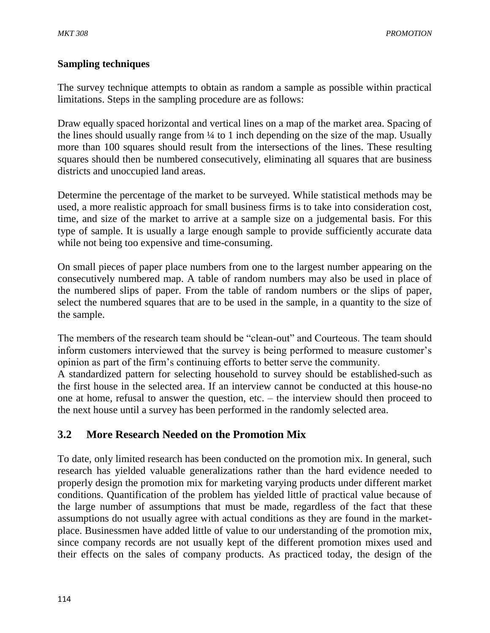#### **Sampling techniques**

The survey technique attempts to obtain as random a sample as possible within practical limitations. Steps in the sampling procedure are as follows:

Draw equally spaced horizontal and vertical lines on a map of the market area. Spacing of the lines should usually range from ¼ to 1 inch depending on the size of the map. Usually more than 100 squares should result from the intersections of the lines. These resulting squares should then be numbered consecutively, eliminating all squares that are business districts and unoccupied land areas.

Determine the percentage of the market to be surveyed. While statistical methods may be used, a more realistic approach for small business firms is to take into consideration cost, time, and size of the market to arrive at a sample size on a judgemental basis. For this type of sample. It is usually a large enough sample to provide sufficiently accurate data while not being too expensive and time-consuming.

On small pieces of paper place numbers from one to the largest number appearing on the consecutively numbered map. A table of random numbers may also be used in place of the numbered slips of paper. From the table of random numbers or the slips of paper, select the numbered squares that are to be used in the sample, in a quantity to the size of the sample.

The members of the research team should be "clean-out" and Courteous. The team should inform customers interviewed that the survey is being performed to measure customer's opinion as part of the firm's continuing efforts to better serve the community.

A standardized pattern for selecting household to survey should be established-such as the first house in the selected area. If an interview cannot be conducted at this house-no one at home, refusal to answer the question, etc. – the interview should then proceed to the next house until a survey has been performed in the randomly selected area.

## **3.2 More Research Needed on the Promotion Mix**

To date, only limited research has been conducted on the promotion mix. In general, such research has yielded valuable generalizations rather than the hard evidence needed to properly design the promotion mix for marketing varying products under different market conditions. Quantification of the problem has yielded little of practical value because of the large number of assumptions that must be made, regardless of the fact that these assumptions do not usually agree with actual conditions as they are found in the marketplace. Businessmen have added little of value to our understanding of the promotion mix, since company records are not usually kept of the different promotion mixes used and their effects on the sales of company products. As practiced today, the design of the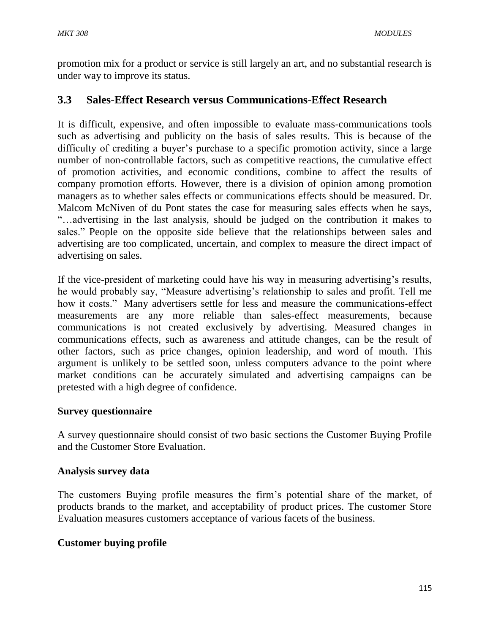promotion mix for a product or service is still largely an art, and no substantial research is under way to improve its status.

## **3.3 Sales-Effect Research versus Communications-Effect Research**

It is difficult, expensive, and often impossible to evaluate mass-communications tools such as advertising and publicity on the basis of sales results. This is because of the difficulty of crediting a buyer's purchase to a specific promotion activity, since a large number of non-controllable factors, such as competitive reactions, the cumulative effect of promotion activities, and economic conditions, combine to affect the results of company promotion efforts. However, there is a division of opinion among promotion managers as to whether sales effects or communications effects should be measured. Dr. Malcom McNiven of du Pont states the case for measuring sales effects when he says, "…advertising in the last analysis, should be judged on the contribution it makes to sales." People on the opposite side believe that the relationships between sales and advertising are too complicated, uncertain, and complex to measure the direct impact of advertising on sales.

If the vice-president of marketing could have his way in measuring advertising's results, he would probably say, "Measure advertising's relationship to sales and profit. Tell me how it costs." Many advertisers settle for less and measure the communications-effect measurements are any more reliable than sales-effect measurements, because communications is not created exclusively by advertising. Measured changes in communications effects, such as awareness and attitude changes, can be the result of other factors, such as price changes, opinion leadership, and word of mouth. This argument is unlikely to be settled soon, unless computers advance to the point where market conditions can be accurately simulated and advertising campaigns can be pretested with a high degree of confidence.

#### **Survey questionnaire**

A survey questionnaire should consist of two basic sections the Customer Buying Profile and the Customer Store Evaluation.

#### **Analysis survey data**

The customers Buying profile measures the firm's potential share of the market, of products brands to the market, and acceptability of product prices. The customer Store Evaluation measures customers acceptance of various facets of the business.

#### **Customer buying profile**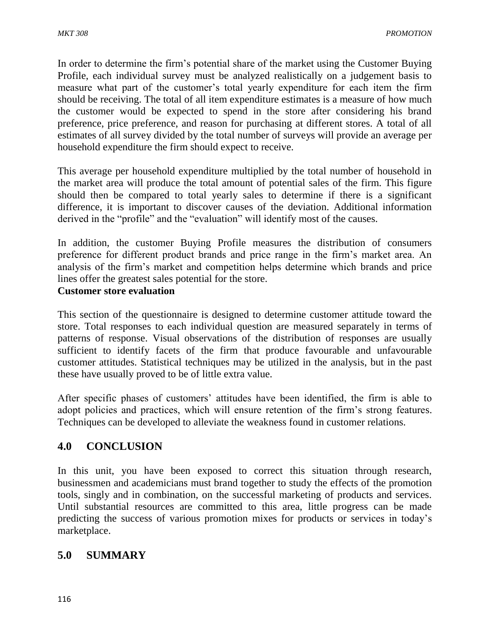In order to determine the firm's potential share of the market using the Customer Buying Profile, each individual survey must be analyzed realistically on a judgement basis to measure what part of the customer's total yearly expenditure for each item the firm should be receiving. The total of all item expenditure estimates is a measure of how much the customer would be expected to spend in the store after considering his brand preference, price preference, and reason for purchasing at different stores. A total of all estimates of all survey divided by the total number of surveys will provide an average per household expenditure the firm should expect to receive.

This average per household expenditure multiplied by the total number of household in the market area will produce the total amount of potential sales of the firm. This figure should then be compared to total yearly sales to determine if there is a significant difference, it is important to discover causes of the deviation. Additional information derived in the "profile" and the "evaluation" will identify most of the causes.

In addition, the customer Buying Profile measures the distribution of consumers preference for different product brands and price range in the firm's market area. An analysis of the firm's market and competition helps determine which brands and price lines offer the greatest sales potential for the store.

#### **Customer store evaluation**

This section of the questionnaire is designed to determine customer attitude toward the store. Total responses to each individual question are measured separately in terms of patterns of response. Visual observations of the distribution of responses are usually sufficient to identify facets of the firm that produce favourable and unfavourable customer attitudes. Statistical techniques may be utilized in the analysis, but in the past these have usually proved to be of little extra value.

After specific phases of customers' attitudes have been identified, the firm is able to adopt policies and practices, which will ensure retention of the firm's strong features. Techniques can be developed to alleviate the weakness found in customer relations.

## **4.0 CONCLUSION**

In this unit, you have been exposed to correct this situation through research, businessmen and academicians must brand together to study the effects of the promotion tools, singly and in combination, on the successful marketing of products and services. Until substantial resources are committed to this area, little progress can be made predicting the success of various promotion mixes for products or services in today's marketplace.

## **5.0 SUMMARY**